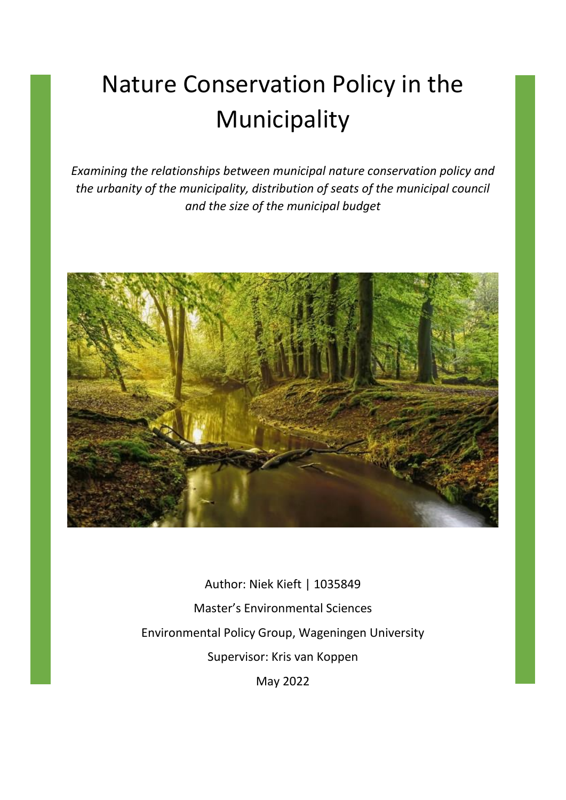# Nature Conservation Policy in the Municipality

*Examining the relationships between municipal nature conservation policy and the urbanity of the municipality, distribution of seats of the municipal council and the size of the municipal budget*



Author: Niek Kieft | 1035849 Master's Environmental Sciences Environmental Policy Group, Wageningen University Supervisor: Kris van Koppen May 2022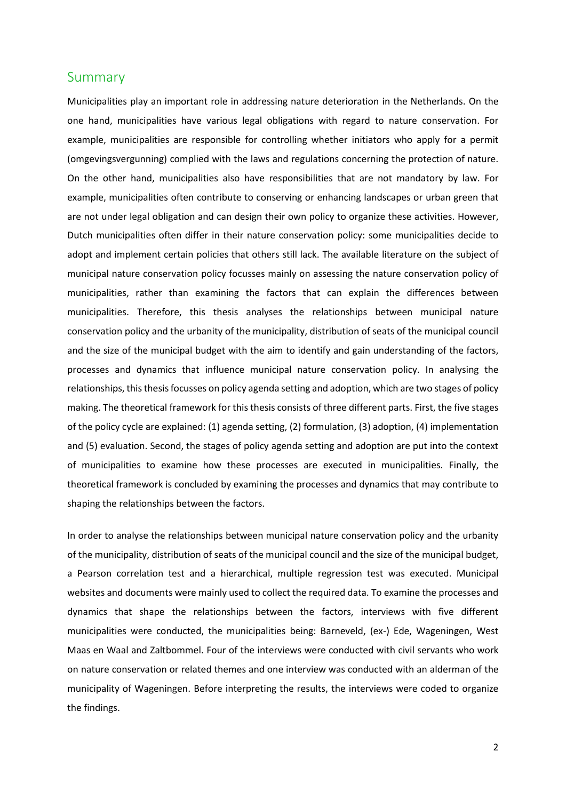### Summary

Municipalities play an important role in addressing nature deterioration in the Netherlands. On the one hand, municipalities have various legal obligations with regard to nature conservation. For example, municipalities are responsible for controlling whether initiators who apply for a permit (omgevingsvergunning) complied with the laws and regulations concerning the protection of nature. On the other hand, municipalities also have responsibilities that are not mandatory by law. For example, municipalities often contribute to conserving or enhancing landscapes or urban green that are not under legal obligation and can design their own policy to organize these activities. However, Dutch municipalities often differ in their nature conservation policy: some municipalities decide to adopt and implement certain policies that others still lack. The available literature on the subject of municipal nature conservation policy focusses mainly on assessing the nature conservation policy of municipalities, rather than examining the factors that can explain the differences between municipalities. Therefore, this thesis analyses the relationships between municipal nature conservation policy and the urbanity of the municipality, distribution of seats of the municipal council and the size of the municipal budget with the aim to identify and gain understanding of the factors, processes and dynamics that influence municipal nature conservation policy. In analysing the relationships, this thesis focusses on policy agenda setting and adoption, which are two stages of policy making. The theoretical framework for this thesis consists of three different parts. First, the five stages of the policy cycle are explained: (1) agenda setting, (2) formulation, (3) adoption, (4) implementation and (5) evaluation. Second, the stages of policy agenda setting and adoption are put into the context of municipalities to examine how these processes are executed in municipalities. Finally, the theoretical framework is concluded by examining the processes and dynamics that may contribute to shaping the relationships between the factors.

In order to analyse the relationships between municipal nature conservation policy and the urbanity of the municipality, distribution of seats of the municipal council and the size of the municipal budget, a Pearson correlation test and a hierarchical, multiple regression test was executed. Municipal websites and documents were mainly used to collect the required data. To examine the processes and dynamics that shape the relationships between the factors, interviews with five different municipalities were conducted, the municipalities being: Barneveld, (ex-) Ede, Wageningen, West Maas en Waal and Zaltbommel. Four of the interviews were conducted with civil servants who work on nature conservation or related themes and one interview was conducted with an alderman of the municipality of Wageningen. Before interpreting the results, the interviews were coded to organize the findings.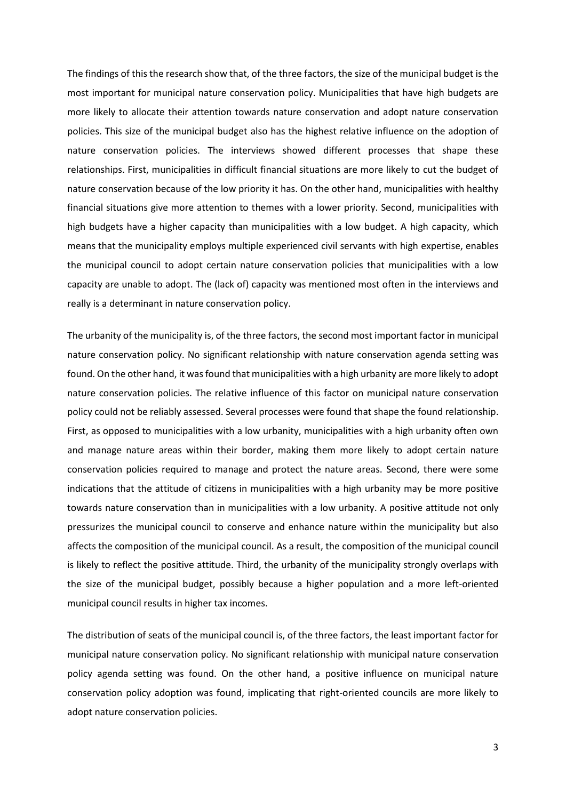The findings of this the research show that, of the three factors, the size of the municipal budget is the most important for municipal nature conservation policy. Municipalities that have high budgets are more likely to allocate their attention towards nature conservation and adopt nature conservation policies. This size of the municipal budget also has the highest relative influence on the adoption of nature conservation policies. The interviews showed different processes that shape these relationships. First, municipalities in difficult financial situations are more likely to cut the budget of nature conservation because of the low priority it has. On the other hand, municipalities with healthy financial situations give more attention to themes with a lower priority. Second, municipalities with high budgets have a higher capacity than municipalities with a low budget. A high capacity, which means that the municipality employs multiple experienced civil servants with high expertise, enables the municipal council to adopt certain nature conservation policies that municipalities with a low capacity are unable to adopt. The (lack of) capacity was mentioned most often in the interviews and really is a determinant in nature conservation policy.

The urbanity of the municipality is, of the three factors, the second most important factor in municipal nature conservation policy. No significant relationship with nature conservation agenda setting was found. On the other hand, it was found that municipalities with a high urbanity are more likely to adopt nature conservation policies. The relative influence of this factor on municipal nature conservation policy could not be reliably assessed. Several processes were found that shape the found relationship. First, as opposed to municipalities with a low urbanity, municipalities with a high urbanity often own and manage nature areas within their border, making them more likely to adopt certain nature conservation policies required to manage and protect the nature areas. Second, there were some indications that the attitude of citizens in municipalities with a high urbanity may be more positive towards nature conservation than in municipalities with a low urbanity. A positive attitude not only pressurizes the municipal council to conserve and enhance nature within the municipality but also affects the composition of the municipal council. As a result, the composition of the municipal council is likely to reflect the positive attitude. Third, the urbanity of the municipality strongly overlaps with the size of the municipal budget, possibly because a higher population and a more left-oriented municipal council results in higher tax incomes.

The distribution of seats of the municipal council is, of the three factors, the least important factor for municipal nature conservation policy. No significant relationship with municipal nature conservation policy agenda setting was found. On the other hand, a positive influence on municipal nature conservation policy adoption was found, implicating that right-oriented councils are more likely to adopt nature conservation policies.

3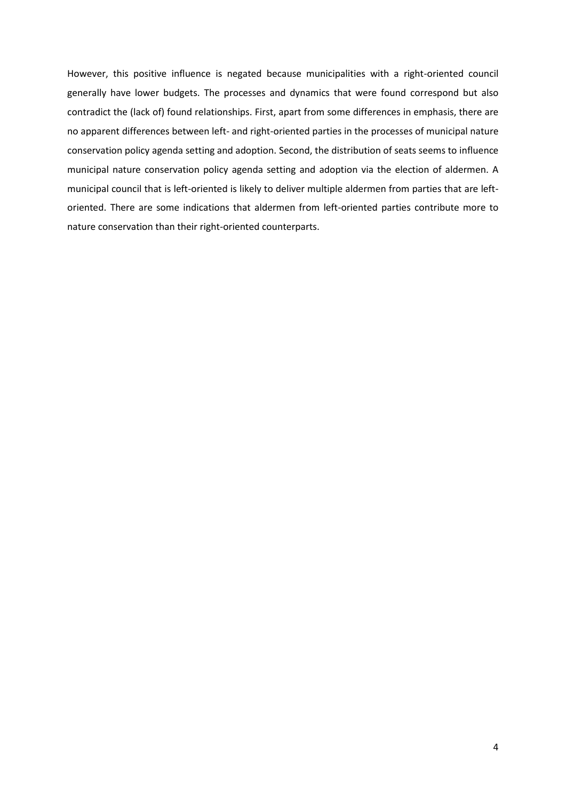However, this positive influence is negated because municipalities with a right-oriented council generally have lower budgets. The processes and dynamics that were found correspond but also contradict the (lack of) found relationships. First, apart from some differences in emphasis, there are no apparent differences between left- and right-oriented parties in the processes of municipal nature conservation policy agenda setting and adoption. Second, the distribution of seats seems to influence municipal nature conservation policy agenda setting and adoption via the election of aldermen. A municipal council that is left-oriented is likely to deliver multiple aldermen from parties that are leftoriented. There are some indications that aldermen from left-oriented parties contribute more to nature conservation than their right-oriented counterparts.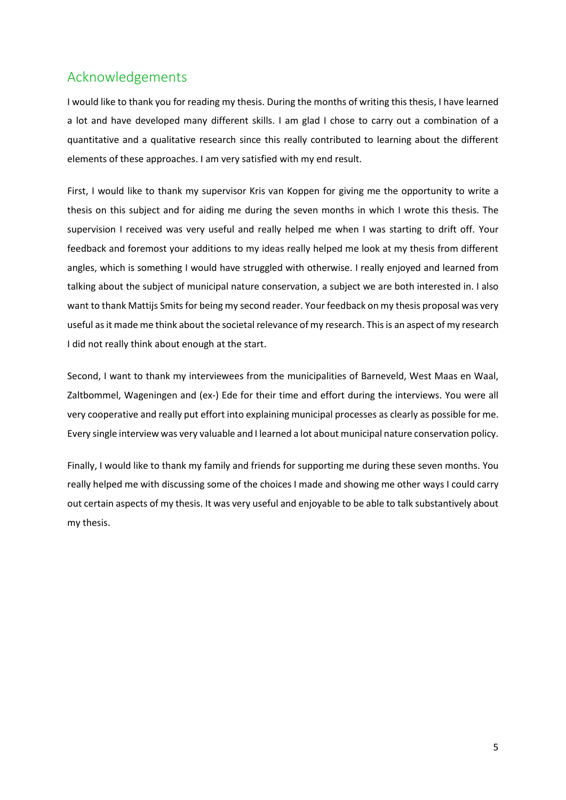# Acknowledgements

I would like to thank you for reading my thesis. During the months of writing this thesis, I have learned a lot and have developed many different skills. I am glad I chose to carry out a combination of a quantitative and a qualitative research since this really contributed to learning about the different elements of these approaches. I am very satisfied with my end result.

First, I would like to thank my supervisor Kris van Koppen for giving me the opportunity to write a thesis on this subject and for aiding me during the seven months in which I wrote this thesis. The supervision I received was very useful and really helped me when I was starting to drift off. Your feedback and foremost your additions to my ideas really helped me look at my thesis from different angles, which is something I would have struggled with otherwise. I really enjoyed and learned from talking about the subject of municipal nature conservation, a subject we are both interested in. I also want to thank Mattijs Smits for being my second reader. Your feedback on my thesis proposal was very useful as it made me think about the societal relevance of my research. This is an aspect of my research I did not really think about enough at the start.

Second, I want to thank my interviewees from the municipalities of Barneveld, West Maas en Waal, Zaltbommel, Wageningen and (ex-) Ede for their time and effort during the interviews. You were all very cooperative and really put effort into explaining municipal processes as clearly as possible for me. Every single interview was very valuable and I learned a lot about municipal nature conservation policy.

Finally, I would like to thank my family and friends for supporting me during these seven months. You really helped me with discussing some of the choices I made and showing me other ways I could carry out certain aspects of my thesis. It was very useful and enjoyable to be able to talk substantively about my thesis.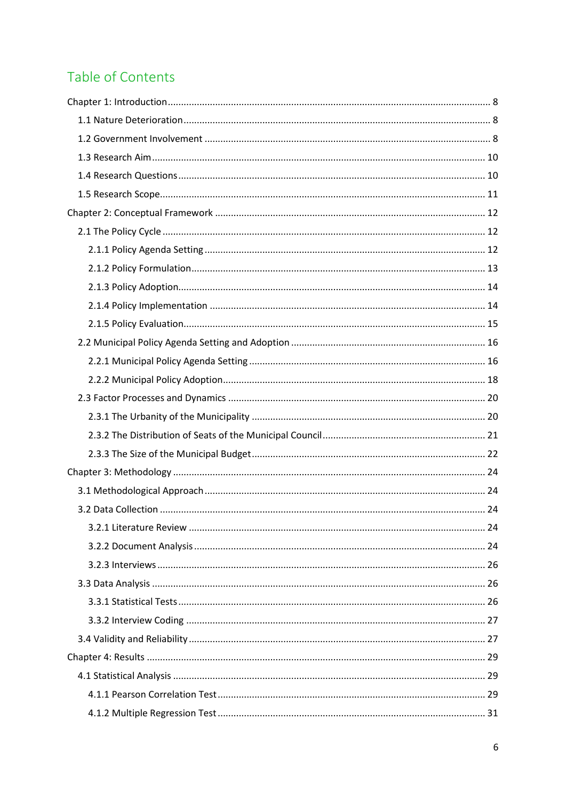# Table of Contents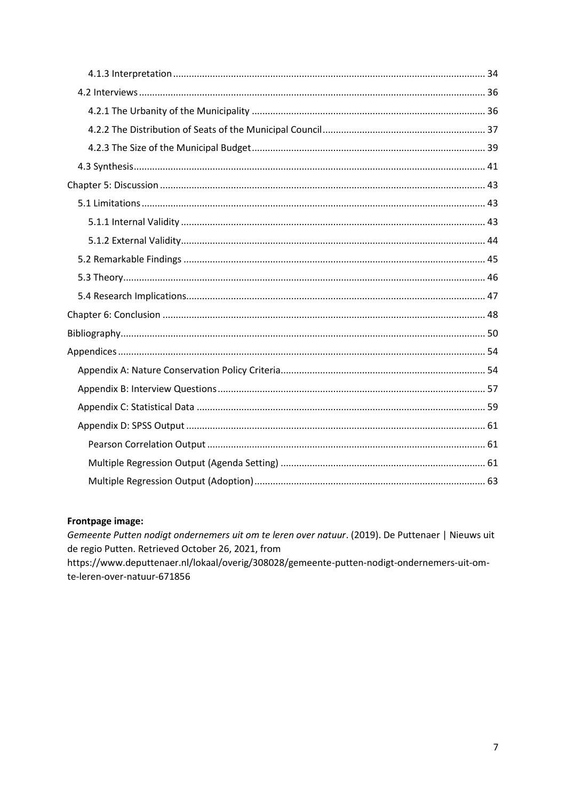# Frontpage image:

Gemeente Putten nodigt ondernemers uit om te leren over natuur. (2019). De Puttenaer | Nieuws uit de regio Putten. Retrieved October 26, 2021, from https://www.deputtenaer.nl/lokaal/overig/308028/gemeente-putten-nodigt-ondernemers-uit-omte-leren-over-natuur-671856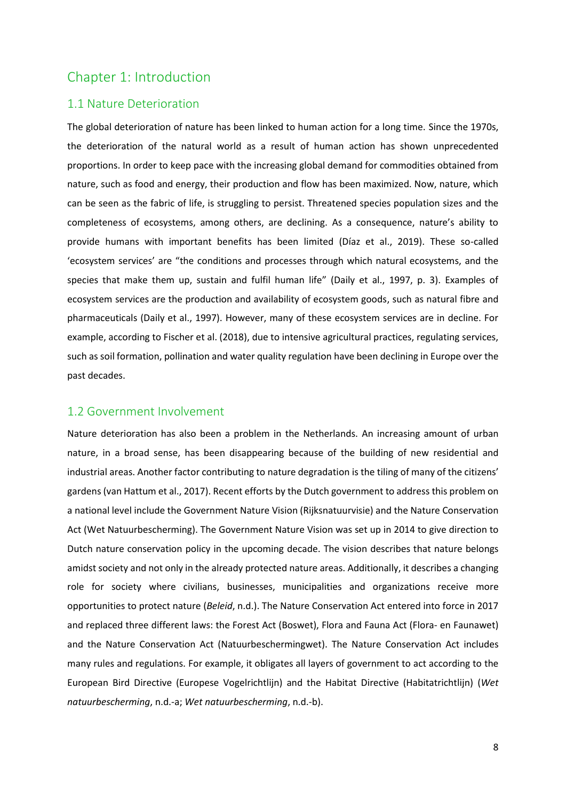# <span id="page-7-0"></span>Chapter 1: Introduction

### <span id="page-7-1"></span>1.1 Nature Deterioration

The global deterioration of nature has been linked to human action for a long time. Since the 1970s, the deterioration of the natural world as a result of human action has shown unprecedented proportions. In order to keep pace with the increasing global demand for commodities obtained from nature, such as food and energy, their production and flow has been maximized. Now, nature, which can be seen as the fabric of life, is struggling to persist. Threatened species population sizes and the completeness of ecosystems, among others, are declining. As a consequence, nature's ability to provide humans with important benefits has been limited (Díaz et al., 2019). These so-called 'ecosystem services' are "the conditions and processes through which natural ecosystems, and the species that make them up, sustain and fulfil human life" (Daily et al., 1997, p. 3). Examples of ecosystem services are the production and availability of ecosystem goods, such as natural fibre and pharmaceuticals (Daily et al., 1997). However, many of these ecosystem services are in decline. For example, according to Fischer et al. (2018), due to intensive agricultural practices, regulating services, such as soil formation, pollination and water quality regulation have been declining in Europe over the past decades.

### <span id="page-7-2"></span>1.2 Government Involvement

Nature deterioration has also been a problem in the Netherlands. An increasing amount of urban nature, in a broad sense, has been disappearing because of the building of new residential and industrial areas. Another factor contributing to nature degradation is the tiling of many of the citizens' gardens (van Hattum et al., 2017). Recent efforts by the Dutch government to address this problem on a national level include the Government Nature Vision (Rijksnatuurvisie) and the Nature Conservation Act (Wet Natuurbescherming). The Government Nature Vision was set up in 2014 to give direction to Dutch nature conservation policy in the upcoming decade. The vision describes that nature belongs amidst society and not only in the already protected nature areas. Additionally, it describes a changing role for society where civilians, businesses, municipalities and organizations receive more opportunities to protect nature (*Beleid*, n.d.). The Nature Conservation Act entered into force in 2017 and replaced three different laws: the Forest Act (Boswet), Flora and Fauna Act (Flora- en Faunawet) and the Nature Conservation Act (Natuurbeschermingwet). The Nature Conservation Act includes many rules and regulations. For example, it obligates all layers of government to act according to the European Bird Directive (Europese Vogelrichtlijn) and the Habitat Directive (Habitatrichtlijn) (*Wet natuurbescherming*, n.d.-a; *Wet natuurbescherming*, n.d.-b).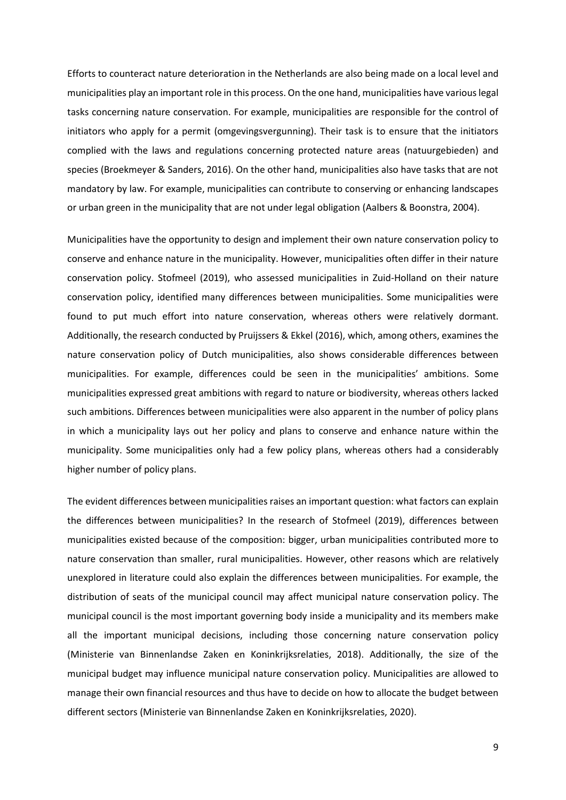Efforts to counteract nature deterioration in the Netherlands are also being made on a local level and municipalities play an important role in this process. On the one hand, municipalities have variouslegal tasks concerning nature conservation. For example, municipalities are responsible for the control of initiators who apply for a permit (omgevingsvergunning). Their task is to ensure that the initiators complied with the laws and regulations concerning protected nature areas (natuurgebieden) and species (Broekmeyer & Sanders, 2016). On the other hand, municipalities also have tasks that are not mandatory by law. For example, municipalities can contribute to conserving or enhancing landscapes or urban green in the municipality that are not under legal obligation (Aalbers & Boonstra, 2004).

Municipalities have the opportunity to design and implement their own nature conservation policy to conserve and enhance nature in the municipality. However, municipalities often differ in their nature conservation policy. Stofmeel (2019), who assessed municipalities in Zuid-Holland on their nature conservation policy, identified many differences between municipalities. Some municipalities were found to put much effort into nature conservation, whereas others were relatively dormant. Additionally, the research conducted by Pruijssers & Ekkel (2016), which, among others, examines the nature conservation policy of Dutch municipalities, also shows considerable differences between municipalities. For example, differences could be seen in the municipalities' ambitions. Some municipalities expressed great ambitions with regard to nature or biodiversity, whereas others lacked such ambitions. Differences between municipalities were also apparent in the number of policy plans in which a municipality lays out her policy and plans to conserve and enhance nature within the municipality. Some municipalities only had a few policy plans, whereas others had a considerably higher number of policy plans.

The evident differences between municipalities raises an important question: what factors can explain the differences between municipalities? In the research of Stofmeel (2019), differences between municipalities existed because of the composition: bigger, urban municipalities contributed more to nature conservation than smaller, rural municipalities. However, other reasons which are relatively unexplored in literature could also explain the differences between municipalities. For example, the distribution of seats of the municipal council may affect municipal nature conservation policy. The municipal council is the most important governing body inside a municipality and its members make all the important municipal decisions, including those concerning nature conservation policy (Ministerie van Binnenlandse Zaken en Koninkrijksrelaties, 2018). Additionally, the size of the municipal budget may influence municipal nature conservation policy. Municipalities are allowed to manage their own financial resources and thus have to decide on how to allocate the budget between different sectors (Ministerie van Binnenlandse Zaken en Koninkrijksrelaties, 2020).

9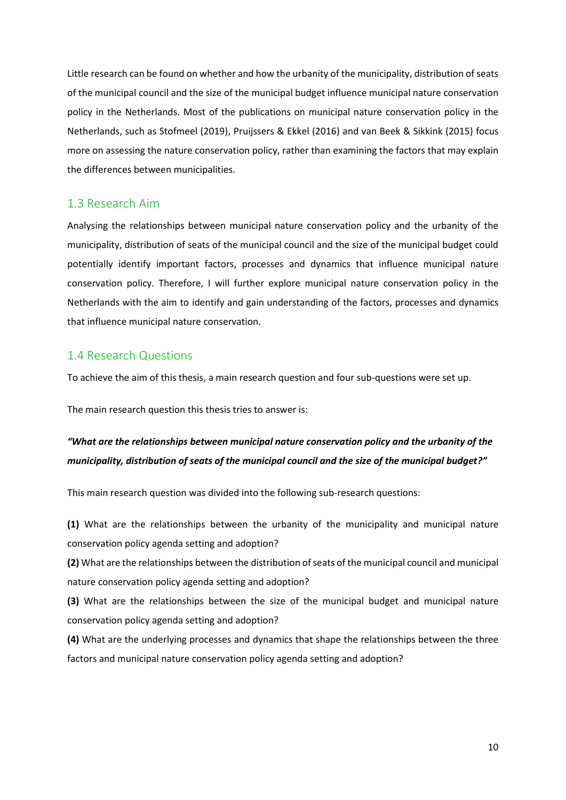Little research can be found on whether and how the urbanity of the municipality, distribution of seats of the municipal council and the size of the municipal budget influence municipal nature conservation policy in the Netherlands. Most of the publications on municipal nature conservation policy in the Netherlands, such as Stofmeel (2019), Pruijssers & Ekkel (2016) and van Beek & Sikkink (2015) focus more on assessing the nature conservation policy, rather than examining the factors that may explain the differences between municipalities.

# <span id="page-9-0"></span>1.3 Research Aim

Analysing the relationships between municipal nature conservation policy and the urbanity of the municipality, distribution of seats of the municipal council and the size of the municipal budget could potentially identify important factors, processes and dynamics that influence municipal nature conservation policy. Therefore, I will further explore municipal nature conservation policy in the Netherlands with the aim to identify and gain understanding of the factors, processes and dynamics that influence municipal nature conservation.

# <span id="page-9-1"></span>1.4 Research Questions

To achieve the aim of this thesis, a main research question and four sub-questions were set up.

The main research question this thesis tries to answer is:

# *"What are the relationships between municipal nature conservation policy and the urbanity of the municipality, distribution of seats of the municipal council and the size of the municipal budget?"*

This main research question was divided into the following sub-research questions:

**(1)** What are the relationships between the urbanity of the municipality and municipal nature conservation policy agenda setting and adoption?

**(2)** What are the relationships between the distribution of seats of the municipal council and municipal nature conservation policy agenda setting and adoption?

**(3)** What are the relationships between the size of the municipal budget and municipal nature conservation policy agenda setting and adoption?

**(4)** What are the underlying processes and dynamics that shape the relationships between the three factors and municipal nature conservation policy agenda setting and adoption?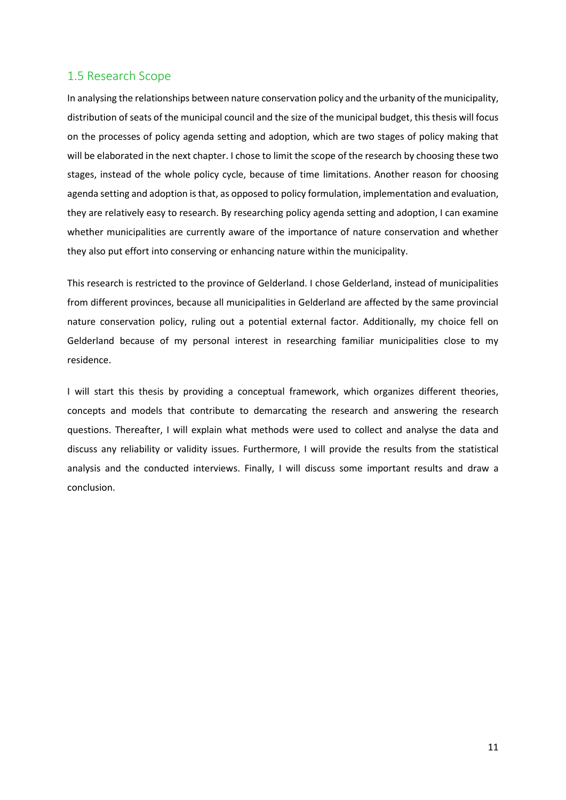# <span id="page-10-0"></span>1.5 Research Scope

In analysing the relationships between nature conservation policy and the urbanity of the municipality, distribution of seats of the municipal council and the size of the municipal budget, this thesis will focus on the processes of policy agenda setting and adoption, which are two stages of policy making that will be elaborated in the next chapter. I chose to limit the scope of the research by choosing these two stages, instead of the whole policy cycle, because of time limitations. Another reason for choosing agenda setting and adoption is that, as opposed to policy formulation, implementation and evaluation, they are relatively easy to research. By researching policy agenda setting and adoption, I can examine whether municipalities are currently aware of the importance of nature conservation and whether they also put effort into conserving or enhancing nature within the municipality.

This research is restricted to the province of Gelderland. I chose Gelderland, instead of municipalities from different provinces, because all municipalities in Gelderland are affected by the same provincial nature conservation policy, ruling out a potential external factor. Additionally, my choice fell on Gelderland because of my personal interest in researching familiar municipalities close to my residence.

I will start this thesis by providing a conceptual framework, which organizes different theories, concepts and models that contribute to demarcating the research and answering the research questions. Thereafter, I will explain what methods were used to collect and analyse the data and discuss any reliability or validity issues. Furthermore, I will provide the results from the statistical analysis and the conducted interviews. Finally, I will discuss some important results and draw a conclusion.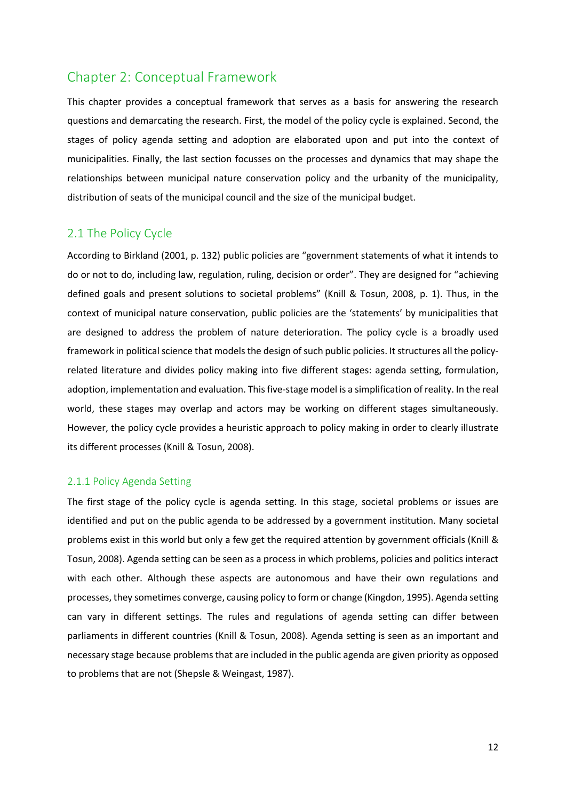# <span id="page-11-0"></span>Chapter 2: Conceptual Framework

This chapter provides a conceptual framework that serves as a basis for answering the research questions and demarcating the research. First, the model of the policy cycle is explained. Second, the stages of policy agenda setting and adoption are elaborated upon and put into the context of municipalities. Finally, the last section focusses on the processes and dynamics that may shape the relationships between municipal nature conservation policy and the urbanity of the municipality, distribution of seats of the municipal council and the size of the municipal budget.

# <span id="page-11-1"></span>2.1 The Policy Cycle

According to Birkland (2001, p. 132) public policies are "government statements of what it intends to do or not to do, including law, regulation, ruling, decision or order". They are designed for "achieving defined goals and present solutions to societal problems" (Knill & Tosun, 2008, p. 1). Thus, in the context of municipal nature conservation, public policies are the 'statements' by municipalities that are designed to address the problem of nature deterioration. The policy cycle is a broadly used framework in political science that models the design of such public policies. It structures all the policyrelated literature and divides policy making into five different stages: agenda setting, formulation, adoption, implementation and evaluation. This five-stage model is a simplification of reality. In the real world, these stages may overlap and actors may be working on different stages simultaneously. However, the policy cycle provides a heuristic approach to policy making in order to clearly illustrate its different processes (Knill & Tosun, 2008).

#### <span id="page-11-2"></span>2.1.1 Policy Agenda Setting

The first stage of the policy cycle is agenda setting. In this stage, societal problems or issues are identified and put on the public agenda to be addressed by a government institution. Many societal problems exist in this world but only a few get the required attention by government officials (Knill & Tosun, 2008). Agenda setting can be seen as a process in which problems, policies and politics interact with each other. Although these aspects are autonomous and have their own regulations and processes, they sometimes converge, causing policy to form or change (Kingdon, 1995). Agenda setting can vary in different settings. The rules and regulations of agenda setting can differ between parliaments in different countries (Knill & Tosun, 2008). Agenda setting is seen as an important and necessary stage because problems that are included in the public agenda are given priority as opposed to problems that are not (Shepsle & Weingast, 1987).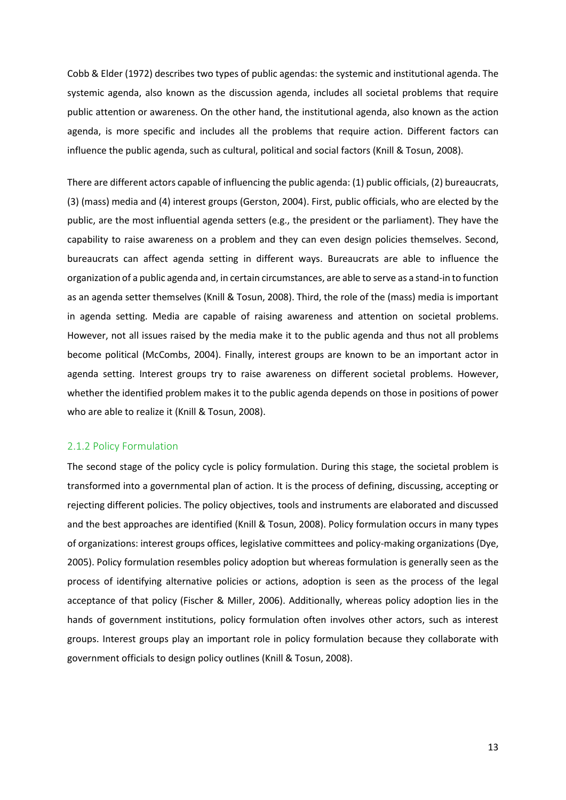Cobb & Elder (1972) describes two types of public agendas: the systemic and institutional agenda. The systemic agenda, also known as the discussion agenda, includes all societal problems that require public attention or awareness. On the other hand, the institutional agenda, also known as the action agenda, is more specific and includes all the problems that require action. Different factors can influence the public agenda, such as cultural, political and social factors (Knill & Tosun, 2008).

There are different actors capable of influencing the public agenda: (1) public officials, (2) bureaucrats, (3) (mass) media and (4) interest groups (Gerston, 2004). First, public officials, who are elected by the public, are the most influential agenda setters (e.g., the president or the parliament). They have the capability to raise awareness on a problem and they can even design policies themselves. Second, bureaucrats can affect agenda setting in different ways. Bureaucrats are able to influence the organization of a public agenda and, in certain circumstances, are able to serve as a stand-in to function as an agenda setter themselves (Knill & Tosun, 2008). Third, the role of the (mass) media is important in agenda setting. Media are capable of raising awareness and attention on societal problems. However, not all issues raised by the media make it to the public agenda and thus not all problems become political (McCombs, 2004). Finally, interest groups are known to be an important actor in agenda setting. Interest groups try to raise awareness on different societal problems. However, whether the identified problem makes it to the public agenda depends on those in positions of power who are able to realize it (Knill & Tosun, 2008).

#### <span id="page-12-0"></span>2.1.2 Policy Formulation

The second stage of the policy cycle is policy formulation. During this stage, the societal problem is transformed into a governmental plan of action. It is the process of defining, discussing, accepting or rejecting different policies. The policy objectives, tools and instruments are elaborated and discussed and the best approaches are identified (Knill & Tosun, 2008). Policy formulation occurs in many types of organizations: interest groups offices, legislative committees and policy-making organizations (Dye, 2005). Policy formulation resembles policy adoption but whereas formulation is generally seen as the process of identifying alternative policies or actions, adoption is seen as the process of the legal acceptance of that policy (Fischer & Miller, 2006). Additionally, whereas policy adoption lies in the hands of government institutions, policy formulation often involves other actors, such as interest groups. Interest groups play an important role in policy formulation because they collaborate with government officials to design policy outlines (Knill & Tosun, 2008).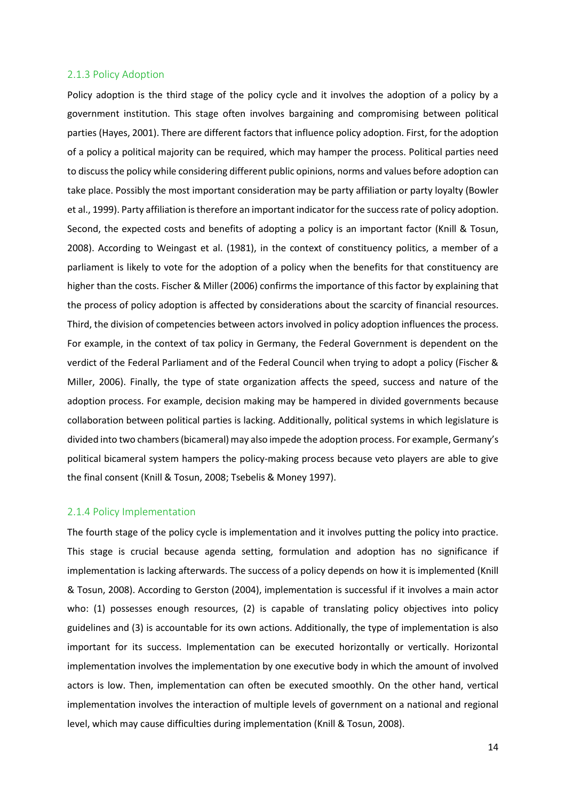#### <span id="page-13-0"></span>2.1.3 Policy Adoption

Policy adoption is the third stage of the policy cycle and it involves the adoption of a policy by a government institution. This stage often involves bargaining and compromising between political parties (Hayes, 2001). There are different factors that influence policy adoption. First, for the adoption of a policy a political majority can be required, which may hamper the process. Political parties need to discuss the policy while considering different public opinions, norms and values before adoption can take place. Possibly the most important consideration may be party affiliation or party loyalty (Bowler et al., 1999). Party affiliation istherefore an important indicator for the success rate of policy adoption. Second, the expected costs and benefits of adopting a policy is an important factor (Knill & Tosun, 2008). According to Weingast et al. (1981), in the context of constituency politics, a member of a parliament is likely to vote for the adoption of a policy when the benefits for that constituency are higher than the costs. Fischer & Miller (2006) confirms the importance of this factor by explaining that the process of policy adoption is affected by considerations about the scarcity of financial resources. Third, the division of competencies between actors involved in policy adoption influences the process. For example, in the context of tax policy in Germany, the Federal Government is dependent on the verdict of the Federal Parliament and of the Federal Council when trying to adopt a policy (Fischer & Miller, 2006). Finally, the type of state organization affects the speed, success and nature of the adoption process. For example, decision making may be hampered in divided governments because collaboration between political parties is lacking. Additionally, political systems in which legislature is divided into two chambers (bicameral) may also impede the adoption process. For example, Germany's political bicameral system hampers the policy-making process because veto players are able to give the final consent (Knill & Tosun, 2008; Tsebelis & Money 1997).

#### <span id="page-13-1"></span>2.1.4 Policy Implementation

The fourth stage of the policy cycle is implementation and it involves putting the policy into practice. This stage is crucial because agenda setting, formulation and adoption has no significance if implementation is lacking afterwards. The success of a policy depends on how it is implemented (Knill & Tosun, 2008). According to Gerston (2004), implementation is successful if it involves a main actor who: (1) possesses enough resources, (2) is capable of translating policy objectives into policy guidelines and (3) is accountable for its own actions. Additionally, the type of implementation is also important for its success. Implementation can be executed horizontally or vertically. Horizontal implementation involves the implementation by one executive body in which the amount of involved actors is low. Then, implementation can often be executed smoothly. On the other hand, vertical implementation involves the interaction of multiple levels of government on a national and regional level, which may cause difficulties during implementation (Knill & Tosun, 2008).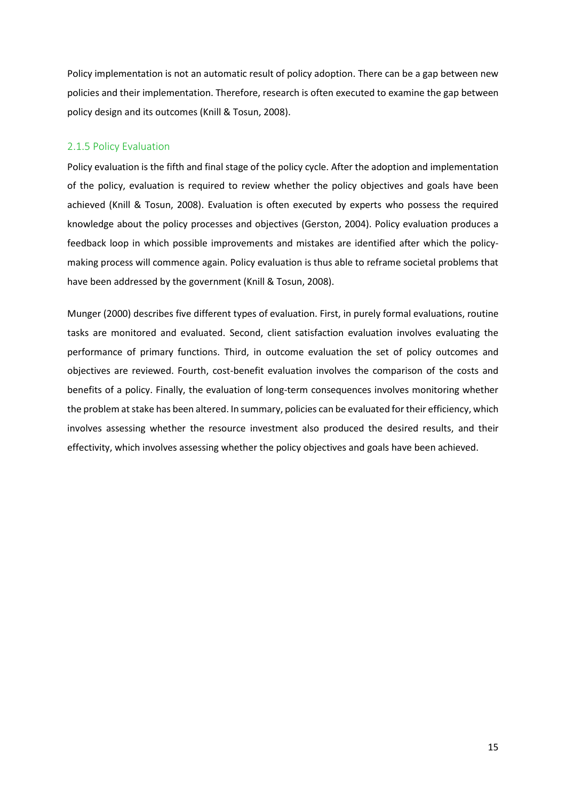Policy implementation is not an automatic result of policy adoption. There can be a gap between new policies and their implementation. Therefore, research is often executed to examine the gap between policy design and its outcomes (Knill & Tosun, 2008).

### <span id="page-14-0"></span>2.1.5 Policy Evaluation

Policy evaluation is the fifth and final stage of the policy cycle. After the adoption and implementation of the policy, evaluation is required to review whether the policy objectives and goals have been achieved (Knill & Tosun, 2008). Evaluation is often executed by experts who possess the required knowledge about the policy processes and objectives (Gerston, 2004). Policy evaluation produces a feedback loop in which possible improvements and mistakes are identified after which the policymaking process will commence again. Policy evaluation is thus able to reframe societal problems that have been addressed by the government (Knill & Tosun, 2008).

Munger (2000) describes five different types of evaluation. First, in purely formal evaluations, routine tasks are monitored and evaluated. Second, client satisfaction evaluation involves evaluating the performance of primary functions. Third, in outcome evaluation the set of policy outcomes and objectives are reviewed. Fourth, cost-benefit evaluation involves the comparison of the costs and benefits of a policy. Finally, the evaluation of long-term consequences involves monitoring whether the problem at stake has been altered. In summary, policies can be evaluated for their efficiency, which involves assessing whether the resource investment also produced the desired results, and their effectivity, which involves assessing whether the policy objectives and goals have been achieved.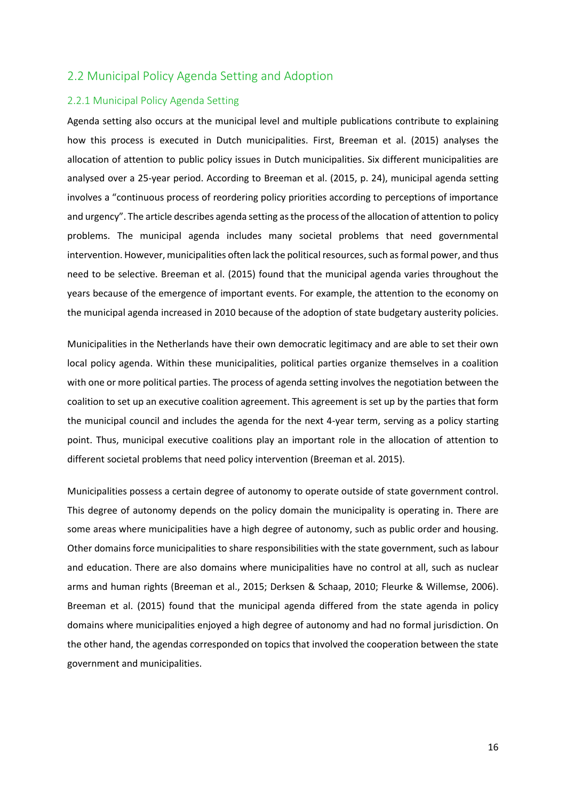### <span id="page-15-0"></span>2.2 Municipal Policy Agenda Setting and Adoption

#### <span id="page-15-1"></span>2.2.1 Municipal Policy Agenda Setting

Agenda setting also occurs at the municipal level and multiple publications contribute to explaining how this process is executed in Dutch municipalities. First, Breeman et al. (2015) analyses the allocation of attention to public policy issues in Dutch municipalities. Six different municipalities are analysed over a 25-year period. According to Breeman et al. (2015, p. 24), municipal agenda setting involves a "continuous process of reordering policy priorities according to perceptions of importance and urgency". The article describes agenda setting as the process of the allocation of attention to policy problems. The municipal agenda includes many societal problems that need governmental intervention. However, municipalities often lack the political resources, such as formal power, and thus need to be selective. Breeman et al. (2015) found that the municipal agenda varies throughout the years because of the emergence of important events. For example, the attention to the economy on the municipal agenda increased in 2010 because of the adoption of state budgetary austerity policies.

Municipalities in the Netherlands have their own democratic legitimacy and are able to set their own local policy agenda. Within these municipalities, political parties organize themselves in a coalition with one or more political parties. The process of agenda setting involves the negotiation between the coalition to set up an executive coalition agreement. This agreement is set up by the parties that form the municipal council and includes the agenda for the next 4-year term, serving as a policy starting point. Thus, municipal executive coalitions play an important role in the allocation of attention to different societal problems that need policy intervention (Breeman et al. 2015).

Municipalities possess a certain degree of autonomy to operate outside of state government control. This degree of autonomy depends on the policy domain the municipality is operating in. There are some areas where municipalities have a high degree of autonomy, such as public order and housing. Other domains force municipalities to share responsibilities with the state government, such as labour and education. There are also domains where municipalities have no control at all, such as nuclear arms and human rights (Breeman et al., 2015; Derksen & Schaap, 2010; Fleurke & Willemse, 2006). Breeman et al. (2015) found that the municipal agenda differed from the state agenda in policy domains where municipalities enjoyed a high degree of autonomy and had no formal jurisdiction. On the other hand, the agendas corresponded on topics that involved the cooperation between the state government and municipalities.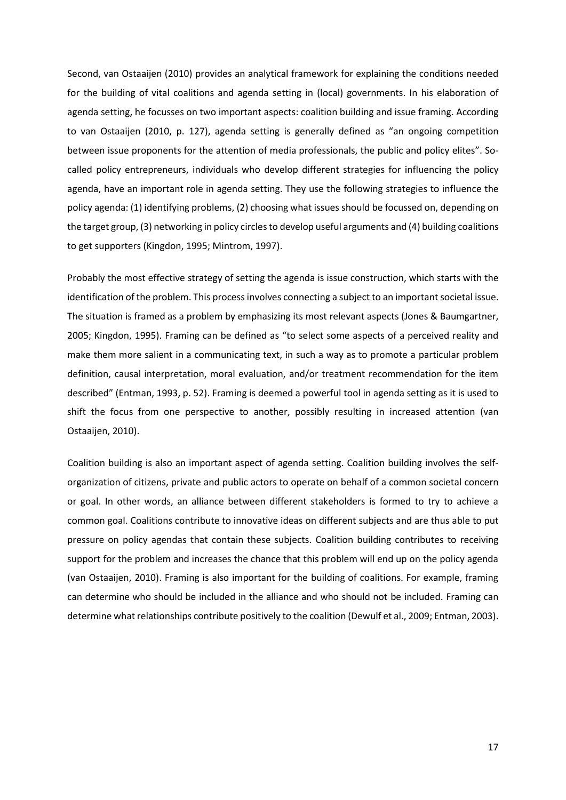Second, van Ostaaijen (2010) provides an analytical framework for explaining the conditions needed for the building of vital coalitions and agenda setting in (local) governments. In his elaboration of agenda setting, he focusses on two important aspects: coalition building and issue framing. According to van Ostaaijen (2010, p. 127), agenda setting is generally defined as "an ongoing competition between issue proponents for the attention of media professionals, the public and policy elites". Socalled policy entrepreneurs, individuals who develop different strategies for influencing the policy agenda, have an important role in agenda setting. They use the following strategies to influence the policy agenda: (1) identifying problems, (2) choosing what issues should be focussed on, depending on the target group, (3) networking in policy circles to develop useful arguments and (4) building coalitions to get supporters (Kingdon, 1995; Mintrom, 1997).

Probably the most effective strategy of setting the agenda is issue construction, which starts with the identification of the problem. This process involves connecting a subject to an important societal issue. The situation is framed as a problem by emphasizing its most relevant aspects (Jones & Baumgartner, 2005; Kingdon, 1995). Framing can be defined as "to select some aspects of a perceived reality and make them more salient in a communicating text, in such a way as to promote a particular problem definition, causal interpretation, moral evaluation, and/or treatment recommendation for the item described" (Entman, 1993, p. 52). Framing is deemed a powerful tool in agenda setting as it is used to shift the focus from one perspective to another, possibly resulting in increased attention (van Ostaaijen, 2010).

Coalition building is also an important aspect of agenda setting. Coalition building involves the selforganization of citizens, private and public actors to operate on behalf of a common societal concern or goal. In other words, an alliance between different stakeholders is formed to try to achieve a common goal. Coalitions contribute to innovative ideas on different subjects and are thus able to put pressure on policy agendas that contain these subjects. Coalition building contributes to receiving support for the problem and increases the chance that this problem will end up on the policy agenda (van Ostaaijen, 2010). Framing is also important for the building of coalitions. For example, framing can determine who should be included in the alliance and who should not be included. Framing can determine what relationships contribute positively to the coalition (Dewulf et al., 2009; Entman, 2003).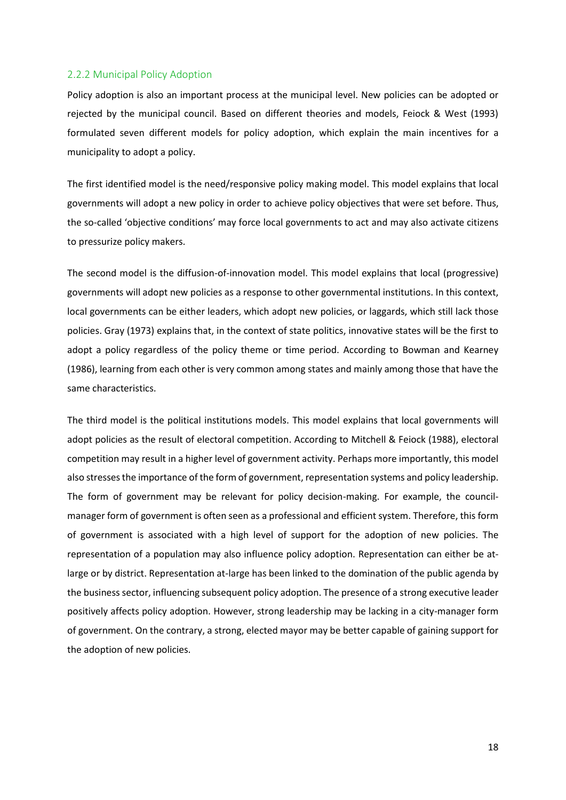#### <span id="page-17-0"></span>2.2.2 Municipal Policy Adoption

Policy adoption is also an important process at the municipal level. New policies can be adopted or rejected by the municipal council. Based on different theories and models, Feiock & West (1993) formulated seven different models for policy adoption, which explain the main incentives for a municipality to adopt a policy.

The first identified model is the need/responsive policy making model. This model explains that local governments will adopt a new policy in order to achieve policy objectives that were set before. Thus, the so-called 'objective conditions' may force local governments to act and may also activate citizens to pressurize policy makers.

The second model is the diffusion-of-innovation model. This model explains that local (progressive) governments will adopt new policies as a response to other governmental institutions. In this context, local governments can be either leaders, which adopt new policies, or laggards, which still lack those policies. Gray (1973) explains that, in the context of state politics, innovative states will be the first to adopt a policy regardless of the policy theme or time period. According to Bowman and Kearney (1986), learning from each other is very common among states and mainly among those that have the same characteristics.

The third model is the political institutions models. This model explains that local governments will adopt policies as the result of electoral competition. According to Mitchell & Feiock (1988), electoral competition may result in a higher level of government activity. Perhaps more importantly, this model also stresses the importance of the form of government, representation systems and policy leadership. The form of government may be relevant for policy decision-making. For example, the councilmanager form of government is often seen as a professional and efficient system. Therefore, this form of government is associated with a high level of support for the adoption of new policies. The representation of a population may also influence policy adoption. Representation can either be atlarge or by district. Representation at-large has been linked to the domination of the public agenda by the business sector, influencing subsequent policy adoption. The presence of a strong executive leader positively affects policy adoption. However, strong leadership may be lacking in a city-manager form of government. On the contrary, a strong, elected mayor may be better capable of gaining support for the adoption of new policies.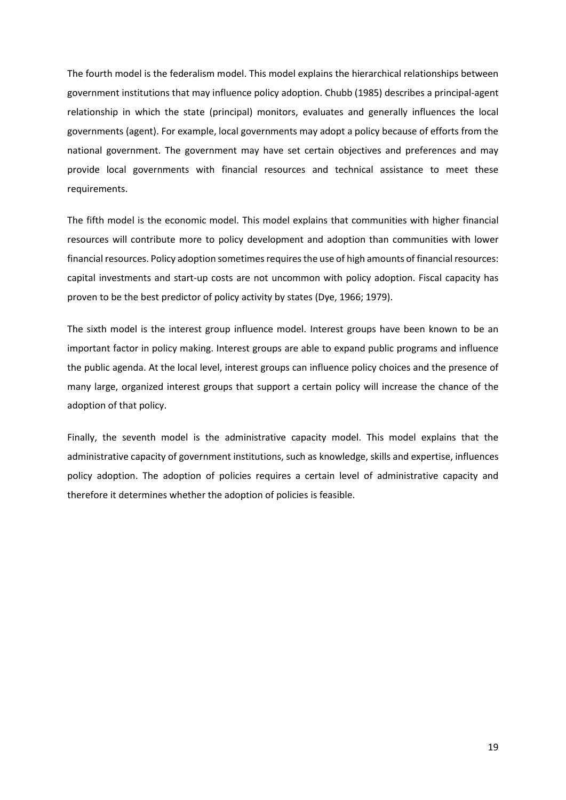The fourth model is the federalism model. This model explains the hierarchical relationships between government institutions that may influence policy adoption. Chubb (1985) describes a principal-agent relationship in which the state (principal) monitors, evaluates and generally influences the local governments (agent). For example, local governments may adopt a policy because of efforts from the national government. The government may have set certain objectives and preferences and may provide local governments with financial resources and technical assistance to meet these requirements.

The fifth model is the economic model. This model explains that communities with higher financial resources will contribute more to policy development and adoption than communities with lower financial resources. Policy adoption sometimes requires the use of high amounts of financial resources: capital investments and start-up costs are not uncommon with policy adoption. Fiscal capacity has proven to be the best predictor of policy activity by states (Dye, 1966; 1979).

The sixth model is the interest group influence model. Interest groups have been known to be an important factor in policy making. Interest groups are able to expand public programs and influence the public agenda. At the local level, interest groups can influence policy choices and the presence of many large, organized interest groups that support a certain policy will increase the chance of the adoption of that policy.

Finally, the seventh model is the administrative capacity model. This model explains that the administrative capacity of government institutions, such as knowledge, skills and expertise, influences policy adoption. The adoption of policies requires a certain level of administrative capacity and therefore it determines whether the adoption of policies is feasible.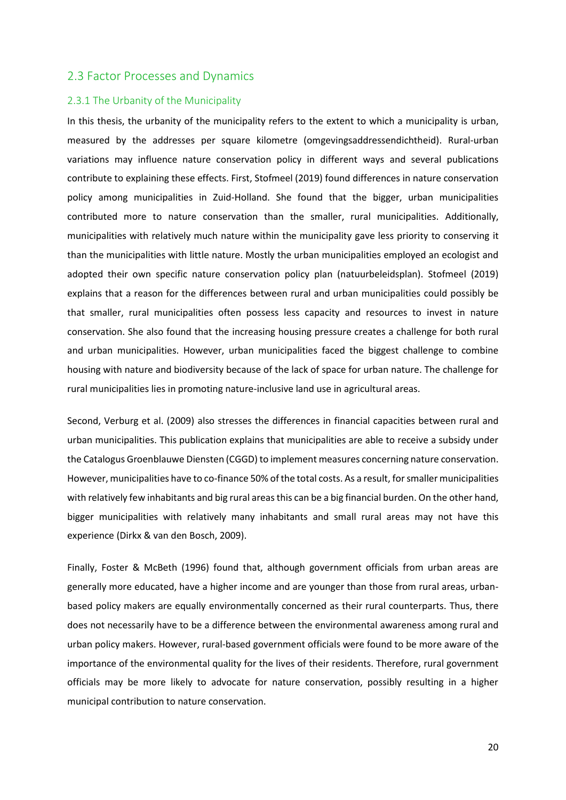### <span id="page-19-0"></span>2.3 Factor Processes and Dynamics

#### <span id="page-19-1"></span>2.3.1 The Urbanity of the Municipality

In this thesis, the urbanity of the municipality refers to the extent to which a municipality is urban, measured by the addresses per square kilometre (omgevingsaddressendichtheid). Rural-urban variations may influence nature conservation policy in different ways and several publications contribute to explaining these effects. First, Stofmeel (2019) found differences in nature conservation policy among municipalities in Zuid-Holland. She found that the bigger, urban municipalities contributed more to nature conservation than the smaller, rural municipalities. Additionally, municipalities with relatively much nature within the municipality gave less priority to conserving it than the municipalities with little nature. Mostly the urban municipalities employed an ecologist and adopted their own specific nature conservation policy plan (natuurbeleidsplan). Stofmeel (2019) explains that a reason for the differences between rural and urban municipalities could possibly be that smaller, rural municipalities often possess less capacity and resources to invest in nature conservation. She also found that the increasing housing pressure creates a challenge for both rural and urban municipalities. However, urban municipalities faced the biggest challenge to combine housing with nature and biodiversity because of the lack of space for urban nature. The challenge for rural municipalities lies in promoting nature-inclusive land use in agricultural areas.

Second, Verburg et al. (2009) also stresses the differences in financial capacities between rural and urban municipalities. This publication explains that municipalities are able to receive a subsidy under the Catalogus Groenblauwe Diensten (CGGD) to implement measures concerning nature conservation. However, municipalities have to co-finance 50% of the total costs. As a result, for smaller municipalities with relatively few inhabitants and big rural areas this can be a big financial burden. On the other hand, bigger municipalities with relatively many inhabitants and small rural areas may not have this experience (Dirkx & van den Bosch, 2009).

Finally, Foster & McBeth (1996) found that, although government officials from urban areas are generally more educated, have a higher income and are younger than those from rural areas, urbanbased policy makers are equally environmentally concerned as their rural counterparts. Thus, there does not necessarily have to be a difference between the environmental awareness among rural and urban policy makers. However, rural-based government officials were found to be more aware of the importance of the environmental quality for the lives of their residents. Therefore, rural government officials may be more likely to advocate for nature conservation, possibly resulting in a higher municipal contribution to nature conservation.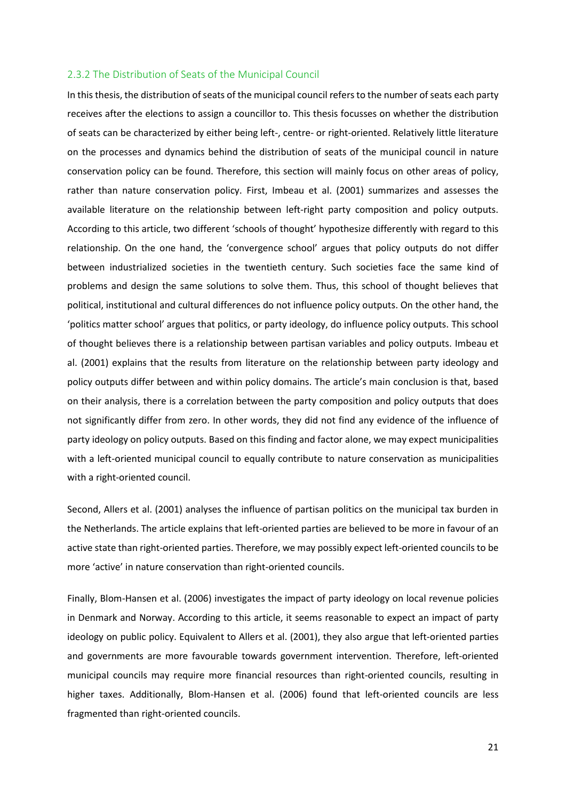#### <span id="page-20-0"></span>2.3.2 The Distribution of Seats of the Municipal Council

In this thesis, the distribution of seats of the municipal council refers to the number ofseats each party receives after the elections to assign a councillor to. This thesis focusses on whether the distribution of seats can be characterized by either being left-, centre- or right-oriented. Relatively little literature on the processes and dynamics behind the distribution of seats of the municipal council in nature conservation policy can be found. Therefore, this section will mainly focus on other areas of policy, rather than nature conservation policy. First, Imbeau et al. (2001) summarizes and assesses the available literature on the relationship between left-right party composition and policy outputs. According to this article, two different 'schools of thought' hypothesize differently with regard to this relationship. On the one hand, the 'convergence school' argues that policy outputs do not differ between industrialized societies in the twentieth century. Such societies face the same kind of problems and design the same solutions to solve them. Thus, this school of thought believes that political, institutional and cultural differences do not influence policy outputs. On the other hand, the 'politics matter school' argues that politics, or party ideology, do influence policy outputs. This school of thought believes there is a relationship between partisan variables and policy outputs. Imbeau et al. (2001) explains that the results from literature on the relationship between party ideology and policy outputs differ between and within policy domains. The article's main conclusion is that, based on their analysis, there is a correlation between the party composition and policy outputs that does not significantly differ from zero. In other words, they did not find any evidence of the influence of party ideology on policy outputs. Based on this finding and factor alone, we may expect municipalities with a left-oriented municipal council to equally contribute to nature conservation as municipalities with a right-oriented council.

Second, Allers et al. (2001) analyses the influence of partisan politics on the municipal tax burden in the Netherlands. The article explains that left-oriented parties are believed to be more in favour of an active state than right-oriented parties. Therefore, we may possibly expect left-oriented councils to be more 'active' in nature conservation than right-oriented councils.

Finally, Blom-Hansen et al. (2006) investigates the impact of party ideology on local revenue policies in Denmark and Norway. According to this article, it seems reasonable to expect an impact of party ideology on public policy. Equivalent to Allers et al. (2001), they also argue that left-oriented parties and governments are more favourable towards government intervention. Therefore, left-oriented municipal councils may require more financial resources than right-oriented councils, resulting in higher taxes. Additionally, Blom-Hansen et al. (2006) found that left-oriented councils are less fragmented than right-oriented councils.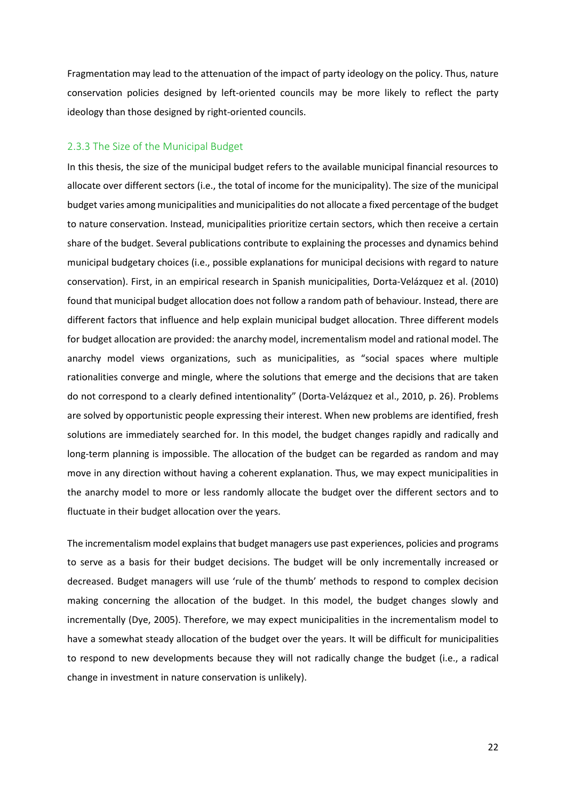Fragmentation may lead to the attenuation of the impact of party ideology on the policy. Thus, nature conservation policies designed by left-oriented councils may be more likely to reflect the party ideology than those designed by right-oriented councils.

#### <span id="page-21-0"></span>2.3.3 The Size of the Municipal Budget

In this thesis, the size of the municipal budget refers to the available municipal financial resources to allocate over different sectors (i.e., the total of income for the municipality). The size of the municipal budget varies among municipalities and municipalities do not allocate a fixed percentage of the budget to nature conservation. Instead, municipalities prioritize certain sectors, which then receive a certain share of the budget. Several publications contribute to explaining the processes and dynamics behind municipal budgetary choices (i.e., possible explanations for municipal decisions with regard to nature conservation). First, in an empirical research in Spanish municipalities, Dorta-Velázquez et al. (2010) found that municipal budget allocation does not follow a random path of behaviour. Instead, there are different factors that influence and help explain municipal budget allocation. Three different models for budget allocation are provided: the anarchy model, incrementalism model and rational model. The anarchy model views organizations, such as municipalities, as "social spaces where multiple rationalities converge and mingle, where the solutions that emerge and the decisions that are taken do not correspond to a clearly defined intentionality" (Dorta-Velázquez et al., 2010, p. 26). Problems are solved by opportunistic people expressing their interest. When new problems are identified, fresh solutions are immediately searched for. In this model, the budget changes rapidly and radically and long-term planning is impossible. The allocation of the budget can be regarded as random and may move in any direction without having a coherent explanation. Thus, we may expect municipalities in the anarchy model to more or less randomly allocate the budget over the different sectors and to fluctuate in their budget allocation over the years.

The incrementalism model explains that budget managers use past experiences, policies and programs to serve as a basis for their budget decisions. The budget will be only incrementally increased or decreased. Budget managers will use 'rule of the thumb' methods to respond to complex decision making concerning the allocation of the budget. In this model, the budget changes slowly and incrementally (Dye, 2005). Therefore, we may expect municipalities in the incrementalism model to have a somewhat steady allocation of the budget over the years. It will be difficult for municipalities to respond to new developments because they will not radically change the budget (i.e., a radical change in investment in nature conservation is unlikely).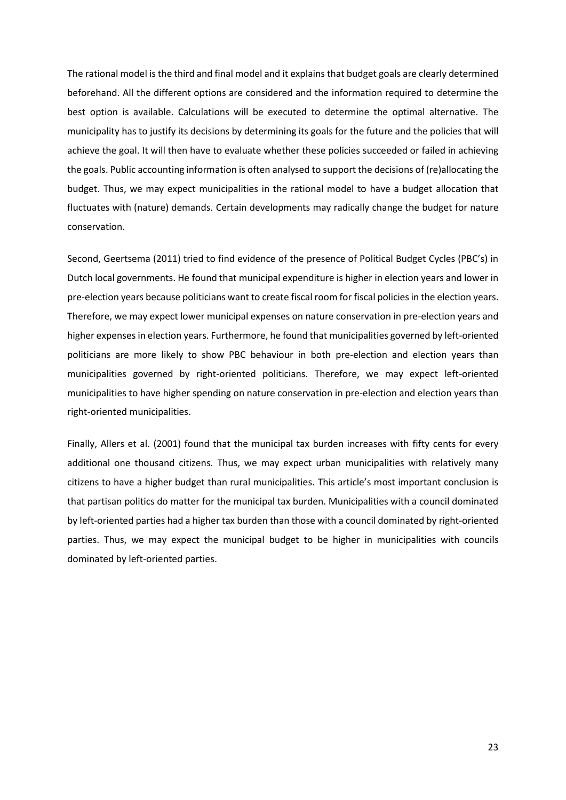The rational model is the third and final model and it explains that budget goals are clearly determined beforehand. All the different options are considered and the information required to determine the best option is available. Calculations will be executed to determine the optimal alternative. The municipality has to justify its decisions by determining its goals for the future and the policies that will achieve the goal. It will then have to evaluate whether these policies succeeded or failed in achieving the goals. Public accounting information is often analysed to support the decisions of (re)allocating the budget. Thus, we may expect municipalities in the rational model to have a budget allocation that fluctuates with (nature) demands. Certain developments may radically change the budget for nature conservation.

Second, Geertsema (2011) tried to find evidence of the presence of Political Budget Cycles (PBC's) in Dutch local governments. He found that municipal expenditure is higher in election years and lower in pre-election years because politicians want to create fiscal room for fiscal policies in the election years. Therefore, we may expect lower municipal expenses on nature conservation in pre-election years and higher expenses in election years. Furthermore, he found that municipalities governed by left-oriented politicians are more likely to show PBC behaviour in both pre-election and election years than municipalities governed by right-oriented politicians. Therefore, we may expect left-oriented municipalities to have higher spending on nature conservation in pre-election and election years than right-oriented municipalities.

Finally, Allers et al. (2001) found that the municipal tax burden increases with fifty cents for every additional one thousand citizens. Thus, we may expect urban municipalities with relatively many citizens to have a higher budget than rural municipalities. This article's most important conclusion is that partisan politics do matter for the municipal tax burden. Municipalities with a council dominated by left-oriented parties had a higher tax burden than those with a council dominated by right-oriented parties. Thus, we may expect the municipal budget to be higher in municipalities with councils dominated by left-oriented parties.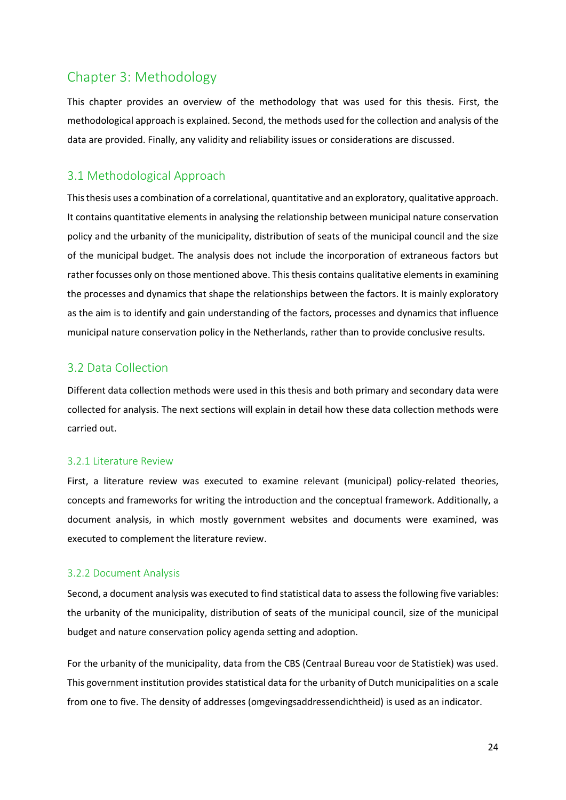# <span id="page-23-0"></span>Chapter 3: Methodology

This chapter provides an overview of the methodology that was used for this thesis. First, the methodological approach is explained. Second, the methods used for the collection and analysis of the data are provided. Finally, any validity and reliability issues or considerations are discussed.

# <span id="page-23-1"></span>3.1 Methodological Approach

This thesis uses a combination of a correlational, quantitative and an exploratory, qualitative approach. It contains quantitative elements in analysing the relationship between municipal nature conservation policy and the urbanity of the municipality, distribution of seats of the municipal council and the size of the municipal budget. The analysis does not include the incorporation of extraneous factors but rather focusses only on those mentioned above. This thesis contains qualitative elements in examining the processes and dynamics that shape the relationships between the factors. It is mainly exploratory as the aim is to identify and gain understanding of the factors, processes and dynamics that influence municipal nature conservation policy in the Netherlands, rather than to provide conclusive results.

# <span id="page-23-2"></span>3.2 Data Collection

Different data collection methods were used in this thesis and both primary and secondary data were collected for analysis. The next sections will explain in detail how these data collection methods were carried out.

### <span id="page-23-3"></span>3.2.1 Literature Review

First, a literature review was executed to examine relevant (municipal) policy-related theories, concepts and frameworks for writing the introduction and the conceptual framework. Additionally, a document analysis, in which mostly government websites and documents were examined, was executed to complement the literature review.

### <span id="page-23-4"></span>3.2.2 Document Analysis

Second, a document analysis was executed to find statistical data to assess the following five variables: the urbanity of the municipality, distribution of seats of the municipal council, size of the municipal budget and nature conservation policy agenda setting and adoption.

For the urbanity of the municipality, data from the CBS (Centraal Bureau voor de Statistiek) was used. This government institution provides statistical data for the urbanity of Dutch municipalities on a scale from one to five. The density of addresses (omgevingsaddressendichtheid) is used as an indicator.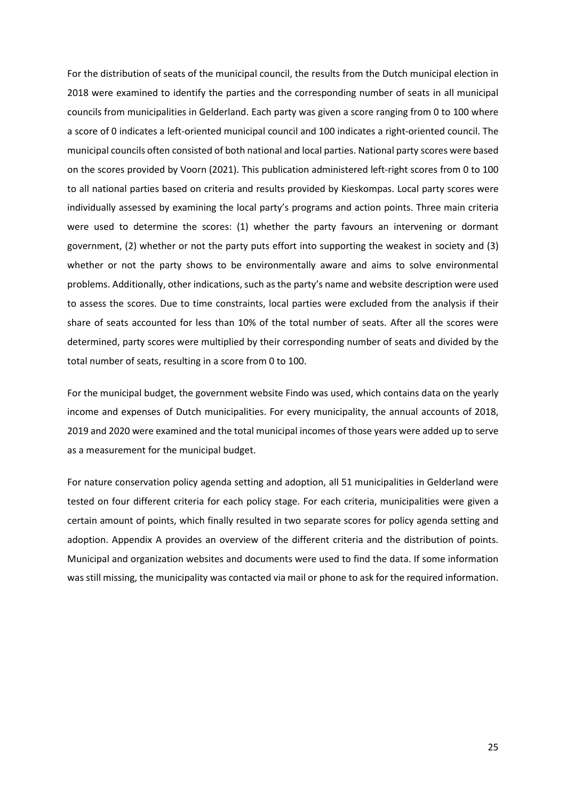For the distribution of seats of the municipal council, the results from the Dutch municipal election in 2018 were examined to identify the parties and the corresponding number of seats in all municipal councils from municipalities in Gelderland. Each party was given a score ranging from 0 to 100 where a score of 0 indicates a left-oriented municipal council and 100 indicates a right-oriented council. The municipal councils often consisted of both national and local parties. National party scores were based on the scores provided by Voorn (2021). This publication administered left-right scores from 0 to 100 to all national parties based on criteria and results provided by Kieskompas. Local party scores were individually assessed by examining the local party's programs and action points. Three main criteria were used to determine the scores: (1) whether the party favours an intervening or dormant government, (2) whether or not the party puts effort into supporting the weakest in society and (3) whether or not the party shows to be environmentally aware and aims to solve environmental problems. Additionally, other indications, such as the party's name and website description were used to assess the scores. Due to time constraints, local parties were excluded from the analysis if their share of seats accounted for less than 10% of the total number of seats. After all the scores were determined, party scores were multiplied by their corresponding number of seats and divided by the total number of seats, resulting in a score from 0 to 100.

For the municipal budget, the government website Findo was used, which contains data on the yearly income and expenses of Dutch municipalities. For every municipality, the annual accounts of 2018, 2019 and 2020 were examined and the total municipal incomes of those years were added up to serve as a measurement for the municipal budget.

For nature conservation policy agenda setting and adoption, all 51 municipalities in Gelderland were tested on four different criteria for each policy stage. For each criteria, municipalities were given a certain amount of points, which finally resulted in two separate scores for policy agenda setting and adoption. Appendix A provides an overview of the different criteria and the distribution of points. Municipal and organization websites and documents were used to find the data. If some information was still missing, the municipality was contacted via mail or phone to ask for the required information.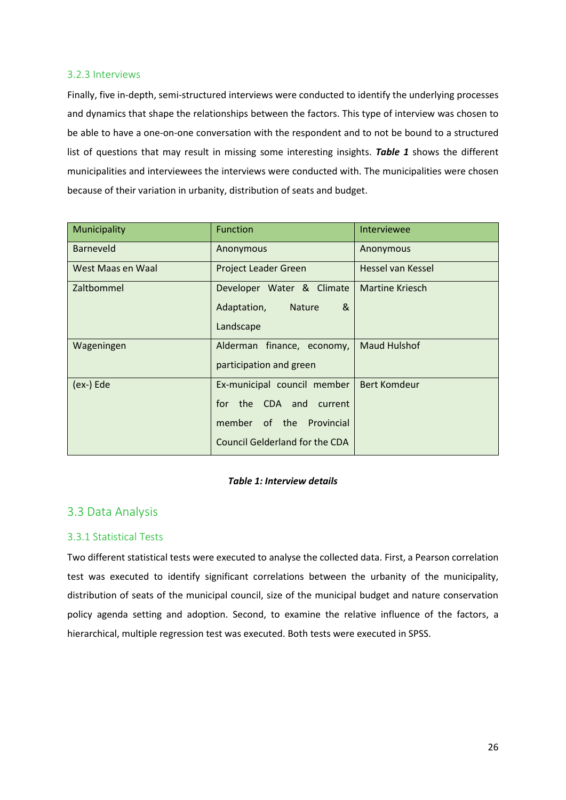#### <span id="page-25-0"></span>3.2.3 Interviews

Finally, five in-depth, semi-structured interviews were conducted to identify the underlying processes and dynamics that shape the relationships between the factors. This type of interview was chosen to be able to have a one-on-one conversation with the respondent and to not be bound to a structured list of questions that may result in missing some interesting insights. *Table 1* shows the different municipalities and interviewees the interviews were conducted with. The municipalities were chosen because of their variation in urbanity, distribution of seats and budget.

| Municipality      | <b>Function</b>                       | Interviewee            |
|-------------------|---------------------------------------|------------------------|
| <b>Barneveld</b>  | Anonymous                             | Anonymous              |
| West Maas en Waal | <b>Project Leader Green</b>           | Hessel van Kessel      |
| Zaltbommel        | Developer Water & Climate             | <b>Martine Kriesch</b> |
|                   | Adaptation,<br>&<br><b>Nature</b>     |                        |
|                   | Landscape                             |                        |
| Wageningen        | Alderman finance, economy,            | <b>Maud Hulshof</b>    |
|                   | participation and green               |                        |
| (ex-) Ede         | Ex-municipal council member           | <b>Bert Komdeur</b>    |
|                   | for the CDA and current               |                        |
|                   | member of the<br>Provincial           |                        |
|                   | <b>Council Gelderland for the CDA</b> |                        |

#### *Table 1: Interview details*

# <span id="page-25-1"></span>3.3 Data Analysis

### <span id="page-25-2"></span>3.3.1 Statistical Tests

Two different statistical tests were executed to analyse the collected data. First, a Pearson correlation test was executed to identify significant correlations between the urbanity of the municipality, distribution of seats of the municipal council, size of the municipal budget and nature conservation policy agenda setting and adoption. Second, to examine the relative influence of the factors, a hierarchical, multiple regression test was executed. Both tests were executed in SPSS.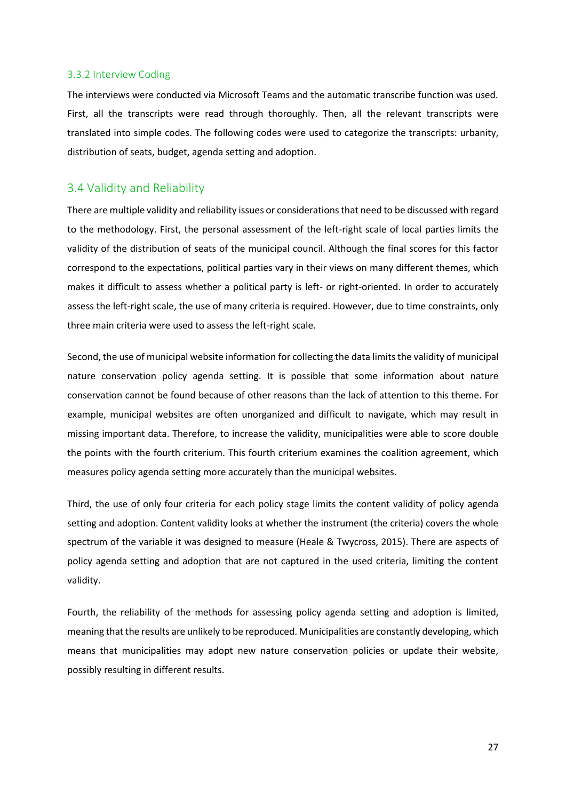#### <span id="page-26-0"></span>3.3.2 Interview Coding

The interviews were conducted via Microsoft Teams and the automatic transcribe function was used. First, all the transcripts were read through thoroughly. Then, all the relevant transcripts were translated into simple codes. The following codes were used to categorize the transcripts: urbanity, distribution of seats, budget, agenda setting and adoption.

# <span id="page-26-1"></span>3.4 Validity and Reliability

There are multiple validity and reliability issues or considerations that need to be discussed with regard to the methodology. First, the personal assessment of the left-right scale of local parties limits the validity of the distribution of seats of the municipal council. Although the final scores for this factor correspond to the expectations, political parties vary in their views on many different themes, which makes it difficult to assess whether a political party is left- or right-oriented. In order to accurately assess the left-right scale, the use of many criteria is required. However, due to time constraints, only three main criteria were used to assess the left-right scale.

Second, the use of municipal website information for collecting the data limits the validity of municipal nature conservation policy agenda setting. It is possible that some information about nature conservation cannot be found because of other reasons than the lack of attention to this theme. For example, municipal websites are often unorganized and difficult to navigate, which may result in missing important data. Therefore, to increase the validity, municipalities were able to score double the points with the fourth criterium. This fourth criterium examines the coalition agreement, which measures policy agenda setting more accurately than the municipal websites.

Third, the use of only four criteria for each policy stage limits the content validity of policy agenda setting and adoption. Content validity looks at whether the instrument (the criteria) covers the whole spectrum of the variable it was designed to measure (Heale & Twycross, 2015). There are aspects of policy agenda setting and adoption that are not captured in the used criteria, limiting the content validity.

Fourth, the reliability of the methods for assessing policy agenda setting and adoption is limited, meaning that the results are unlikely to be reproduced. Municipalities are constantly developing, which means that municipalities may adopt new nature conservation policies or update their website, possibly resulting in different results.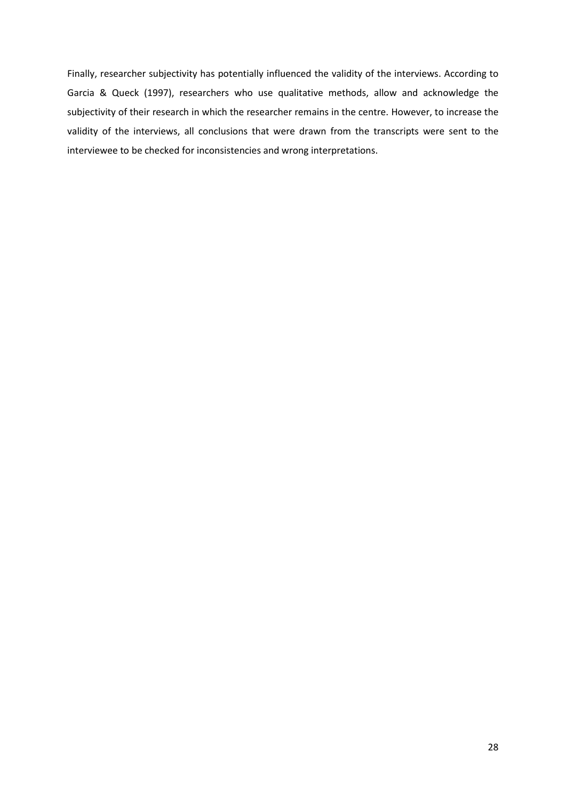Finally, researcher subjectivity has potentially influenced the validity of the interviews. According to Garcia & Queck (1997), researchers who use qualitative methods, allow and acknowledge the subjectivity of their research in which the researcher remains in the centre. However, to increase the validity of the interviews, all conclusions that were drawn from the transcripts were sent to the interviewee to be checked for inconsistencies and wrong interpretations.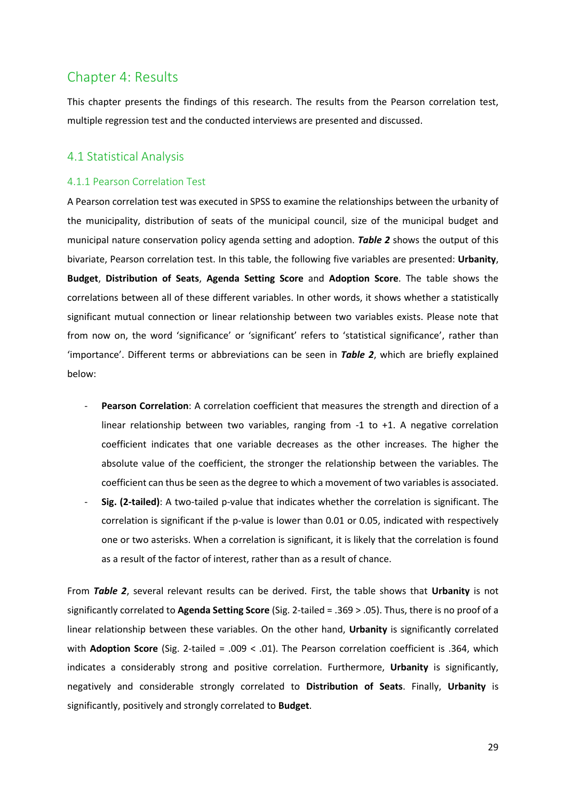# <span id="page-28-0"></span>Chapter 4: Results

This chapter presents the findings of this research. The results from the Pearson correlation test, multiple regression test and the conducted interviews are presented and discussed.

# <span id="page-28-1"></span>4.1 Statistical Analysis

#### <span id="page-28-2"></span>4.1.1 Pearson Correlation Test

A Pearson correlation test was executed in SPSS to examine the relationships between the urbanity of the municipality, distribution of seats of the municipal council, size of the municipal budget and municipal nature conservation policy agenda setting and adoption. *Table 2* shows the output of this bivariate, Pearson correlation test. In this table, the following five variables are presented: **Urbanity**, **Budget**, **Distribution of Seats**, **Agenda Setting Score** and **Adoption Score**. The table shows the correlations between all of these different variables. In other words, it shows whether a statistically significant mutual connection or linear relationship between two variables exists. Please note that from now on, the word 'significance' or 'significant' refers to 'statistical significance', rather than 'importance'. Different terms or abbreviations can be seen in *Table 2*, which are briefly explained below:

- Pearson Correlation: A correlation coefficient that measures the strength and direction of a linear relationship between two variables, ranging from -1 to +1. A negative correlation coefficient indicates that one variable decreases as the other increases. The higher the absolute value of the coefficient, the stronger the relationship between the variables. The coefficient can thus be seen as the degree to which a movement of two variables is associated.
- **Sig. (2-tailed)**: A two-tailed p-value that indicates whether the correlation is significant. The correlation is significant if the p-value is lower than 0.01 or 0.05, indicated with respectively one or two asterisks. When a correlation is significant, it is likely that the correlation is found as a result of the factor of interest, rather than as a result of chance.

From *Table 2*, several relevant results can be derived. First, the table shows that **Urbanity** is not significantly correlated to **Agenda Setting Score** (Sig. 2-tailed = .369 > .05). Thus, there is no proof of a linear relationship between these variables. On the other hand, **Urbanity** is significantly correlated with **Adoption Score** (Sig. 2-tailed = .009 < .01). The Pearson correlation coefficient is .364, which indicates a considerably strong and positive correlation. Furthermore, **Urbanity** is significantly, negatively and considerable strongly correlated to **Distribution of Seats**. Finally, **Urbanity** is significantly, positively and strongly correlated to **Budget**.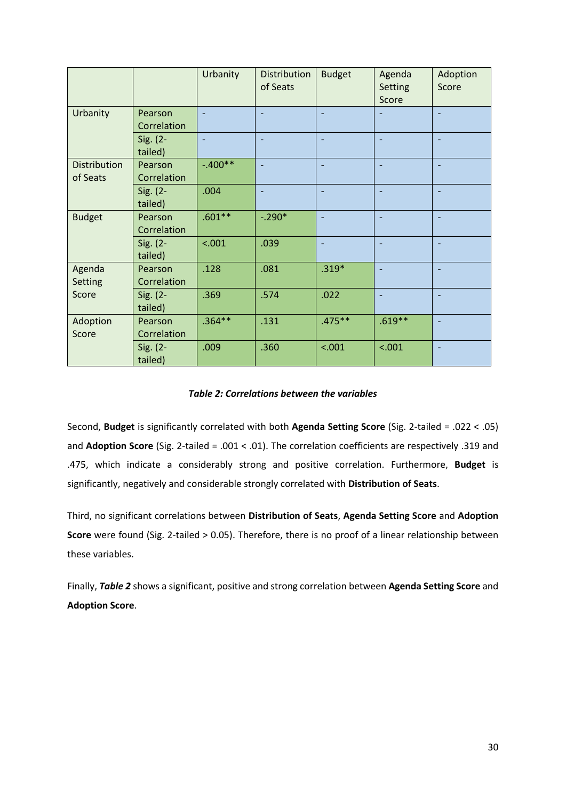|                                 |                        | Urbanity  | <b>Distribution</b><br>of Seats | <b>Budget</b>            | Agenda<br><b>Setting</b><br>Score | Adoption<br>Score |
|---------------------------------|------------------------|-----------|---------------------------------|--------------------------|-----------------------------------|-------------------|
| Urbanity                        | Pearson<br>Correlation |           | $\overline{\phantom{a}}$        |                          |                                   |                   |
|                                 | Sig. (2-<br>tailed)    |           |                                 |                          |                                   |                   |
| <b>Distribution</b><br>of Seats | Pearson<br>Correlation | $-.400**$ | $\overline{\phantom{a}}$        | $\overline{\phantom{a}}$ | $\overline{\phantom{0}}$          |                   |
|                                 | Sig. (2-<br>tailed)    | .004      |                                 |                          |                                   |                   |
| <b>Budget</b>                   | Pearson<br>Correlation | $.601**$  | $-.290*$                        | $\overline{\phantom{0}}$ |                                   |                   |
|                                 | Sig. (2-<br>tailed)    | < .001    | .039                            |                          |                                   |                   |
| Agenda<br>Setting<br>Score      | Pearson<br>Correlation | .128      | .081                            | $.319*$                  | $\overline{\phantom{0}}$          |                   |
|                                 | Sig. $(2 -$<br>tailed) | .369      | .574                            | .022                     |                                   |                   |
| Adoption<br>Score               | Pearson<br>Correlation | $.364**$  | .131                            | $.475**$                 | $.619**$                          |                   |
|                                 | Sig. (2-<br>tailed)    | .009      | .360                            | < .001                   | < .001                            |                   |

#### *Table 2: Correlations between the variables*

Second, **Budget** is significantly correlated with both **Agenda Setting Score** (Sig. 2-tailed = .022 < .05) and **Adoption Score** (Sig. 2-tailed = .001 < .01). The correlation coefficients are respectively .319 and .475, which indicate a considerably strong and positive correlation. Furthermore, **Budget** is significantly, negatively and considerable strongly correlated with **Distribution of Seats**.

Third, no significant correlations between **Distribution of Seats**, **Agenda Setting Score** and **Adoption Score** were found (Sig. 2-tailed > 0.05). Therefore, there is no proof of a linear relationship between these variables.

Finally, *Table 2* shows a significant, positive and strong correlation between **Agenda Setting Score** and **Adoption Score**.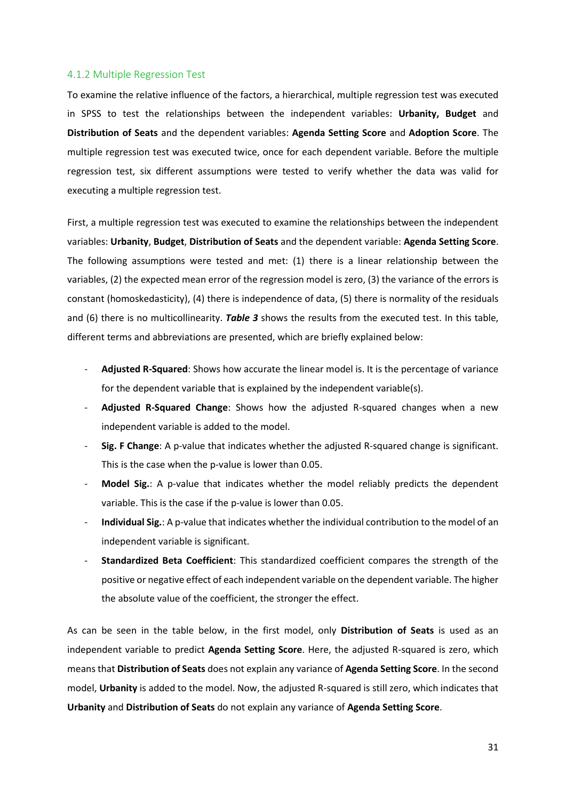#### <span id="page-30-0"></span>4.1.2 Multiple Regression Test

To examine the relative influence of the factors, a hierarchical, multiple regression test was executed in SPSS to test the relationships between the independent variables: **Urbanity, Budget** and **Distribution of Seats** and the dependent variables: **Agenda Setting Score** and **Adoption Score**. The multiple regression test was executed twice, once for each dependent variable. Before the multiple regression test, six different assumptions were tested to verify whether the data was valid for executing a multiple regression test.

First, a multiple regression test was executed to examine the relationships between the independent variables: **Urbanity**, **Budget**, **Distribution of Seats** and the dependent variable: **Agenda Setting Score**. The following assumptions were tested and met: (1) there is a linear relationship between the variables, (2) the expected mean error of the regression model is zero, (3) the variance of the errors is constant (homoskedasticity), (4) there is independence of data, (5) there is normality of the residuals and (6) there is no multicollinearity. *Table 3* shows the results from the executed test. In this table, different terms and abbreviations are presented, which are briefly explained below:

- **Adjusted R-Squared**: Shows how accurate the linear model is. It is the percentage of variance for the dependent variable that is explained by the independent variable(s).
- **Adjusted R-Squared Change**: Shows how the adjusted R-squared changes when a new independent variable is added to the model.
- **Sig. F Change**: A p-value that indicates whether the adjusted R-squared change is significant. This is the case when the p-value is lower than 0.05.
- **Model Sig.**: A p-value that indicates whether the model reliably predicts the dependent variable. This is the case if the p-value is lower than 0.05.
- **Individual Sig.**: A p-value that indicates whether the individual contribution to the model of an independent variable is significant.
- **Standardized Beta Coefficient**: This standardized coefficient compares the strength of the positive or negative effect of each independent variable on the dependent variable. The higher the absolute value of the coefficient, the stronger the effect.

As can be seen in the table below, in the first model, only **Distribution of Seats** is used as an independent variable to predict **Agenda Setting Score**. Here, the adjusted R-squared is zero, which means that **Distribution of Seats** does not explain any variance of **Agenda Setting Score**. In the second model, **Urbanity** is added to the model. Now, the adjusted R-squared is still zero, which indicates that **Urbanity** and **Distribution of Seats** do not explain any variance of **Agenda Setting Score**.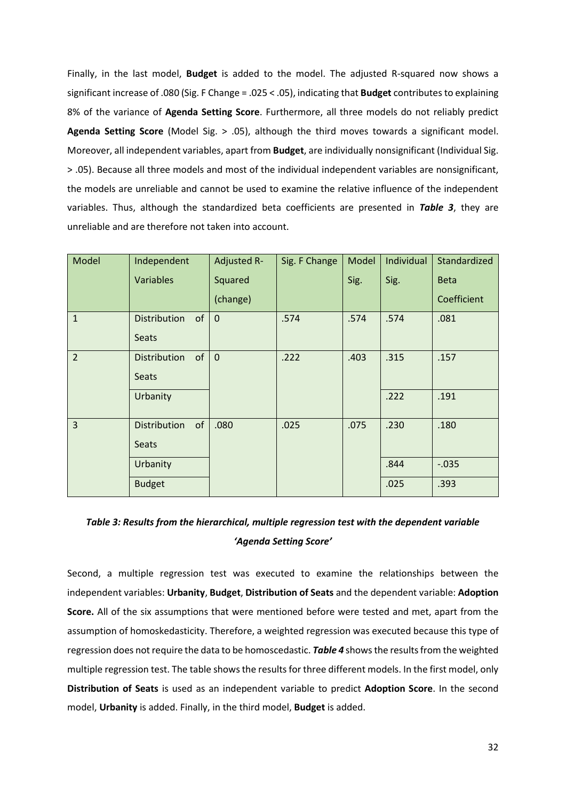Finally, in the last model, **Budget** is added to the model. The adjusted R-squared now shows a significant increase of .080 (Sig. F Change = .025 < .05), indicating that **Budget** contributes to explaining 8% of the variance of **Agenda Setting Score**. Furthermore, all three models do not reliably predict **Agenda Setting Score** (Model Sig. > .05), although the third moves towards a significant model. Moreover, all independent variables, apart from **Budget**, are individually nonsignificant (Individual Sig. > .05). Because all three models and most of the individual independent variables are nonsignificant, the models are unreliable and cannot be used to examine the relative influence of the independent variables. Thus, although the standardized beta coefficients are presented in *Table 3*, they are unreliable and are therefore not taken into account.

| Model          | Independent               | Adjusted R- | Sig. F Change | Model | Individual | Standardized |
|----------------|---------------------------|-------------|---------------|-------|------------|--------------|
|                | <b>Variables</b>          | Squared     |               | Sig.  | Sig.       | <b>Beta</b>  |
|                |                           | (change)    |               |       |            | Coefficient  |
| $\mathbf{1}$   | <b>Distribution</b><br>of | $\mathbf 0$ | .574          | .574  | .574       | .081         |
|                | <b>Seats</b>              |             |               |       |            |              |
| $\overline{2}$ | of<br><b>Distribution</b> | $\mathbf 0$ | .222          | .403  | .315       | .157         |
|                | <b>Seats</b>              |             |               |       |            |              |
|                | Urbanity                  |             |               |       | .222       | .191         |
| 3              | of<br><b>Distribution</b> | .080        | .025          | .075  | .230       | .180         |
|                | Seats                     |             |               |       |            |              |
|                | Urbanity                  |             |               |       | .844       | $-0.035$     |
|                | <b>Budget</b>             |             |               |       | .025       | .393         |

# *Table 3: Results from the hierarchical, multiple regression test with the dependent variable 'Agenda Setting Score'*

Second, a multiple regression test was executed to examine the relationships between the independent variables: **Urbanity**, **Budget**, **Distribution of Seats** and the dependent variable: **Adoption Score.** All of the six assumptions that were mentioned before were tested and met, apart from the assumption of homoskedasticity. Therefore, a weighted regression was executed because this type of regression does not require the data to be homoscedastic. *Table 4* shows the results from the weighted multiple regression test. The table shows the results for three different models. In the first model, only **Distribution of Seats** is used as an independent variable to predict **Adoption Score**. In the second model, **Urbanity** is added. Finally, in the third model, **Budget** is added.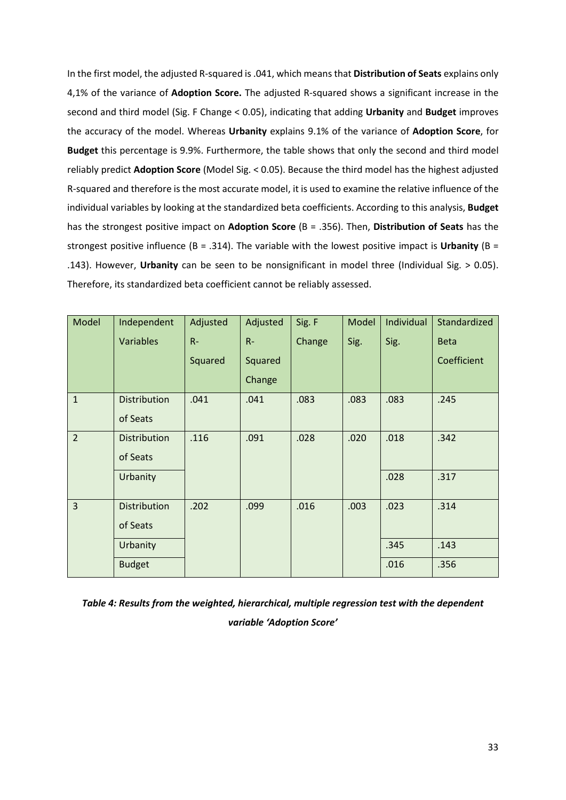In the first model, the adjusted R-squared is .041, which means that **Distribution of Seats** explains only 4,1% of the variance of **Adoption Score.** The adjusted R-squared shows a significant increase in the second and third model (Sig. F Change < 0.05), indicating that adding **Urbanity** and **Budget** improves the accuracy of the model. Whereas **Urbanity** explains 9.1% of the variance of **Adoption Score**, for **Budget** this percentage is 9.9%. Furthermore, the table shows that only the second and third model reliably predict **Adoption Score** (Model Sig. < 0.05). Because the third model has the highest adjusted R-squared and therefore is the most accurate model, it is used to examine the relative influence of the individual variables by looking at the standardized beta coefficients. According to this analysis, **Budget**  has the strongest positive impact on **Adoption Score** (B = .356). Then, **Distribution of Seats** has the strongest positive influence (B = .314). The variable with the lowest positive impact is **Urbanity** (B = .143). However, **Urbanity** can be seen to be nonsignificant in model three (Individual Sig. > 0.05). Therefore, its standardized beta coefficient cannot be reliably assessed.

| Model          | Independent         | Adjusted | Adjusted | Sig. F | Model | Individual | Standardized |
|----------------|---------------------|----------|----------|--------|-------|------------|--------------|
|                | <b>Variables</b>    | $R -$    | $R-$     | Change | Sig.  | Sig.       | <b>Beta</b>  |
|                |                     | Squared  | Squared  |        |       |            | Coefficient  |
|                |                     |          | Change   |        |       |            |              |
| $\mathbf{1}$   | <b>Distribution</b> | .041     | .041     | .083   | .083  | .083       | .245         |
|                | of Seats            |          |          |        |       |            |              |
| $\overline{2}$ | <b>Distribution</b> | .116     | .091     | .028   | .020  | .018       | .342         |
|                | of Seats            |          |          |        |       |            |              |
|                | Urbanity            |          |          |        |       | .028       | .317         |
|                |                     |          |          |        |       |            |              |
| $\overline{3}$ | Distribution        | .202     | .099     | .016   | .003  | .023       | .314         |
|                | of Seats            |          |          |        |       |            |              |
|                | Urbanity            |          |          |        |       | .345       | .143         |
|                | <b>Budget</b>       |          |          |        |       | .016       | .356         |

*Table 4: Results from the weighted, hierarchical, multiple regression test with the dependent variable 'Adoption Score'*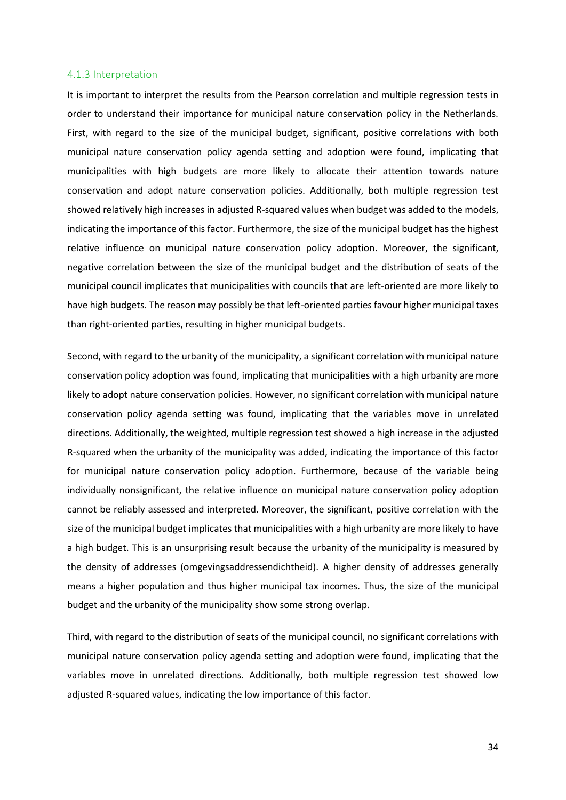#### <span id="page-33-0"></span>4.1.3 Interpretation

It is important to interpret the results from the Pearson correlation and multiple regression tests in order to understand their importance for municipal nature conservation policy in the Netherlands. First, with regard to the size of the municipal budget, significant, positive correlations with both municipal nature conservation policy agenda setting and adoption were found, implicating that municipalities with high budgets are more likely to allocate their attention towards nature conservation and adopt nature conservation policies. Additionally, both multiple regression test showed relatively high increases in adjusted R-squared values when budget was added to the models, indicating the importance of this factor. Furthermore, the size of the municipal budget has the highest relative influence on municipal nature conservation policy adoption. Moreover, the significant, negative correlation between the size of the municipal budget and the distribution of seats of the municipal council implicates that municipalities with councils that are left-oriented are more likely to have high budgets. The reason may possibly be that left-oriented parties favour higher municipal taxes than right-oriented parties, resulting in higher municipal budgets.

Second, with regard to the urbanity of the municipality, a significant correlation with municipal nature conservation policy adoption was found, implicating that municipalities with a high urbanity are more likely to adopt nature conservation policies. However, no significant correlation with municipal nature conservation policy agenda setting was found, implicating that the variables move in unrelated directions. Additionally, the weighted, multiple regression test showed a high increase in the adjusted R-squared when the urbanity of the municipality was added, indicating the importance of this factor for municipal nature conservation policy adoption. Furthermore, because of the variable being individually nonsignificant, the relative influence on municipal nature conservation policy adoption cannot be reliably assessed and interpreted. Moreover, the significant, positive correlation with the size of the municipal budget implicates that municipalities with a high urbanity are more likely to have a high budget. This is an unsurprising result because the urbanity of the municipality is measured by the density of addresses (omgevingsaddressendichtheid). A higher density of addresses generally means a higher population and thus higher municipal tax incomes. Thus, the size of the municipal budget and the urbanity of the municipality show some strong overlap.

Third, with regard to the distribution of seats of the municipal council, no significant correlations with municipal nature conservation policy agenda setting and adoption were found, implicating that the variables move in unrelated directions. Additionally, both multiple regression test showed low adjusted R-squared values, indicating the low importance of this factor.

34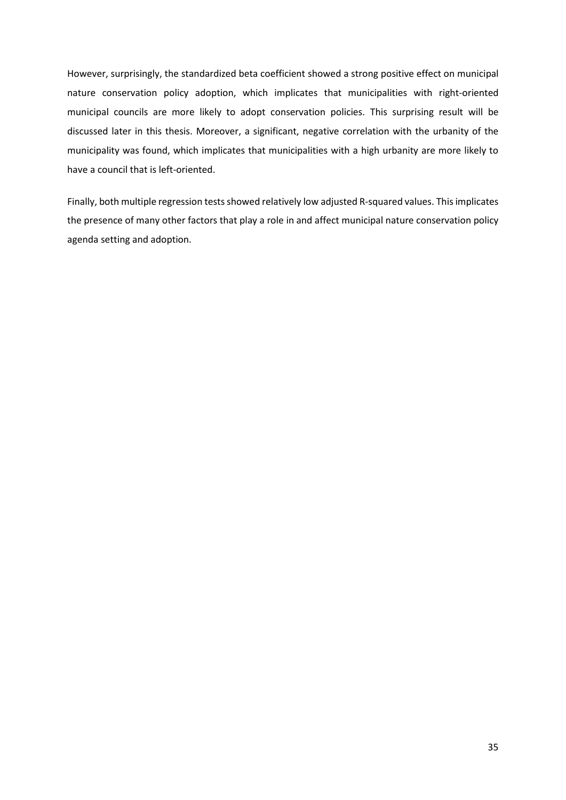However, surprisingly, the standardized beta coefficient showed a strong positive effect on municipal nature conservation policy adoption, which implicates that municipalities with right-oriented municipal councils are more likely to adopt conservation policies. This surprising result will be discussed later in this thesis. Moreover, a significant, negative correlation with the urbanity of the municipality was found, which implicates that municipalities with a high urbanity are more likely to have a council that is left-oriented.

Finally, both multiple regression tests showed relatively low adjusted R-squared values. This implicates the presence of many other factors that play a role in and affect municipal nature conservation policy agenda setting and adoption.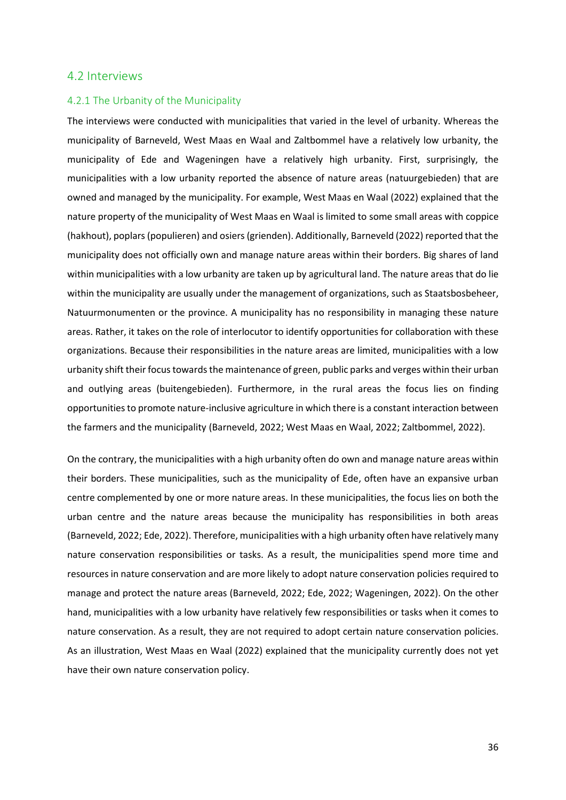#### <span id="page-35-0"></span>4.2 Interviews

#### <span id="page-35-1"></span>4.2.1 The Urbanity of the Municipality

The interviews were conducted with municipalities that varied in the level of urbanity. Whereas the municipality of Barneveld, West Maas en Waal and Zaltbommel have a relatively low urbanity, the municipality of Ede and Wageningen have a relatively high urbanity. First, surprisingly, the municipalities with a low urbanity reported the absence of nature areas (natuurgebieden) that are owned and managed by the municipality. For example, West Maas en Waal (2022) explained that the nature property of the municipality of West Maas en Waal is limited to some small areas with coppice (hakhout), poplars (populieren) and osiers (grienden). Additionally, Barneveld (2022) reported that the municipality does not officially own and manage nature areas within their borders. Big shares of land within municipalities with a low urbanity are taken up by agricultural land. The nature areas that do lie within the municipality are usually under the management of organizations, such as Staatsbosbeheer, Natuurmonumenten or the province. A municipality has no responsibility in managing these nature areas. Rather, it takes on the role of interlocutor to identify opportunities for collaboration with these organizations. Because their responsibilities in the nature areas are limited, municipalities with a low urbanity shift their focus towards the maintenance of green, public parks and verges within their urban and outlying areas (buitengebieden). Furthermore, in the rural areas the focus lies on finding opportunities to promote nature-inclusive agriculture in which there is a constant interaction between the farmers and the municipality (Barneveld, 2022; West Maas en Waal, 2022; Zaltbommel, 2022).

On the contrary, the municipalities with a high urbanity often do own and manage nature areas within their borders. These municipalities, such as the municipality of Ede, often have an expansive urban centre complemented by one or more nature areas. In these municipalities, the focus lies on both the urban centre and the nature areas because the municipality has responsibilities in both areas (Barneveld, 2022; Ede, 2022). Therefore, municipalities with a high urbanity often have relatively many nature conservation responsibilities or tasks. As a result, the municipalities spend more time and resources in nature conservation and are more likely to adopt nature conservation policies required to manage and protect the nature areas (Barneveld, 2022; Ede, 2022; Wageningen, 2022). On the other hand, municipalities with a low urbanity have relatively few responsibilities or tasks when it comes to nature conservation. As a result, they are not required to adopt certain nature conservation policies. As an illustration, West Maas en Waal (2022) explained that the municipality currently does not yet have their own nature conservation policy.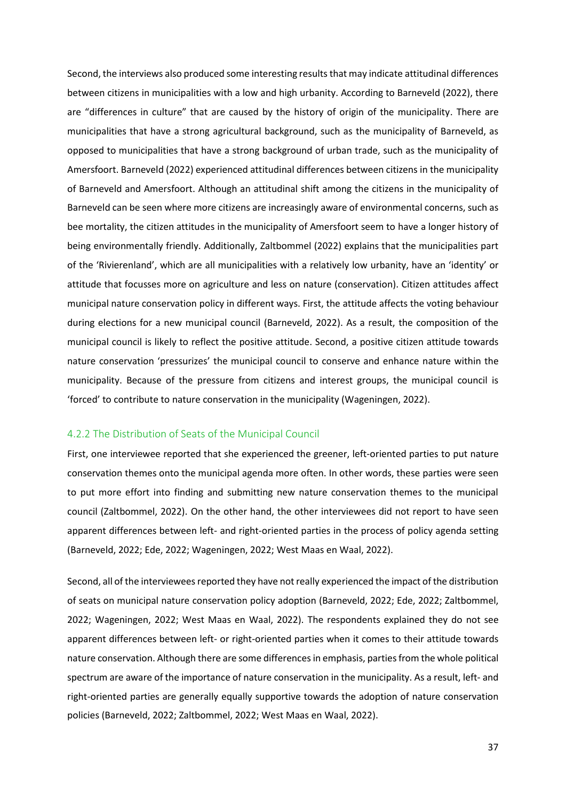Second, the interviews also produced some interesting results that may indicate attitudinal differences between citizens in municipalities with a low and high urbanity. According to Barneveld (2022), there are "differences in culture" that are caused by the history of origin of the municipality. There are municipalities that have a strong agricultural background, such as the municipality of Barneveld, as opposed to municipalities that have a strong background of urban trade, such as the municipality of Amersfoort. Barneveld (2022) experienced attitudinal differences between citizens in the municipality of Barneveld and Amersfoort. Although an attitudinal shift among the citizens in the municipality of Barneveld can be seen where more citizens are increasingly aware of environmental concerns, such as bee mortality, the citizen attitudes in the municipality of Amersfoort seem to have a longer history of being environmentally friendly. Additionally, Zaltbommel (2022) explains that the municipalities part of the 'Rivierenland', which are all municipalities with a relatively low urbanity, have an 'identity' or attitude that focusses more on agriculture and less on nature (conservation). Citizen attitudes affect municipal nature conservation policy in different ways. First, the attitude affects the voting behaviour during elections for a new municipal council (Barneveld, 2022). As a result, the composition of the municipal council is likely to reflect the positive attitude. Second, a positive citizen attitude towards nature conservation 'pressurizes' the municipal council to conserve and enhance nature within the municipality. Because of the pressure from citizens and interest groups, the municipal council is 'forced' to contribute to nature conservation in the municipality (Wageningen, 2022).

#### <span id="page-36-0"></span>4.2.2 The Distribution of Seats of the Municipal Council

First, one interviewee reported that she experienced the greener, left-oriented parties to put nature conservation themes onto the municipal agenda more often. In other words, these parties were seen to put more effort into finding and submitting new nature conservation themes to the municipal council (Zaltbommel, 2022). On the other hand, the other interviewees did not report to have seen apparent differences between left- and right-oriented parties in the process of policy agenda setting (Barneveld, 2022; Ede, 2022; Wageningen, 2022; West Maas en Waal, 2022).

Second, all of the interviewees reported they have not really experienced the impact of the distribution of seats on municipal nature conservation policy adoption (Barneveld, 2022; Ede, 2022; Zaltbommel, 2022; Wageningen, 2022; West Maas en Waal, 2022). The respondents explained they do not see apparent differences between left- or right-oriented parties when it comes to their attitude towards nature conservation. Although there are some differences in emphasis, parties from the whole political spectrum are aware of the importance of nature conservation in the municipality. As a result, left- and right-oriented parties are generally equally supportive towards the adoption of nature conservation policies (Barneveld, 2022; Zaltbommel, 2022; West Maas en Waal, 2022).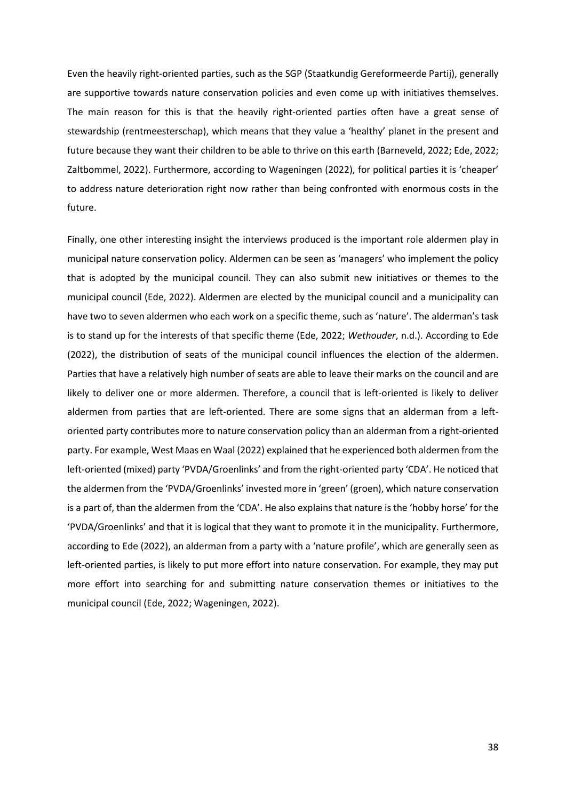Even the heavily right-oriented parties, such as the SGP (Staatkundig Gereformeerde Partij), generally are supportive towards nature conservation policies and even come up with initiatives themselves. The main reason for this is that the heavily right-oriented parties often have a great sense of stewardship (rentmeesterschap), which means that they value a 'healthy' planet in the present and future because they want their children to be able to thrive on this earth (Barneveld, 2022; Ede, 2022; Zaltbommel, 2022). Furthermore, according to Wageningen (2022), for political parties it is 'cheaper' to address nature deterioration right now rather than being confronted with enormous costs in the future.

Finally, one other interesting insight the interviews produced is the important role aldermen play in municipal nature conservation policy. Aldermen can be seen as 'managers' who implement the policy that is adopted by the municipal council. They can also submit new initiatives or themes to the municipal council (Ede, 2022). Aldermen are elected by the municipal council and a municipality can have two to seven aldermen who each work on a specific theme, such as 'nature'. The alderman's task is to stand up for the interests of that specific theme (Ede, 2022; *Wethouder*, n.d.). According to Ede (2022), the distribution of seats of the municipal council influences the election of the aldermen. Parties that have a relatively high number of seats are able to leave their marks on the council and are likely to deliver one or more aldermen. Therefore, a council that is left-oriented is likely to deliver aldermen from parties that are left-oriented. There are some signs that an alderman from a leftoriented party contributes more to nature conservation policy than an alderman from a right-oriented party. For example, West Maas en Waal (2022) explained that he experienced both aldermen from the left-oriented (mixed) party 'PVDA/Groenlinks' and from the right-oriented party 'CDA'. He noticed that the aldermen from the 'PVDA/Groenlinks' invested more in 'green' (groen), which nature conservation is a part of, than the aldermen from the 'CDA'. He also explains that nature is the 'hobby horse' for the 'PVDA/Groenlinks' and that it is logical that they want to promote it in the municipality. Furthermore, according to Ede (2022), an alderman from a party with a 'nature profile', which are generally seen as left-oriented parties, is likely to put more effort into nature conservation. For example, they may put more effort into searching for and submitting nature conservation themes or initiatives to the municipal council (Ede, 2022; Wageningen, 2022).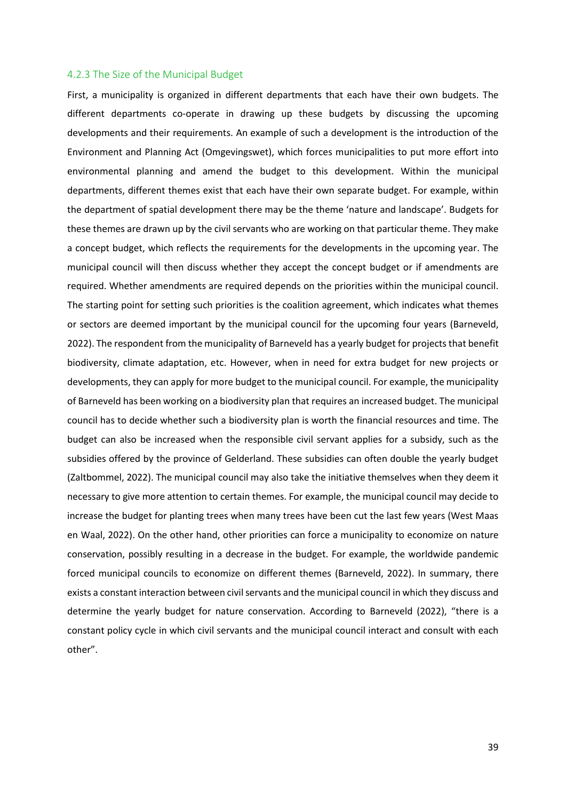#### <span id="page-38-0"></span>4.2.3 The Size of the Municipal Budget

First, a municipality is organized in different departments that each have their own budgets. The different departments co-operate in drawing up these budgets by discussing the upcoming developments and their requirements. An example of such a development is the introduction of the Environment and Planning Act (Omgevingswet), which forces municipalities to put more effort into environmental planning and amend the budget to this development. Within the municipal departments, different themes exist that each have their own separate budget. For example, within the department of spatial development there may be the theme 'nature and landscape'. Budgets for these themes are drawn up by the civil servants who are working on that particular theme. They make a concept budget, which reflects the requirements for the developments in the upcoming year. The municipal council will then discuss whether they accept the concept budget or if amendments are required. Whether amendments are required depends on the priorities within the municipal council. The starting point for setting such priorities is the coalition agreement, which indicates what themes or sectors are deemed important by the municipal council for the upcoming four years (Barneveld, 2022). The respondent from the municipality of Barneveld has a yearly budget for projects that benefit biodiversity, climate adaptation, etc. However, when in need for extra budget for new projects or developments, they can apply for more budget to the municipal council. For example, the municipality of Barneveld has been working on a biodiversity plan that requires an increased budget. The municipal council has to decide whether such a biodiversity plan is worth the financial resources and time. The budget can also be increased when the responsible civil servant applies for a subsidy, such as the subsidies offered by the province of Gelderland. These subsidies can often double the yearly budget (Zaltbommel, 2022). The municipal council may also take the initiative themselves when they deem it necessary to give more attention to certain themes. For example, the municipal council may decide to increase the budget for planting trees when many trees have been cut the last few years (West Maas en Waal, 2022). On the other hand, other priorities can force a municipality to economize on nature conservation, possibly resulting in a decrease in the budget. For example, the worldwide pandemic forced municipal councils to economize on different themes (Barneveld, 2022). In summary, there exists a constant interaction between civil servants and the municipal council in which they discuss and determine the yearly budget for nature conservation. According to Barneveld (2022), "there is a constant policy cycle in which civil servants and the municipal council interact and consult with each other".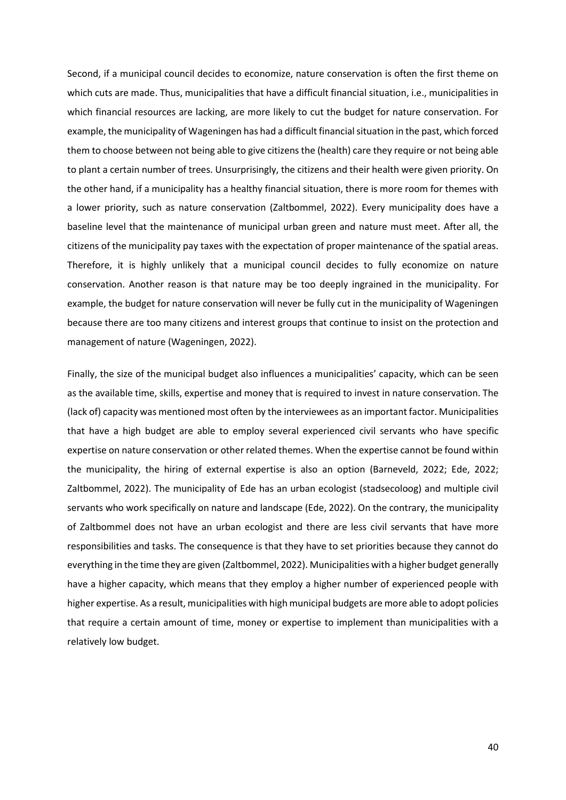Second, if a municipal council decides to economize, nature conservation is often the first theme on which cuts are made. Thus, municipalities that have a difficult financial situation, i.e., municipalities in which financial resources are lacking, are more likely to cut the budget for nature conservation. For example, the municipality of Wageningen has had a difficult financial situation in the past, which forced them to choose between not being able to give citizens the (health) care they require or not being able to plant a certain number of trees. Unsurprisingly, the citizens and their health were given priority. On the other hand, if a municipality has a healthy financial situation, there is more room for themes with a lower priority, such as nature conservation (Zaltbommel, 2022). Every municipality does have a baseline level that the maintenance of municipal urban green and nature must meet. After all, the citizens of the municipality pay taxes with the expectation of proper maintenance of the spatial areas. Therefore, it is highly unlikely that a municipal council decides to fully economize on nature conservation. Another reason is that nature may be too deeply ingrained in the municipality. For example, the budget for nature conservation will never be fully cut in the municipality of Wageningen because there are too many citizens and interest groups that continue to insist on the protection and management of nature (Wageningen, 2022).

Finally, the size of the municipal budget also influences a municipalities' capacity, which can be seen as the available time, skills, expertise and money that is required to invest in nature conservation. The (lack of) capacity was mentioned most often by the interviewees as an important factor. Municipalities that have a high budget are able to employ several experienced civil servants who have specific expertise on nature conservation or other related themes. When the expertise cannot be found within the municipality, the hiring of external expertise is also an option (Barneveld, 2022; Ede, 2022; Zaltbommel, 2022). The municipality of Ede has an urban ecologist (stadsecoloog) and multiple civil servants who work specifically on nature and landscape (Ede, 2022). On the contrary, the municipality of Zaltbommel does not have an urban ecologist and there are less civil servants that have more responsibilities and tasks. The consequence is that they have to set priorities because they cannot do everything in the time they are given (Zaltbommel, 2022). Municipalities with a higher budget generally have a higher capacity, which means that they employ a higher number of experienced people with higher expertise. As a result, municipalities with high municipal budgets are more able to adopt policies that require a certain amount of time, money or expertise to implement than municipalities with a relatively low budget.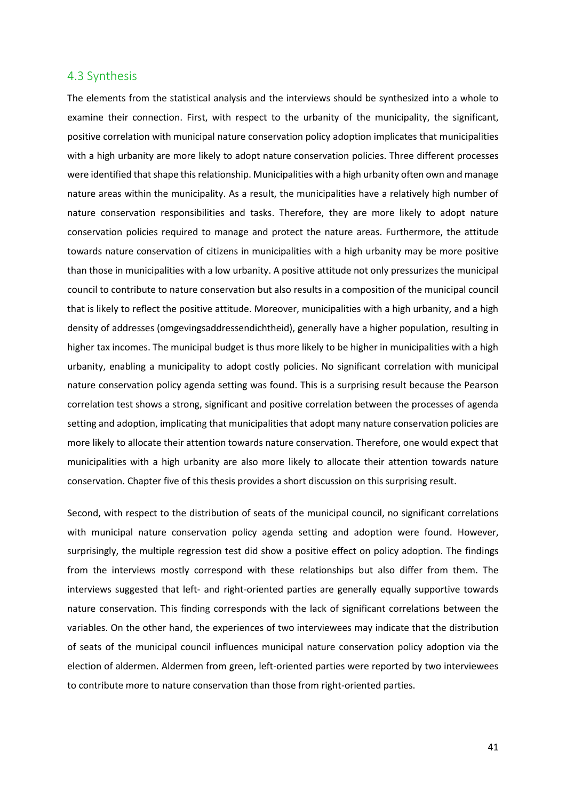### <span id="page-40-0"></span>4.3 Synthesis

The elements from the statistical analysis and the interviews should be synthesized into a whole to examine their connection. First, with respect to the urbanity of the municipality, the significant, positive correlation with municipal nature conservation policy adoption implicates that municipalities with a high urbanity are more likely to adopt nature conservation policies. Three different processes were identified that shape this relationship. Municipalities with a high urbanity often own and manage nature areas within the municipality. As a result, the municipalities have a relatively high number of nature conservation responsibilities and tasks. Therefore, they are more likely to adopt nature conservation policies required to manage and protect the nature areas. Furthermore, the attitude towards nature conservation of citizens in municipalities with a high urbanity may be more positive than those in municipalities with a low urbanity. A positive attitude not only pressurizes the municipal council to contribute to nature conservation but also results in a composition of the municipal council that is likely to reflect the positive attitude. Moreover, municipalities with a high urbanity, and a high density of addresses (omgevingsaddressendichtheid), generally have a higher population, resulting in higher tax incomes. The municipal budget is thus more likely to be higher in municipalities with a high urbanity, enabling a municipality to adopt costly policies. No significant correlation with municipal nature conservation policy agenda setting was found. This is a surprising result because the Pearson correlation test shows a strong, significant and positive correlation between the processes of agenda setting and adoption, implicating that municipalities that adopt many nature conservation policies are more likely to allocate their attention towards nature conservation. Therefore, one would expect that municipalities with a high urbanity are also more likely to allocate their attention towards nature conservation. Chapter five of this thesis provides a short discussion on this surprising result.

Second, with respect to the distribution of seats of the municipal council, no significant correlations with municipal nature conservation policy agenda setting and adoption were found. However, surprisingly, the multiple regression test did show a positive effect on policy adoption. The findings from the interviews mostly correspond with these relationships but also differ from them. The interviews suggested that left- and right-oriented parties are generally equally supportive towards nature conservation. This finding corresponds with the lack of significant correlations between the variables. On the other hand, the experiences of two interviewees may indicate that the distribution of seats of the municipal council influences municipal nature conservation policy adoption via the election of aldermen. Aldermen from green, left-oriented parties were reported by two interviewees to contribute more to nature conservation than those from right-oriented parties.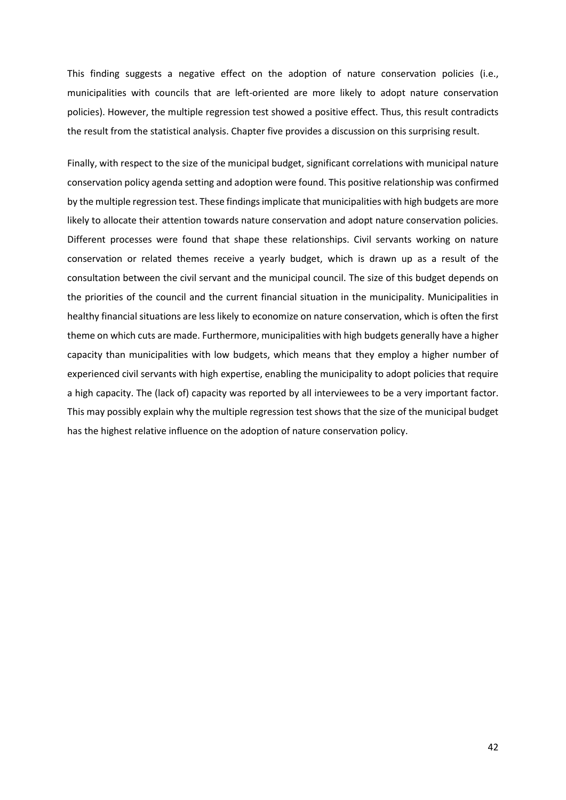This finding suggests a negative effect on the adoption of nature conservation policies (i.e., municipalities with councils that are left-oriented are more likely to adopt nature conservation policies). However, the multiple regression test showed a positive effect. Thus, this result contradicts the result from the statistical analysis. Chapter five provides a discussion on this surprising result.

Finally, with respect to the size of the municipal budget, significant correlations with municipal nature conservation policy agenda setting and adoption were found. This positive relationship was confirmed by the multiple regression test. These findings implicate that municipalities with high budgets are more likely to allocate their attention towards nature conservation and adopt nature conservation policies. Different processes were found that shape these relationships. Civil servants working on nature conservation or related themes receive a yearly budget, which is drawn up as a result of the consultation between the civil servant and the municipal council. The size of this budget depends on the priorities of the council and the current financial situation in the municipality. Municipalities in healthy financial situations are less likely to economize on nature conservation, which is often the first theme on which cuts are made. Furthermore, municipalities with high budgets generally have a higher capacity than municipalities with low budgets, which means that they employ a higher number of experienced civil servants with high expertise, enabling the municipality to adopt policies that require a high capacity. The (lack of) capacity was reported by all interviewees to be a very important factor. This may possibly explain why the multiple regression test shows that the size of the municipal budget has the highest relative influence on the adoption of nature conservation policy.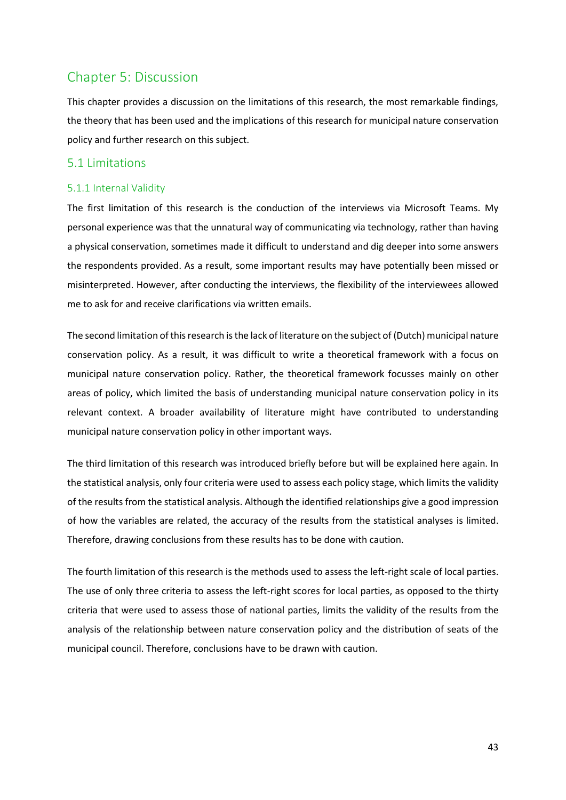# <span id="page-42-0"></span>Chapter 5: Discussion

This chapter provides a discussion on the limitations of this research, the most remarkable findings, the theory that has been used and the implications of this research for municipal nature conservation policy and further research on this subject.

# <span id="page-42-1"></span>5.1 Limitations

### <span id="page-42-2"></span>5.1.1 Internal Validity

The first limitation of this research is the conduction of the interviews via Microsoft Teams. My personal experience was that the unnatural way of communicating via technology, rather than having a physical conservation, sometimes made it difficult to understand and dig deeper into some answers the respondents provided. As a result, some important results may have potentially been missed or misinterpreted. However, after conducting the interviews, the flexibility of the interviewees allowed me to ask for and receive clarifications via written emails.

The second limitation of this research is the lack of literature on the subject of (Dutch) municipal nature conservation policy. As a result, it was difficult to write a theoretical framework with a focus on municipal nature conservation policy. Rather, the theoretical framework focusses mainly on other areas of policy, which limited the basis of understanding municipal nature conservation policy in its relevant context. A broader availability of literature might have contributed to understanding municipal nature conservation policy in other important ways.

The third limitation of this research was introduced briefly before but will be explained here again. In the statistical analysis, only four criteria were used to assess each policy stage, which limits the validity of the results from the statistical analysis. Although the identified relationships give a good impression of how the variables are related, the accuracy of the results from the statistical analyses is limited. Therefore, drawing conclusions from these results has to be done with caution.

The fourth limitation of this research is the methods used to assess the left-right scale of local parties. The use of only three criteria to assess the left-right scores for local parties, as opposed to the thirty criteria that were used to assess those of national parties, limits the validity of the results from the analysis of the relationship between nature conservation policy and the distribution of seats of the municipal council. Therefore, conclusions have to be drawn with caution.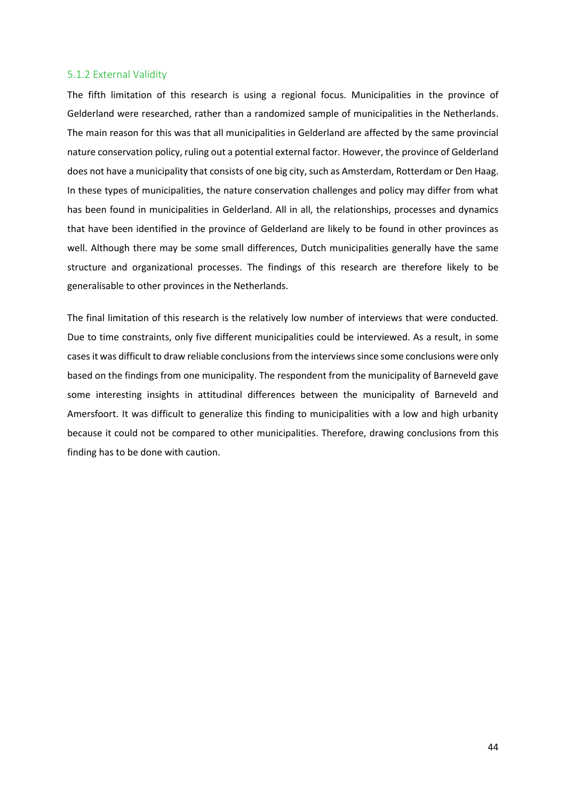#### <span id="page-43-0"></span>5.1.2 External Validity

The fifth limitation of this research is using a regional focus. Municipalities in the province of Gelderland were researched, rather than a randomized sample of municipalities in the Netherlands. The main reason for this was that all municipalities in Gelderland are affected by the same provincial nature conservation policy, ruling out a potential external factor. However, the province of Gelderland does not have a municipality that consists of one big city, such as Amsterdam, Rotterdam or Den Haag. In these types of municipalities, the nature conservation challenges and policy may differ from what has been found in municipalities in Gelderland. All in all, the relationships, processes and dynamics that have been identified in the province of Gelderland are likely to be found in other provinces as well. Although there may be some small differences, Dutch municipalities generally have the same structure and organizational processes. The findings of this research are therefore likely to be generalisable to other provinces in the Netherlands.

The final limitation of this research is the relatively low number of interviews that were conducted. Due to time constraints, only five different municipalities could be interviewed. As a result, in some cases it was difficult to draw reliable conclusions from the interviews since some conclusions were only based on the findings from one municipality. The respondent from the municipality of Barneveld gave some interesting insights in attitudinal differences between the municipality of Barneveld and Amersfoort. It was difficult to generalize this finding to municipalities with a low and high urbanity because it could not be compared to other municipalities. Therefore, drawing conclusions from this finding has to be done with caution.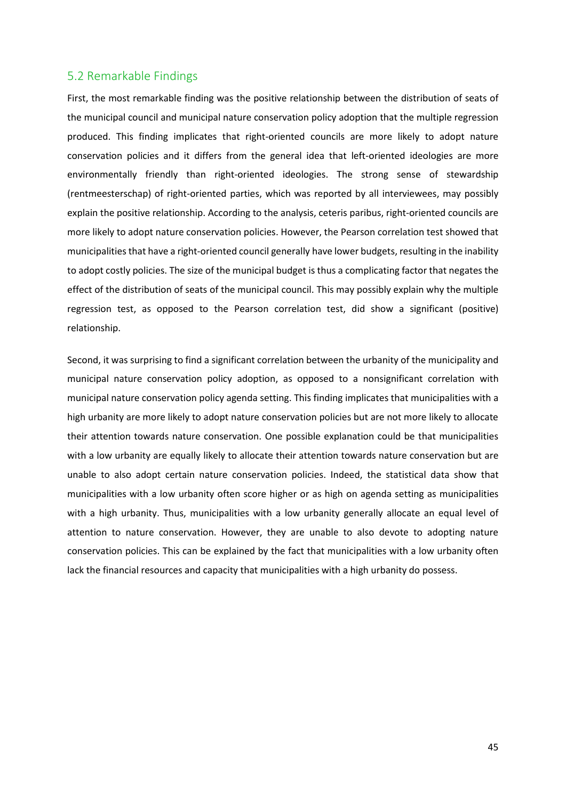### <span id="page-44-0"></span>5.2 Remarkable Findings

First, the most remarkable finding was the positive relationship between the distribution of seats of the municipal council and municipal nature conservation policy adoption that the multiple regression produced. This finding implicates that right-oriented councils are more likely to adopt nature conservation policies and it differs from the general idea that left-oriented ideologies are more environmentally friendly than right-oriented ideologies. The strong sense of stewardship (rentmeesterschap) of right-oriented parties, which was reported by all interviewees, may possibly explain the positive relationship. According to the analysis, ceteris paribus, right-oriented councils are more likely to adopt nature conservation policies. However, the Pearson correlation test showed that municipalities that have a right-oriented council generally have lower budgets, resulting in the inability to adopt costly policies. The size of the municipal budget is thus a complicating factor that negates the effect of the distribution of seats of the municipal council. This may possibly explain why the multiple regression test, as opposed to the Pearson correlation test, did show a significant (positive) relationship.

Second, it was surprising to find a significant correlation between the urbanity of the municipality and municipal nature conservation policy adoption, as opposed to a nonsignificant correlation with municipal nature conservation policy agenda setting. This finding implicates that municipalities with a high urbanity are more likely to adopt nature conservation policies but are not more likely to allocate their attention towards nature conservation. One possible explanation could be that municipalities with a low urbanity are equally likely to allocate their attention towards nature conservation but are unable to also adopt certain nature conservation policies. Indeed, the statistical data show that municipalities with a low urbanity often score higher or as high on agenda setting as municipalities with a high urbanity. Thus, municipalities with a low urbanity generally allocate an equal level of attention to nature conservation. However, they are unable to also devote to adopting nature conservation policies. This can be explained by the fact that municipalities with a low urbanity often lack the financial resources and capacity that municipalities with a high urbanity do possess.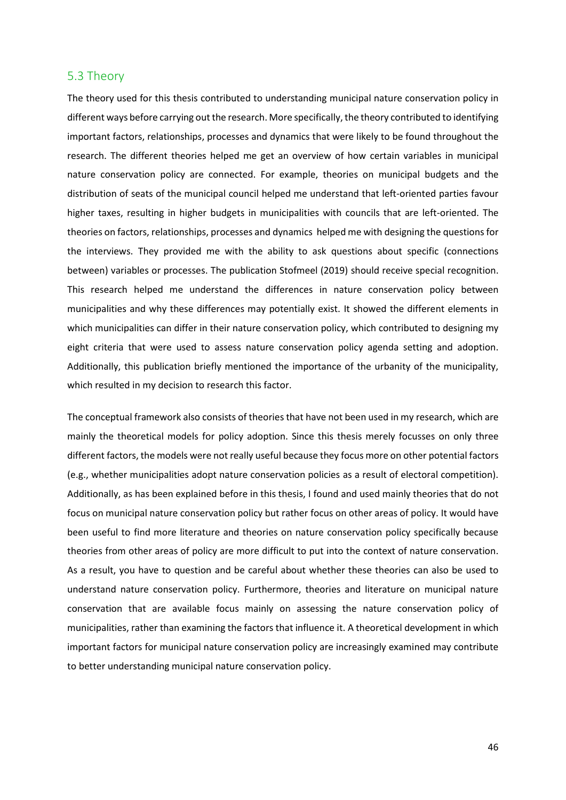#### <span id="page-45-0"></span>5.3 Theory

The theory used for this thesis contributed to understanding municipal nature conservation policy in different ways before carrying out the research. More specifically, the theory contributed to identifying important factors, relationships, processes and dynamics that were likely to be found throughout the research. The different theories helped me get an overview of how certain variables in municipal nature conservation policy are connected. For example, theories on municipal budgets and the distribution of seats of the municipal council helped me understand that left-oriented parties favour higher taxes, resulting in higher budgets in municipalities with councils that are left-oriented. The theories on factors, relationships, processes and dynamics helped me with designing the questions for the interviews. They provided me with the ability to ask questions about specific (connections between) variables or processes. The publication Stofmeel (2019) should receive special recognition. This research helped me understand the differences in nature conservation policy between municipalities and why these differences may potentially exist. It showed the different elements in which municipalities can differ in their nature conservation policy, which contributed to designing my eight criteria that were used to assess nature conservation policy agenda setting and adoption. Additionally, this publication briefly mentioned the importance of the urbanity of the municipality, which resulted in my decision to research this factor.

The conceptual framework also consists of theories that have not been used in my research, which are mainly the theoretical models for policy adoption. Since this thesis merely focusses on only three different factors, the models were not really useful because they focus more on other potential factors (e.g., whether municipalities adopt nature conservation policies as a result of electoral competition). Additionally, as has been explained before in this thesis, I found and used mainly theories that do not focus on municipal nature conservation policy but rather focus on other areas of policy. It would have been useful to find more literature and theories on nature conservation policy specifically because theories from other areas of policy are more difficult to put into the context of nature conservation. As a result, you have to question and be careful about whether these theories can also be used to understand nature conservation policy. Furthermore, theories and literature on municipal nature conservation that are available focus mainly on assessing the nature conservation policy of municipalities, rather than examining the factors that influence it. A theoretical development in which important factors for municipal nature conservation policy are increasingly examined may contribute to better understanding municipal nature conservation policy.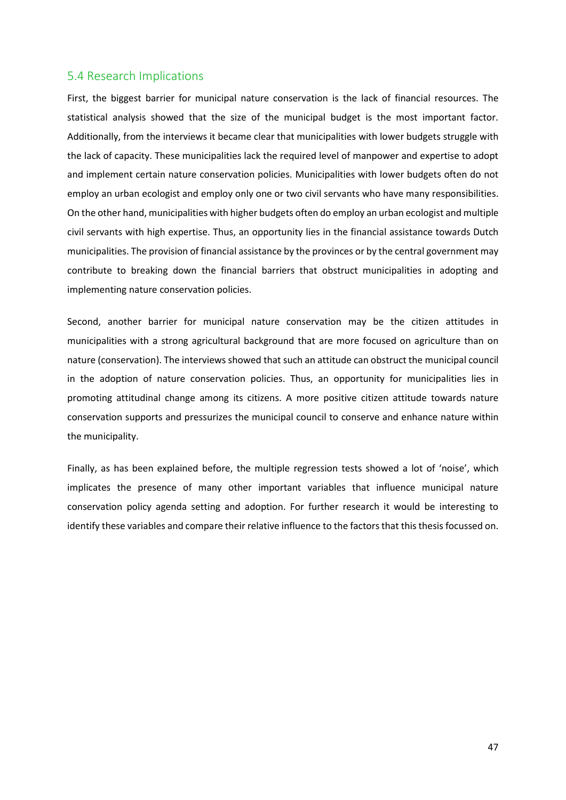### <span id="page-46-0"></span>5.4 Research Implications

First, the biggest barrier for municipal nature conservation is the lack of financial resources. The statistical analysis showed that the size of the municipal budget is the most important factor. Additionally, from the interviews it became clear that municipalities with lower budgets struggle with the lack of capacity. These municipalities lack the required level of manpower and expertise to adopt and implement certain nature conservation policies. Municipalities with lower budgets often do not employ an urban ecologist and employ only one or two civil servants who have many responsibilities. On the other hand, municipalities with higher budgets often do employ an urban ecologist and multiple civil servants with high expertise. Thus, an opportunity lies in the financial assistance towards Dutch municipalities. The provision of financial assistance by the provinces or by the central government may contribute to breaking down the financial barriers that obstruct municipalities in adopting and implementing nature conservation policies.

Second, another barrier for municipal nature conservation may be the citizen attitudes in municipalities with a strong agricultural background that are more focused on agriculture than on nature (conservation). The interviews showed that such an attitude can obstruct the municipal council in the adoption of nature conservation policies. Thus, an opportunity for municipalities lies in promoting attitudinal change among its citizens. A more positive citizen attitude towards nature conservation supports and pressurizes the municipal council to conserve and enhance nature within the municipality.

Finally, as has been explained before, the multiple regression tests showed a lot of 'noise', which implicates the presence of many other important variables that influence municipal nature conservation policy agenda setting and adoption. For further research it would be interesting to identify these variables and compare their relative influence to the factors that this thesis focussed on.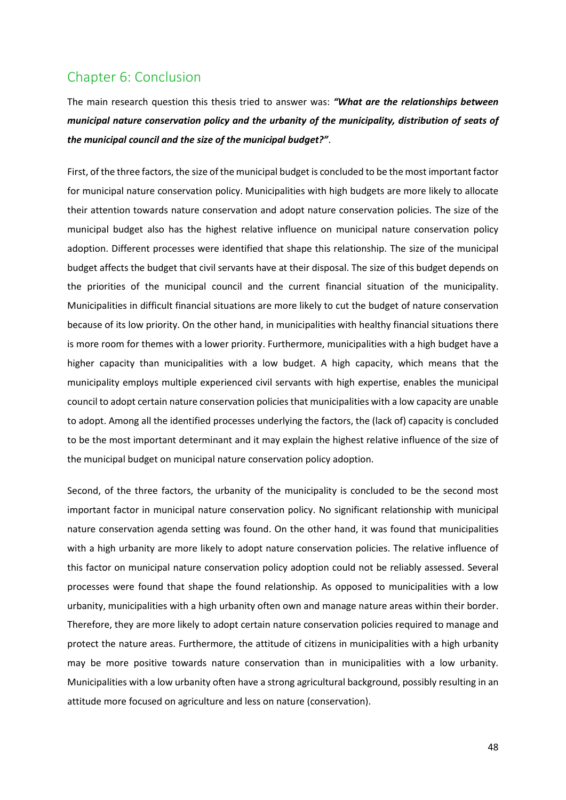# <span id="page-47-0"></span>Chapter 6: Conclusion

The main research question this thesis tried to answer was: *"What are the relationships between municipal nature conservation policy and the urbanity of the municipality, distribution of seats of the municipal council and the size of the municipal budget?"*.

First, of the three factors, the size of the municipal budget is concluded to be the most important factor for municipal nature conservation policy. Municipalities with high budgets are more likely to allocate their attention towards nature conservation and adopt nature conservation policies. The size of the municipal budget also has the highest relative influence on municipal nature conservation policy adoption. Different processes were identified that shape this relationship. The size of the municipal budget affects the budget that civil servants have at their disposal. The size of this budget depends on the priorities of the municipal council and the current financial situation of the municipality. Municipalities in difficult financial situations are more likely to cut the budget of nature conservation because of its low priority. On the other hand, in municipalities with healthy financial situations there is more room for themes with a lower priority. Furthermore, municipalities with a high budget have a higher capacity than municipalities with a low budget. A high capacity, which means that the municipality employs multiple experienced civil servants with high expertise, enables the municipal council to adopt certain nature conservation policies that municipalities with a low capacity are unable to adopt. Among all the identified processes underlying the factors, the (lack of) capacity is concluded to be the most important determinant and it may explain the highest relative influence of the size of the municipal budget on municipal nature conservation policy adoption.

Second, of the three factors, the urbanity of the municipality is concluded to be the second most important factor in municipal nature conservation policy. No significant relationship with municipal nature conservation agenda setting was found. On the other hand, it was found that municipalities with a high urbanity are more likely to adopt nature conservation policies. The relative influence of this factor on municipal nature conservation policy adoption could not be reliably assessed. Several processes were found that shape the found relationship. As opposed to municipalities with a low urbanity, municipalities with a high urbanity often own and manage nature areas within their border. Therefore, they are more likely to adopt certain nature conservation policies required to manage and protect the nature areas. Furthermore, the attitude of citizens in municipalities with a high urbanity may be more positive towards nature conservation than in municipalities with a low urbanity. Municipalities with a low urbanity often have a strong agricultural background, possibly resulting in an attitude more focused on agriculture and less on nature (conservation).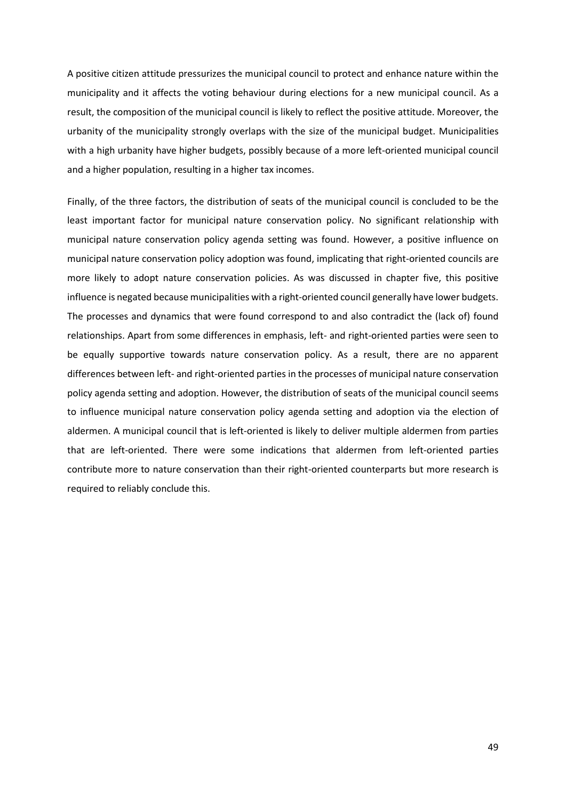A positive citizen attitude pressurizes the municipal council to protect and enhance nature within the municipality and it affects the voting behaviour during elections for a new municipal council. As a result, the composition of the municipal council is likely to reflect the positive attitude. Moreover, the urbanity of the municipality strongly overlaps with the size of the municipal budget. Municipalities with a high urbanity have higher budgets, possibly because of a more left-oriented municipal council and a higher population, resulting in a higher tax incomes.

Finally, of the three factors, the distribution of seats of the municipal council is concluded to be the least important factor for municipal nature conservation policy. No significant relationship with municipal nature conservation policy agenda setting was found. However, a positive influence on municipal nature conservation policy adoption was found, implicating that right-oriented councils are more likely to adopt nature conservation policies. As was discussed in chapter five, this positive influence is negated because municipalities with a right-oriented council generally have lower budgets. The processes and dynamics that were found correspond to and also contradict the (lack of) found relationships. Apart from some differences in emphasis, left- and right-oriented parties were seen to be equally supportive towards nature conservation policy. As a result, there are no apparent differences between left- and right-oriented parties in the processes of municipal nature conservation policy agenda setting and adoption. However, the distribution of seats of the municipal council seems to influence municipal nature conservation policy agenda setting and adoption via the election of aldermen. A municipal council that is left-oriented is likely to deliver multiple aldermen from parties that are left-oriented. There were some indications that aldermen from left-oriented parties contribute more to nature conservation than their right-oriented counterparts but more research is required to reliably conclude this.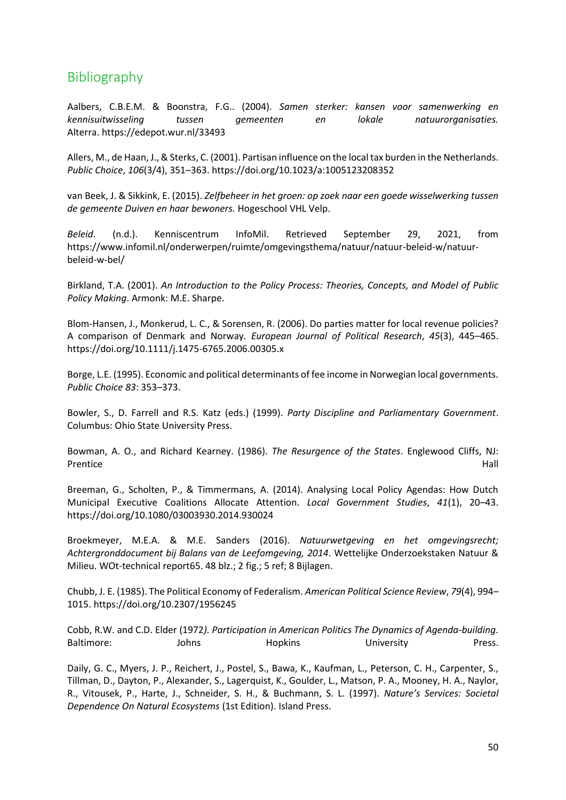# <span id="page-49-0"></span>Bibliography

Aalbers, C.B.E.M. & Boonstra, F.G.. (2004). *Samen sterker: kansen voor samenwerking en kennisuitwisseling tussen gemeenten en lokale natuurorganisaties.*  Alterra. https://edepot.wur.nl/33493

Allers, M., de Haan, J., & Sterks, C. (2001). Partisan influence on the local tax burden in the Netherlands. *Public Choice*, *106*(3/4), 351–363. https://doi.org/10.1023/a:1005123208352

van Beek, J. & Sikkink, E. (2015). *Zelfbeheer in het groen: op zoek naar een goede wisselwerking tussen de gemeente Duiven en haar bewoners.* Hogeschool VHL Velp.

*Beleid*. (n.d.). Kenniscentrum InfoMil. Retrieved September 29, 2021, from https://www.infomil.nl/onderwerpen/ruimte/omgevingsthema/natuur/natuur-beleid-w/natuurbeleid-w-bel/

Birkland, T.A. (2001). *An Introduction to the Policy Process: Theories, Concepts, and Model of Public Policy Making*. Armonk: M.E. Sharpe.

Blom-Hansen, J., Monkerud, L. C., & Sorensen, R. (2006). Do parties matter for local revenue policies? A comparison of Denmark and Norway. *European Journal of Political Research*, *45*(3), 445–465. https://doi.org/10.1111/j.1475-6765.2006.00305.x

Borge, L.E. (1995). Economic and political determinants of fee income in Norwegian local governments. *Public Choice 83*: 353–373.

Bowler, S., D. Farrell and R.S. Katz (eds.) (1999). *Party Discipline and Parliamentary Government*. Columbus: Ohio State University Press.

Bowman, A. O., and Richard Kearney. (1986). *The Resurgence of the States*. Englewood Cliffs, NJ: Prentice **Hall** 

Breeman, G., Scholten, P., & Timmermans, A. (2014). Analysing Local Policy Agendas: How Dutch Municipal Executive Coalitions Allocate Attention. *Local Government Studies*, *41*(1), 20–43. https://doi.org/10.1080/03003930.2014.930024

Broekmeyer, M.E.A. & M.E. Sanders (2016). *Natuurwetgeving en het omgevingsrecht; Achtergronddocument bij Balans van de Leefomgeving, 2014*. Wettelijke Onderzoekstaken Natuur & Milieu. WOt-technical report65. 48 blz.; 2 fig.; 5 ref; 8 Bijlagen.

Chubb, J. E. (1985). The Political Economy of Federalism. *American Political Science Review*, *79*(4), 994– 1015. https://doi.org/10.2307/1956245

Cobb, R.W. and C.D. Elder (1972*). Participation in American Politics The Dynamics of Agenda-building*. Baltimore: Sand Johns Hopkins Hopkins University Press.

Daily, G. C., Myers, J. P., Reichert, J., Postel, S., Bawa, K., Kaufman, L., Peterson, C. H., Carpenter, S., Tillman, D., Dayton, P., Alexander, S., Lagerquist, K., Goulder, L., Matson, P. A., Mooney, H. A., Naylor, R., Vitousek, P., Harte, J., Schneider, S. H., & Buchmann, S. L. (1997). *Nature's Services: Societal Dependence On Natural Ecosystems* (1st Edition). Island Press.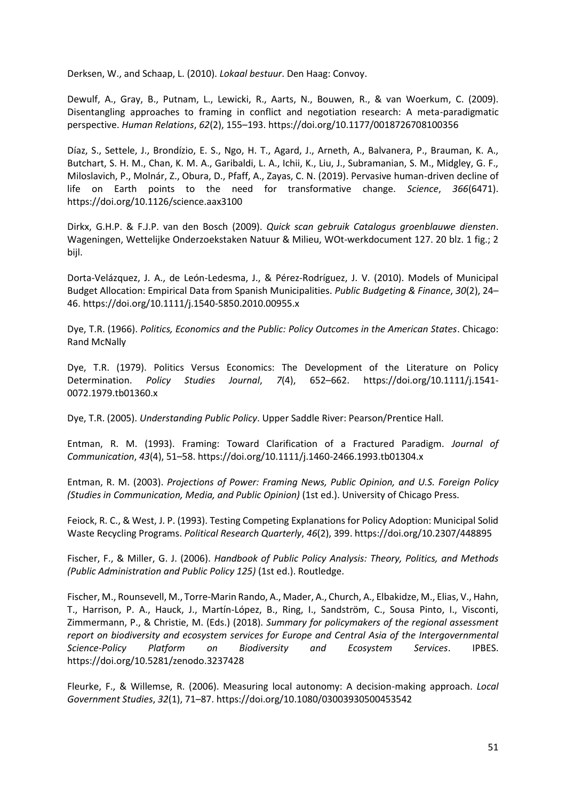Derksen, W., and Schaap, L. (2010). *Lokaal bestuur*. Den Haag: Convoy.

Dewulf, A., Gray, B., Putnam, L., Lewicki, R., Aarts, N., Bouwen, R., & van Woerkum, C. (2009). Disentangling approaches to framing in conflict and negotiation research: A meta-paradigmatic perspective. *Human Relations*, *62*(2), 155–193. https://doi.org/10.1177/0018726708100356

Díaz, S., Settele, J., Brondízio, E. S., Ngo, H. T., Agard, J., Arneth, A., Balvanera, P., Brauman, K. A., Butchart, S. H. M., Chan, K. M. A., Garibaldi, L. A., Ichii, K., Liu, J., Subramanian, S. M., Midgley, G. F., Miloslavich, P., Molnár, Z., Obura, D., Pfaff, A., Zayas, C. N. (2019). Pervasive human-driven decline of life on Earth points to the need for transformative change. *Science*, *366*(6471). https://doi.org/10.1126/science.aax3100

Dirkx, G.H.P. & F.J.P. van den Bosch (2009). *Quick scan gebruik Catalogus groenblauwe diensten*. Wageningen, Wettelijke Onderzoekstaken Natuur & Milieu, WOt-werkdocument 127. 20 blz. 1 fig.; 2 bijl.

Dorta-Velázquez, J. A., de León-Ledesma, J., & Pérez-Rodríguez, J. V. (2010). Models of Municipal Budget Allocation: Empirical Data from Spanish Municipalities. *Public Budgeting & Finance*, *30*(2), 24– 46. https://doi.org/10.1111/j.1540-5850.2010.00955.x

Dye, T.R. (1966). *Politics, Economics and the Public: Policy Outcomes in the American States*. Chicago: Rand McNally

Dye, T.R. (1979). Politics Versus Economics: The Development of the Literature on Policy Determination. *Policy Studies Journal*, *7*(4), 652–662. https://doi.org/10.1111/j.1541- 0072.1979.tb01360.x

Dye, T.R. (2005). *Understanding Public Policy*. Upper Saddle River: Pearson/Prentice Hall.

Entman, R. M. (1993). Framing: Toward Clarification of a Fractured Paradigm. *Journal of Communication*, *43*(4), 51–58. https://doi.org/10.1111/j.1460-2466.1993.tb01304.x

Entman, R. M. (2003). *Projections of Power: Framing News, Public Opinion, and U.S. Foreign Policy (Studies in Communication, Media, and Public Opinion)* (1st ed.). University of Chicago Press.

Feiock, R. C., & West, J. P. (1993). Testing Competing Explanations for Policy Adoption: Municipal Solid Waste Recycling Programs. *Political Research Quarterly*, *46*(2), 399. https://doi.org/10.2307/448895

Fischer, F., & Miller, G. J. (2006). *Handbook of Public Policy Analysis: Theory, Politics, and Methods (Public Administration and Public Policy 125)* (1st ed.). Routledge.

Fischer, M., Rounsevell, M., Torre-Marin Rando, A., Mader, A., Church, A., Elbakidze, M., Elias, V., Hahn, T., Harrison, P. A., Hauck, J., Martín-López, B., Ring, I., Sandström, C., Sousa Pinto, I., Visconti, Zimmermann, P., & Christie, M. (Eds.) (2018). *Summary for policymakers of the regional assessment report on biodiversity and ecosystem services for Europe and Central Asia of the Intergovernmental Science-Policy Platform on Biodiversity and Ecosystem Services*. IPBES. https://doi.org/10.5281/zenodo.3237428

Fleurke, F., & Willemse, R. (2006). Measuring local autonomy: A decision-making approach. *Local Government Studies*, *32*(1), 71–87. https://doi.org/10.1080/03003930500453542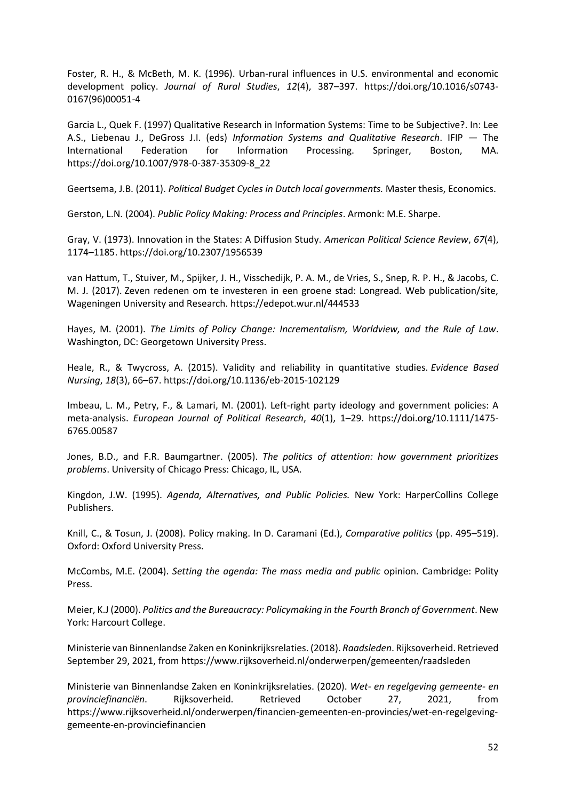Foster, R. H., & McBeth, M. K. (1996). Urban-rural influences in U.S. environmental and economic development policy. *Journal of Rural Studies*, *12*(4), 387–397. https://doi.org/10.1016/s0743- 0167(96)00051-4

Garcia L., Quek F. (1997) Qualitative Research in Information Systems: Time to be Subjective?. In: Lee A.S., Liebenau J., DeGross J.I. (eds) *Information Systems and Qualitative Research*. IFIP — The International Federation for Information Processing. Springer, Boston, MA. https://doi.org/10.1007/978-0-387-35309-8\_22

Geertsema, J.B. (2011). *Political Budget Cycles in Dutch local governments.* Master thesis, Economics.

Gerston, L.N. (2004). *Public Policy Making: Process and Principles*. Armonk: M.E. Sharpe.

Gray, V. (1973). Innovation in the States: A Diffusion Study. *American Political Science Review*, *67*(4), 1174–1185. https://doi.org/10.2307/1956539

van Hattum, T., Stuiver, M., Spijker, J. H., Visschedijk, P. A. M., de Vries, S., Snep, R. P. H., & Jacobs, C. M. J. (2017). Zeven redenen om te investeren in een groene stad: Longread. Web publication/site, Wageningen University and Research. https://edepot.wur.nl/444533

Hayes, M. (2001). *The Limits of Policy Change: Incrementalism, Worldview, and the Rule of Law*. Washington, DC: Georgetown University Press.

Heale, R., & Twycross, A. (2015). Validity and reliability in quantitative studies. *Evidence Based Nursing*, *18*(3), 66–67. https://doi.org/10.1136/eb-2015-102129

Imbeau, L. M., Petry, F., & Lamari, M. (2001). Left-right party ideology and government policies: A meta-analysis. *European Journal of Political Research*, *40*(1), 1–29. https://doi.org/10.1111/1475- 6765.00587

Jones, B.D., and F.R. Baumgartner. (2005). *The politics of attention: how government prioritizes problems*. University of Chicago Press: Chicago, IL, USA.

Kingdon, J.W. (1995). *Agenda, Alternatives, and Public Policies.* New York: HarperCollins College Publishers.

Knill, C., & Tosun, J. (2008). Policy making. In D. Caramani (Ed.), *Comparative politics* (pp. 495–519). Oxford: Oxford University Press.

McCombs, M.E. (2004). *Setting the agenda: The mass media and public* opinion. Cambridge: Polity Press.

Meier, K.J (2000). *Politics and the Bureaucracy: Policymaking in the Fourth Branch of Government*. New York: Harcourt College.

Ministerie van Binnenlandse Zaken en Koninkrijksrelaties. (2018). *Raadsleden*. Rijksoverheid. Retrieved September 29, 2021, from https://www.rijksoverheid.nl/onderwerpen/gemeenten/raadsleden

Ministerie van Binnenlandse Zaken en Koninkrijksrelaties. (2020). *Wet- en regelgeving gemeente- en provinciefinanciën*. Rijksoverheid. Retrieved October 27, 2021, from https://www.rijksoverheid.nl/onderwerpen/financien-gemeenten-en-provincies/wet-en-regelgevinggemeente-en-provinciefinancien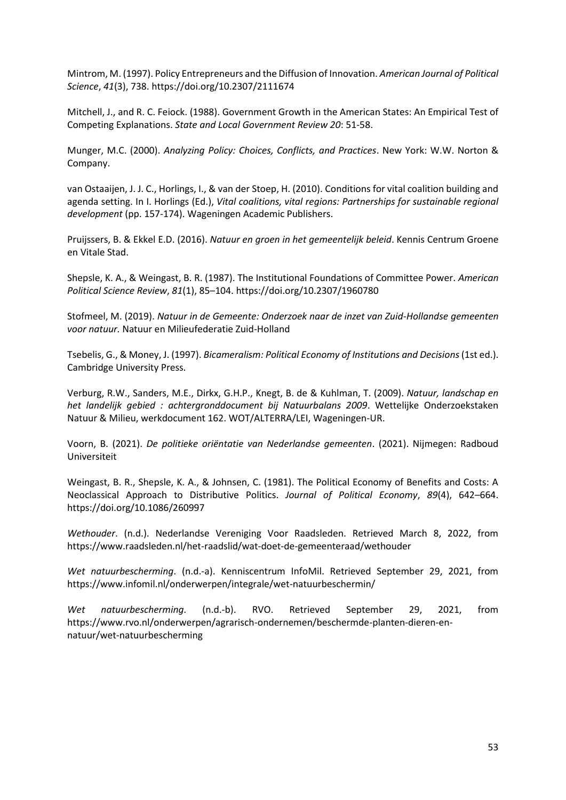Mintrom, M. (1997). Policy Entrepreneurs and the Diffusion of Innovation. *American Journal of Political Science*, *41*(3), 738. https://doi.org/10.2307/2111674

Mitchell, J., and R. C. Feiock. (1988). Government Growth in the American States: An Empirical Test of Competing Explanations. *State and Local Government Review 20*: 51-58.

Munger, M.C. (2000). *Analyzing Policy: Choices, Conflicts, and Practices*. New York: W.W. Norton & Company.

van Ostaaijen, J. J. C., Horlings, I., & van der Stoep, H. (2010). Conditions for vital coalition building and agenda setting. In I. Horlings (Ed.), *Vital coalitions, vital regions: Partnerships for sustainable regional development* (pp. 157-174). Wageningen Academic Publishers.

Pruijssers, B. & Ekkel E.D. (2016). *Natuur en groen in het gemeentelijk beleid*. Kennis Centrum Groene en Vitale Stad.

Shepsle, K. A., & Weingast, B. R. (1987). The Institutional Foundations of Committee Power. *American Political Science Review*, *81*(1), 85–104. https://doi.org/10.2307/1960780

Stofmeel, M. (2019). *Natuur in de Gemeente: Onderzoek naar de inzet van Zuid-Hollandse gemeenten voor natuur.* Natuur en Milieufederatie Zuid-Holland

Tsebelis, G., & Money, J. (1997). *Bicameralism: Political Economy of Institutions and Decisions*(1st ed.). Cambridge University Press.

Verburg, R.W., Sanders, M.E., Dirkx, G.H.P., Knegt, B. de & Kuhlman, T. (2009). *Natuur, landschap en het landelijk gebied : achtergronddocument bij Natuurbalans 2009*. Wettelijke Onderzoekstaken Natuur & Milieu, werkdocument 162. WOT/ALTERRA/LEI, Wageningen-UR.

Voorn, B. (2021). *De politieke oriëntatie van Nederlandse gemeenten*. (2021). Nijmegen: Radboud Universiteit

Weingast, B. R., Shepsle, K. A., & Johnsen, C. (1981). The Political Economy of Benefits and Costs: A Neoclassical Approach to Distributive Politics. *Journal of Political Economy*, *89*(4), 642–664. https://doi.org/10.1086/260997

*Wethouder*. (n.d.). Nederlandse Vereniging Voor Raadsleden. Retrieved March 8, 2022, from https://www.raadsleden.nl/het-raadslid/wat-doet-de-gemeenteraad/wethouder

*Wet natuurbescherming*. (n.d.-a). Kenniscentrum InfoMil. Retrieved September 29, 2021, from https://www.infomil.nl/onderwerpen/integrale/wet-natuurbeschermin/

*Wet natuurbescherming*. (n.d.-b). RVO. Retrieved September 29, 2021, from https://www.rvo.nl/onderwerpen/agrarisch-ondernemen/beschermde-planten-dieren-ennatuur/wet-natuurbescherming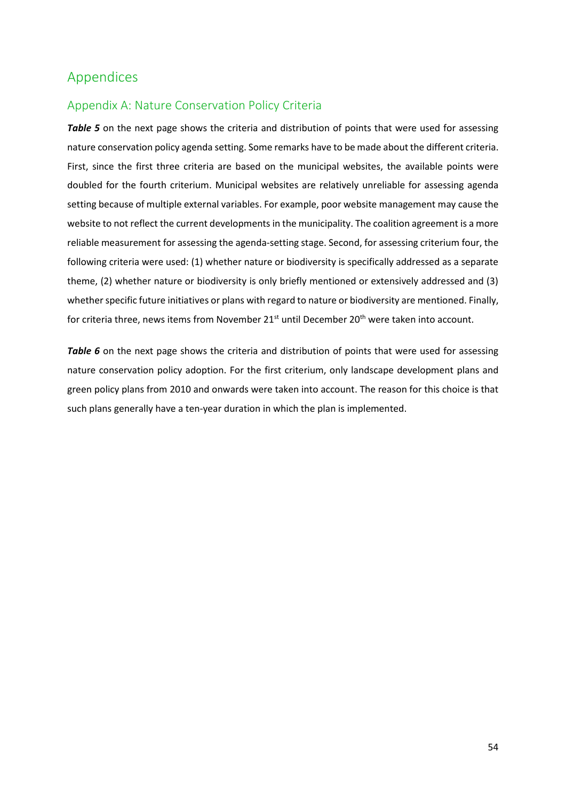# <span id="page-53-0"></span>Appendices

# <span id="page-53-1"></span>Appendix A: Nature Conservation Policy Criteria

**Table 5** on the next page shows the criteria and distribution of points that were used for assessing nature conservation policy agenda setting. Some remarks have to be made about the different criteria. First, since the first three criteria are based on the municipal websites, the available points were doubled for the fourth criterium. Municipal websites are relatively unreliable for assessing agenda setting because of multiple external variables. For example, poor website management may cause the website to not reflect the current developments in the municipality. The coalition agreement is a more reliable measurement for assessing the agenda-setting stage. Second, for assessing criterium four, the following criteria were used: (1) whether nature or biodiversity is specifically addressed as a separate theme, (2) whether nature or biodiversity is only briefly mentioned or extensively addressed and (3) whether specific future initiatives or plans with regard to nature or biodiversity are mentioned. Finally, for criteria three, news items from November 21<sup>st</sup> until December 20<sup>th</sup> were taken into account.

**Table 6** on the next page shows the criteria and distribution of points that were used for assessing nature conservation policy adoption. For the first criterium, only landscape development plans and green policy plans from 2010 and onwards were taken into account. The reason for this choice is that such plans generally have a ten-year duration in which the plan is implemented.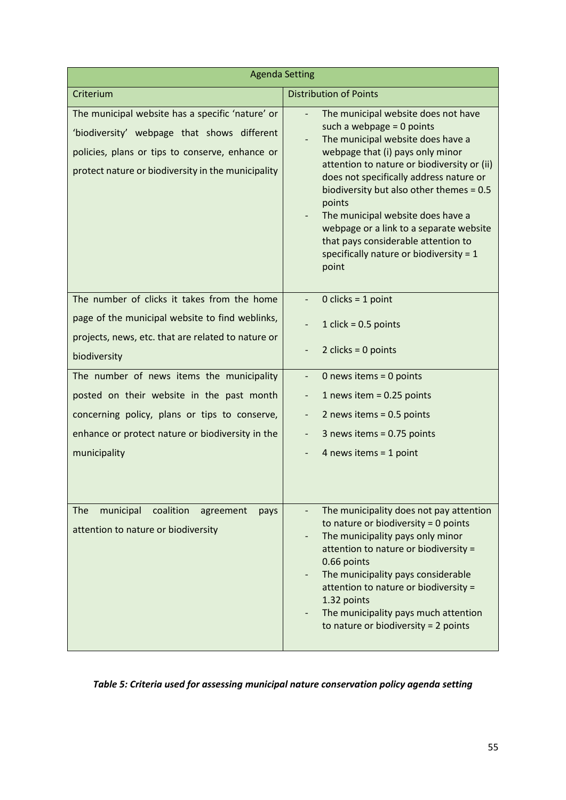| <b>Agenda Setting</b>                                                                                                                                                                                    |                                                                                                                                                                                                                                                                                                                                                                                                                                                                        |  |  |  |  |  |  |
|----------------------------------------------------------------------------------------------------------------------------------------------------------------------------------------------------------|------------------------------------------------------------------------------------------------------------------------------------------------------------------------------------------------------------------------------------------------------------------------------------------------------------------------------------------------------------------------------------------------------------------------------------------------------------------------|--|--|--|--|--|--|
| Criterium                                                                                                                                                                                                | <b>Distribution of Points</b>                                                                                                                                                                                                                                                                                                                                                                                                                                          |  |  |  |  |  |  |
| The municipal website has a specific 'nature' or<br>'biodiversity' webpage that shows different<br>policies, plans or tips to conserve, enhance or<br>protect nature or biodiversity in the municipality | The municipal website does not have<br>such a webpage $= 0$ points<br>The municipal website does have a<br>webpage that (i) pays only minor<br>attention to nature or biodiversity or (ii)<br>does not specifically address nature or<br>biodiversity but also other themes = 0.5<br>points<br>The municipal website does have a<br>webpage or a link to a separate website<br>that pays considerable attention to<br>specifically nature or biodiversity = 1<br>point |  |  |  |  |  |  |
| The number of clicks it takes from the home                                                                                                                                                              | $0$ clicks = 1 point                                                                                                                                                                                                                                                                                                                                                                                                                                                   |  |  |  |  |  |  |
| page of the municipal website to find weblinks,<br>projects, news, etc. that are related to nature or<br>biodiversity                                                                                    | 1 click = $0.5$ points<br>2 clicks = $0$ points                                                                                                                                                                                                                                                                                                                                                                                                                        |  |  |  |  |  |  |
| The number of news items the municipality                                                                                                                                                                | 0 news items = $0$ points                                                                                                                                                                                                                                                                                                                                                                                                                                              |  |  |  |  |  |  |
| posted on their website in the past month                                                                                                                                                                | 1 news item = $0.25$ points                                                                                                                                                                                                                                                                                                                                                                                                                                            |  |  |  |  |  |  |
| concerning policy, plans or tips to conserve,                                                                                                                                                            | 2 news items = 0.5 points<br>-                                                                                                                                                                                                                                                                                                                                                                                                                                         |  |  |  |  |  |  |
| enhance or protect nature or biodiversity in the                                                                                                                                                         | 3 news items = 0.75 points                                                                                                                                                                                                                                                                                                                                                                                                                                             |  |  |  |  |  |  |
| municipality                                                                                                                                                                                             | 4 news items = $1$ point                                                                                                                                                                                                                                                                                                                                                                                                                                               |  |  |  |  |  |  |
| municipal<br>coalition<br><b>The</b><br>agreement<br>pays<br>attention to nature or biodiversity                                                                                                         | The municipality does not pay attention<br>to nature or biodiversity = 0 points<br>The municipality pays only minor<br>attention to nature or biodiversity =<br>0.66 points<br>The municipality pays considerable<br>$\qquad \qquad \blacksquare$<br>attention to nature or biodiversity =<br>1.32 points<br>The municipality pays much attention<br>to nature or biodiversity = 2 points                                                                              |  |  |  |  |  |  |

# *Table 5: Criteria used for assessing municipal nature conservation policy agenda setting*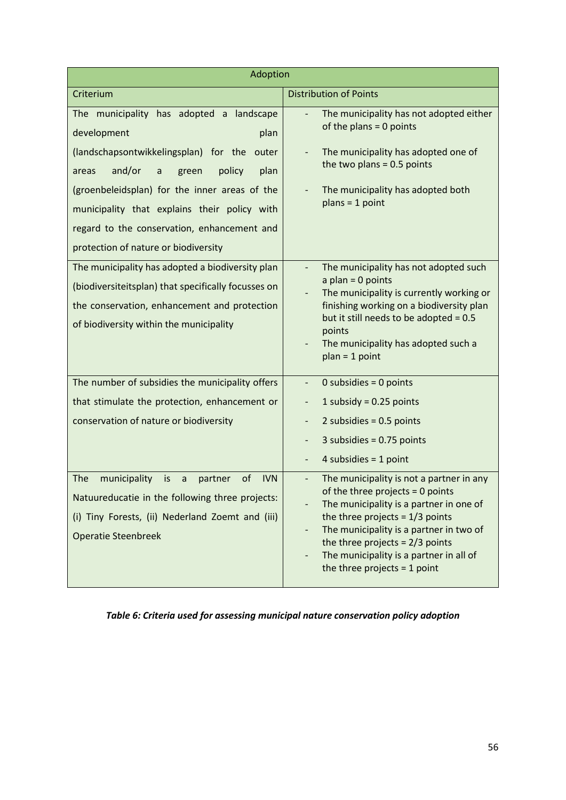| Adoption                                                                                                                                                                                                                                                                                                                                                                |                                                                                                                                                                                                                                                                                                                                                       |  |  |  |  |  |
|-------------------------------------------------------------------------------------------------------------------------------------------------------------------------------------------------------------------------------------------------------------------------------------------------------------------------------------------------------------------------|-------------------------------------------------------------------------------------------------------------------------------------------------------------------------------------------------------------------------------------------------------------------------------------------------------------------------------------------------------|--|--|--|--|--|
| Criterium                                                                                                                                                                                                                                                                                                                                                               | <b>Distribution of Points</b>                                                                                                                                                                                                                                                                                                                         |  |  |  |  |  |
| The municipality has adopted a landscape<br>development<br>plan<br>(landschapsontwikkelingsplan) for the<br>outer<br>and/or<br>policy<br>plan<br>$\mathsf{a}$<br>green<br>areas<br>(groenbeleidsplan) for the inner areas of the<br>municipality that explains their policy with<br>regard to the conservation, enhancement and<br>protection of nature or biodiversity | The municipality has not adopted either<br>of the plans $= 0$ points<br>The municipality has adopted one of<br>the two plans = $0.5$ points<br>The municipality has adopted both<br>$plans = 1 point$                                                                                                                                                 |  |  |  |  |  |
| The municipality has adopted a biodiversity plan<br>(biodiversiteitsplan) that specifically focusses on<br>the conservation, enhancement and protection<br>of biodiversity within the municipality                                                                                                                                                                      | The municipality has not adopted such<br>$a$ plan = 0 points<br>The municipality is currently working or<br>finishing working on a biodiversity plan<br>but it still needs to be adopted = 0.5<br>points<br>The municipality has adopted such a<br>$plan = 1 point$                                                                                   |  |  |  |  |  |
| The number of subsidies the municipality offers                                                                                                                                                                                                                                                                                                                         | 0 subsidies = $0$ points                                                                                                                                                                                                                                                                                                                              |  |  |  |  |  |
| that stimulate the protection, enhancement or                                                                                                                                                                                                                                                                                                                           | 1 subsidy = $0.25$ points<br>$\overline{\phantom{0}}$                                                                                                                                                                                                                                                                                                 |  |  |  |  |  |
| conservation of nature or biodiversity                                                                                                                                                                                                                                                                                                                                  | 2 subsidies = $0.5$ points<br>-                                                                                                                                                                                                                                                                                                                       |  |  |  |  |  |
|                                                                                                                                                                                                                                                                                                                                                                         | 3 subsidies = $0.75$ points                                                                                                                                                                                                                                                                                                                           |  |  |  |  |  |
|                                                                                                                                                                                                                                                                                                                                                                         | 4 subsidies = $1$ point                                                                                                                                                                                                                                                                                                                               |  |  |  |  |  |
| The<br>municipality<br>of<br><b>IVN</b><br>is<br>$\mathsf a$<br>partner<br>Natuureducatie in the following three projects:<br>(i) Tiny Forests, (ii) Nederland Zoemt and (iii)<br><b>Operatie Steenbreek</b>                                                                                                                                                            | The municipality is not a partner in any<br>of the three projects = 0 points<br>The municipality is a partner in one of<br>the three projects = $1/3$ points<br>The municipality is a partner in two of<br>$\overline{\phantom{a}}$<br>the three projects = $2/3$ points<br>The municipality is a partner in all of<br>the three projects = $1$ point |  |  |  |  |  |

# *Table 6: Criteria used for assessing municipal nature conservation policy adoption*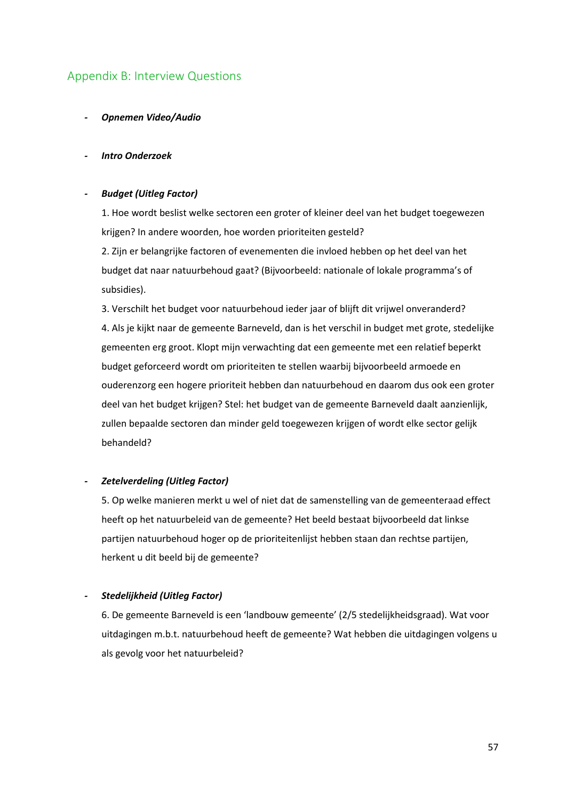# <span id="page-56-0"></span>Appendix B: Interview Questions

*- Opnemen Video/Audio*

#### *- Intro Onderzoek*

#### *- Budget (Uitleg Factor)*

1. Hoe wordt beslist welke sectoren een groter of kleiner deel van het budget toegewezen krijgen? In andere woorden, hoe worden prioriteiten gesteld?

2. Zijn er belangrijke factoren of evenementen die invloed hebben op het deel van het budget dat naar natuurbehoud gaat? (Bijvoorbeeld: nationale of lokale programma's of subsidies).

3. Verschilt het budget voor natuurbehoud ieder jaar of blijft dit vrijwel onveranderd? 4. Als je kijkt naar de gemeente Barneveld, dan is het verschil in budget met grote, stedelijke gemeenten erg groot. Klopt mijn verwachting dat een gemeente met een relatief beperkt budget geforceerd wordt om prioriteiten te stellen waarbij bijvoorbeeld armoede en ouderenzorg een hogere prioriteit hebben dan natuurbehoud en daarom dus ook een groter deel van het budget krijgen? Stel: het budget van de gemeente Barneveld daalt aanzienlijk, zullen bepaalde sectoren dan minder geld toegewezen krijgen of wordt elke sector gelijk behandeld?

#### *- Zetelverdeling (Uitleg Factor)*

5. Op welke manieren merkt u wel of niet dat de samenstelling van de gemeenteraad effect heeft op het natuurbeleid van de gemeente? Het beeld bestaat bijvoorbeeld dat linkse partijen natuurbehoud hoger op de prioriteitenlijst hebben staan dan rechtse partijen, herkent u dit beeld bij de gemeente?

#### *- Stedelijkheid (Uitleg Factor)*

6. De gemeente Barneveld is een 'landbouw gemeente' (2/5 stedelijkheidsgraad). Wat voor uitdagingen m.b.t. natuurbehoud heeft de gemeente? Wat hebben die uitdagingen volgens u als gevolg voor het natuurbeleid?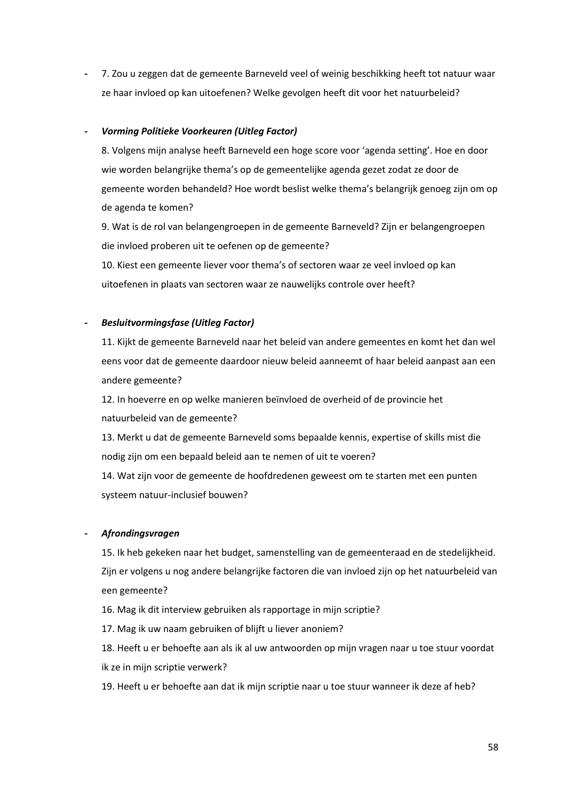*-* 7. Zou u zeggen dat de gemeente Barneveld veel of weinig beschikking heeft tot natuur waar ze haar invloed op kan uitoefenen? Welke gevolgen heeft dit voor het natuurbeleid?

#### *- Vorming Politieke Voorkeuren (Uitleg Factor)*

8. Volgens mijn analyse heeft Barneveld een hoge score voor 'agenda setting'. Hoe en door wie worden belangrijke thema's op de gemeentelijke agenda gezet zodat ze door de gemeente worden behandeld? Hoe wordt beslist welke thema's belangrijk genoeg zijn om op de agenda te komen?

9. Wat is de rol van belangengroepen in de gemeente Barneveld? Zijn er belangengroepen die invloed proberen uit te oefenen op de gemeente?

10. Kiest een gemeente liever voor thema's of sectoren waar ze veel invloed op kan uitoefenen in plaats van sectoren waar ze nauwelijks controle over heeft?

#### *- Besluitvormingsfase (Uitleg Factor)*

11. Kijkt de gemeente Barneveld naar het beleid van andere gemeentes en komt het dan wel eens voor dat de gemeente daardoor nieuw beleid aanneemt of haar beleid aanpast aan een andere gemeente?

12. In hoeverre en op welke manieren beïnvloed de overheid of de provincie het natuurbeleid van de gemeente?

13. Merkt u dat de gemeente Barneveld soms bepaalde kennis, expertise of skills mist die nodig zijn om een bepaald beleid aan te nemen of uit te voeren?

14. Wat zijn voor de gemeente de hoofdredenen geweest om te starten met een punten systeem natuur-inclusief bouwen?

#### *- Afrondingsvragen*

15. Ik heb gekeken naar het budget, samenstelling van de gemeenteraad en de stedelijkheid. Zijn er volgens u nog andere belangrijke factoren die van invloed zijn op het natuurbeleid van een gemeente?

16. Mag ik dit interview gebruiken als rapportage in mijn scriptie?

17. Mag ik uw naam gebruiken of blijft u liever anoniem?

18. Heeft u er behoefte aan als ik al uw antwoorden op mijn vragen naar u toe stuur voordat ik ze in mijn scriptie verwerk?

19. Heeft u er behoefte aan dat ik mijn scriptie naar u toe stuur wanneer ik deze af heb?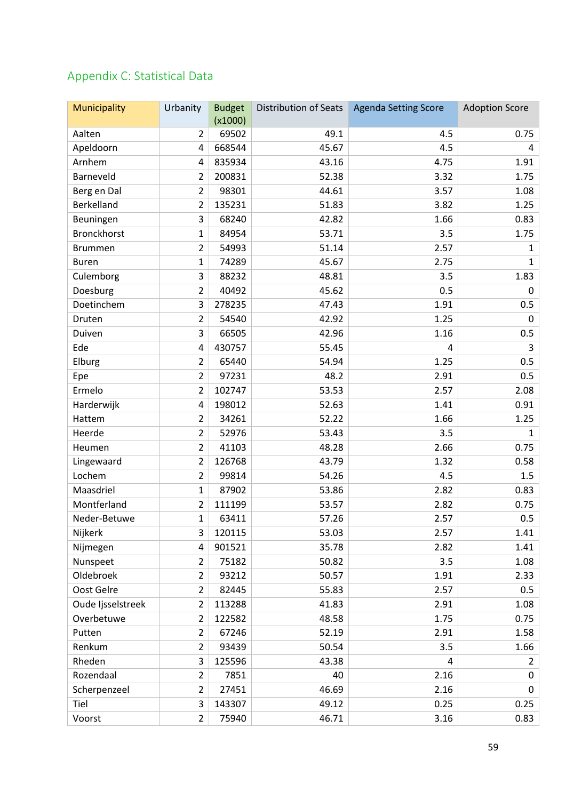# <span id="page-58-0"></span>Appendix C: Statistical Data

| Municipality       | Urbanity       | <b>Budget</b><br>(x1000) | Distribution of Seats | <b>Agenda Setting Score</b> | <b>Adoption Score</b> |
|--------------------|----------------|--------------------------|-----------------------|-----------------------------|-----------------------|
| Aalten             | $\overline{2}$ | 69502                    | 49.1                  | 4.5                         | 0.75                  |
| Apeldoorn          | 4              | 668544                   | 45.67                 | 4.5                         | 4                     |
| Arnhem             | 4              | 835934                   | 43.16                 | 4.75                        | 1.91                  |
| Barneveld          | 2              | 200831                   | 52.38                 | 3.32                        | 1.75                  |
| Berg en Dal        | $\overline{2}$ | 98301                    | 44.61                 | 3.57                        | 1.08                  |
| Berkelland         | 2              | 135231                   | 51.83                 | 3.82                        | 1.25                  |
| Beuningen          | 3              | 68240                    | 42.82                 | 1.66                        | 0.83                  |
| <b>Bronckhorst</b> | 1              | 84954                    | 53.71                 | 3.5                         | 1.75                  |
| <b>Brummen</b>     | $\overline{2}$ | 54993                    | 51.14                 | 2.57                        | $\mathbf{1}$          |
| <b>Buren</b>       | 1              | 74289                    | 45.67                 | 2.75                        | $\mathbf{1}$          |
| Culemborg          | 3              | 88232                    | 48.81                 | 3.5                         | 1.83                  |
| Doesburg           | $\overline{2}$ | 40492                    | 45.62                 | 0.5                         | 0                     |
| Doetinchem         | 3              | 278235                   | 47.43                 | 1.91                        | 0.5                   |
| Druten             | $\overline{2}$ | 54540                    | 42.92                 | 1.25                        | 0                     |
| Duiven             | 3              | 66505                    | 42.96                 | 1.16                        | 0.5                   |
| Ede                | 4              | 430757                   | 55.45                 | 4                           | 3                     |
| Elburg             | $\overline{2}$ | 65440                    | 54.94                 | 1.25                        | 0.5                   |
| Epe                | $\overline{2}$ | 97231                    | 48.2                  | 2.91                        | 0.5                   |
| Ermelo             | $\overline{2}$ | 102747                   | 53.53                 | 2.57                        | 2.08                  |
| Harderwijk         | 4              | 198012                   | 52.63                 | 1.41                        | 0.91                  |
| Hattem             | $\overline{2}$ | 34261                    | 52.22                 | 1.66                        | 1.25                  |
| Heerde             | $\overline{2}$ | 52976                    | 53.43                 | 3.5                         | $\mathbf{1}$          |
| Heumen             | $\overline{2}$ | 41103                    | 48.28                 | 2.66                        | 0.75                  |
| Lingewaard         | $\overline{2}$ | 126768                   | 43.79                 | 1.32                        | 0.58                  |
| Lochem             | $\overline{2}$ | 99814                    | 54.26                 | 4.5                         | 1.5                   |
| Maasdriel          | 1              | 87902                    | 53.86                 | 2.82                        | 0.83                  |
| Montferland        | $\overline{2}$ | 111199                   | 53.57                 | 2.82                        | 0.75                  |
| Neder-Betuwe       | $\mathbf{1}$   | 63411                    | 57.26                 | 2.57                        | 0.5                   |
| Nijkerk            | 3              | 120115                   | 53.03                 | 2.57                        | 1.41                  |
| Nijmegen           | 4              | 901521                   | 35.78                 | 2.82                        | 1.41                  |
| Nunspeet           | $\overline{2}$ | 75182                    | 50.82                 | 3.5                         | 1.08                  |
| Oldebroek          | $\overline{2}$ | 93212                    | 50.57                 | 1.91                        | 2.33                  |
| Oost Gelre         | $\overline{2}$ | 82445                    | 55.83                 | 2.57                        | 0.5                   |
| Oude Ijsselstreek  | $\overline{2}$ | 113288                   | 41.83                 | 2.91                        | 1.08                  |
| Overbetuwe         | $\overline{2}$ | 122582                   | 48.58                 | 1.75                        | 0.75                  |
| Putten             | $\overline{2}$ | 67246                    | 52.19                 | 2.91                        | 1.58                  |
| Renkum             | $\overline{2}$ | 93439                    | 50.54                 | 3.5                         | 1.66                  |
| Rheden             | 3              | 125596                   | 43.38                 | 4                           | $\mathbf{2}$          |
| Rozendaal          | $\overline{2}$ | 7851                     | 40                    | 2.16                        | 0                     |
| Scherpenzeel       | $\overline{2}$ | 27451                    | 46.69                 | 2.16                        | 0                     |
| Tiel               | 3              | 143307                   | 49.12                 | 0.25                        | 0.25                  |
| Voorst             | $\overline{2}$ | 75940                    | 46.71                 | 3.16                        | 0.83                  |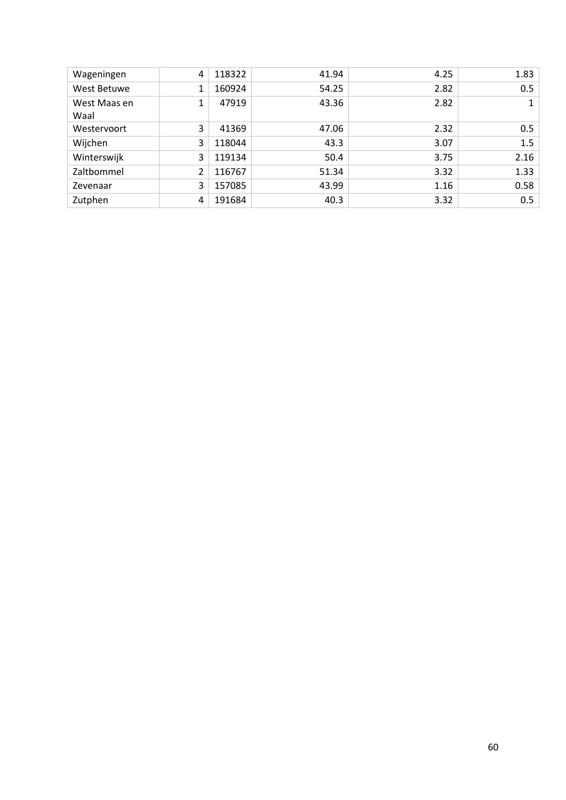| Wageningen           | 4             | 118322 | 41.94 | 4.25 | 1.83 |
|----------------------|---------------|--------|-------|------|------|
| West Betuwe          | 1             | 160924 | 54.25 | 2.82 | 0.5  |
| West Maas en<br>Waal |               | 47919  | 43.36 | 2.82 | 1    |
| Westervoort          | 3             | 41369  | 47.06 | 2.32 | 0.5  |
| Wijchen              | 3             | 118044 | 43.3  | 3.07 | 1.5  |
| Winterswijk          | 3             | 119134 | 50.4  | 3.75 | 2.16 |
| Zaltbommel           | $\mathcal{L}$ | 116767 | 51.34 | 3.32 | 1.33 |
| Zevenaar             | 3             | 157085 | 43.99 | 1.16 | 0.58 |
| Zutphen              | 4             | 191684 | 40.3  | 3.32 | 0.5  |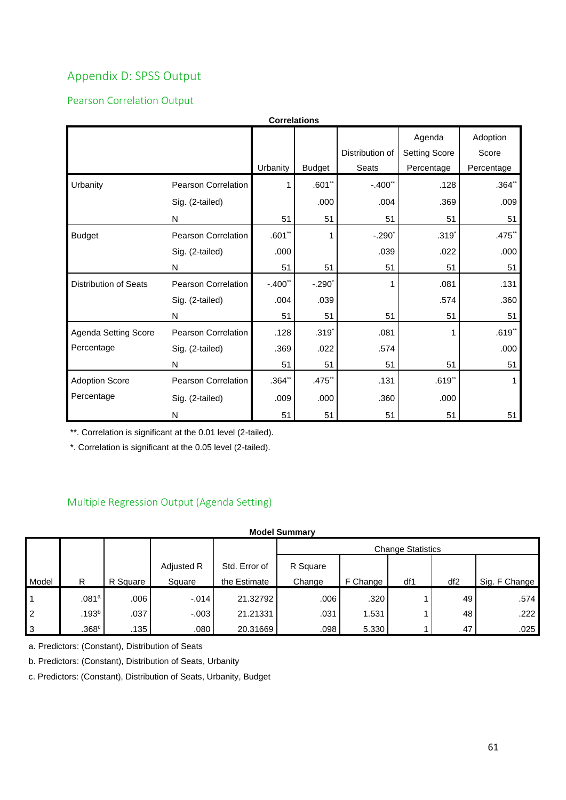# <span id="page-60-0"></span>Appendix D: SPSS Output

# <span id="page-60-1"></span>Pearson Correlation Output

| <b>Correlations</b>          |                            |          |               |                 |                      |            |  |  |  |  |
|------------------------------|----------------------------|----------|---------------|-----------------|----------------------|------------|--|--|--|--|
|                              |                            |          |               |                 | Agenda               | Adoption   |  |  |  |  |
|                              |                            |          |               | Distribution of | <b>Setting Score</b> | Score      |  |  |  |  |
|                              |                            | Urbanity | <b>Budget</b> | Seats           | Percentage           | Percentage |  |  |  |  |
| Urbanity                     | Pearson Correlation        | 1        | $.601$ **     | $-.400"$        | .128                 | .364"      |  |  |  |  |
|                              | Sig. (2-tailed)            |          | .000          | .004            | .369                 | .009       |  |  |  |  |
|                              | N                          | 51       | 51            | 51              | 51                   | 51         |  |  |  |  |
| <b>Budget</b>                | Pearson Correlation        | $.601**$ | 1             | $-.290"$        | $.319*$              | .475       |  |  |  |  |
|                              | Sig. (2-tailed)            | .000     |               | .039            | .022                 | .000       |  |  |  |  |
|                              | N                          | 51       | 51            | 51              | 51                   | 51         |  |  |  |  |
| <b>Distribution of Seats</b> | <b>Pearson Correlation</b> | $-.400"$ | $-.290"$      |                 | .081                 | .131       |  |  |  |  |
|                              | Sig. (2-tailed)            | .004     | .039          |                 | .574                 | .360       |  |  |  |  |
|                              | N                          | 51       | 51            | 51              | 51                   | 51         |  |  |  |  |
| Agenda Setting Score         | Pearson Correlation        | .128     | $.319*$       | .081            | 1                    | $.619**$   |  |  |  |  |
| Percentage                   | Sig. (2-tailed)            | .369     | .022          | .574            |                      | .000       |  |  |  |  |
|                              | N                          | 51       | 51            | 51              | 51                   | 51         |  |  |  |  |
| <b>Adoption Score</b>        | Pearson Correlation        | .364"    | .475**        | .131            | $.619**$             |            |  |  |  |  |
| Percentage                   | Sig. (2-tailed)            | .009     | .000          | .360            | .000                 |            |  |  |  |  |
|                              | N                          | 51       | 51            | 51              | 51                   | 51         |  |  |  |  |

\*\*. Correlation is significant at the 0.01 level (2-tailed).

\*. Correlation is significant at the 0.05 level (2-tailed).

# <span id="page-60-2"></span>Multiple Regression Output (Agenda Setting)

#### **Model Summary**

|                |                   |          |            |               | <b>Change Statistics</b> |          |     |     |               |
|----------------|-------------------|----------|------------|---------------|--------------------------|----------|-----|-----|---------------|
|                |                   |          | Adjusted R | Std. Error of | R Square                 |          |     |     |               |
| Model          | R                 | R Square | Square     | the Estimate  | Change                   | F Change | df1 | df2 | Sig. F Change |
|                | .081a             | .006     | $-0.014$   | 21.32792      | .006                     | .320     |     | 49  | .574          |
| $\overline{2}$ | .193 <sup>b</sup> | .037     | $-.003$    | 21.21331      | .031                     | 1.531    |     | 48  | .222          |
| 3              | .368c             | .135     | .080       | 20.31669      | .098                     | 5.330    |     | 47  | .025          |

a. Predictors: (Constant), Distribution of Seats

b. Predictors: (Constant), Distribution of Seats, Urbanity

c. Predictors: (Constant), Distribution of Seats, Urbanity, Budget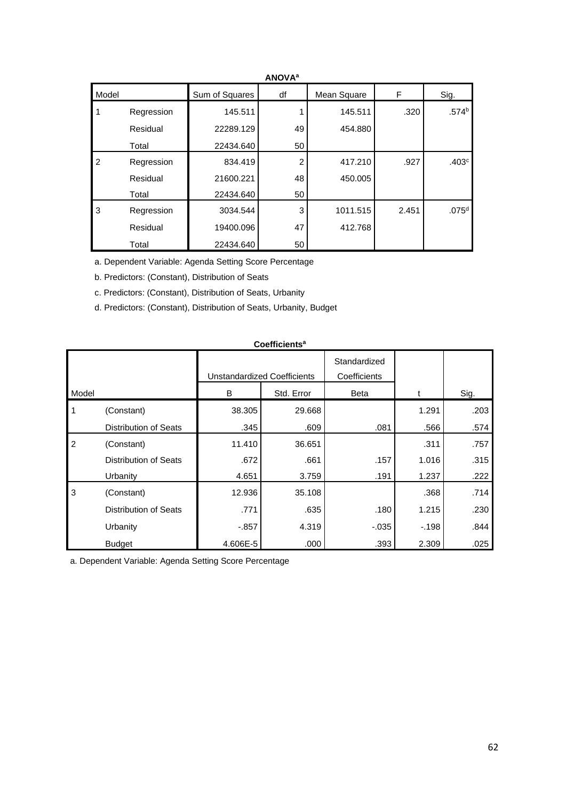| <b>ANUVA</b>   |            |                |    |             |       |                   |  |  |
|----------------|------------|----------------|----|-------------|-------|-------------------|--|--|
| Model          |            | Sum of Squares | df | Mean Square | F     | Sig.              |  |  |
|                | Regression | 145.511        |    | 145.511     | .320  | .574 <sup>b</sup> |  |  |
|                | Residual   | 22289.129      | 49 | 454.880     |       |                   |  |  |
|                | Total      | 22434.640      | 50 |             |       |                   |  |  |
| $\overline{2}$ | Regression | 834.419        | 2  | 417.210     | .927  | .403 <sup>c</sup> |  |  |
|                | Residual   | 21600.221      | 48 | 450.005     |       |                   |  |  |
|                | Total      | 22434.640      | 50 |             |       |                   |  |  |
| 3              | Regression | 3034.544       | 3  | 1011.515    | 2.451 | .075 <sup>d</sup> |  |  |
|                | Residual   | 19400.096      | 47 | 412.768     |       |                   |  |  |
|                | Total      | 22434.640      | 50 |             |       |                   |  |  |

# **ANOVA<sup>a</sup>**

a. Dependent Variable: Agenda Setting Score Percentage

b. Predictors: (Constant), Distribution of Seats

c. Predictors: (Constant), Distribution of Seats, Urbanity

d. Predictors: (Constant), Distribution of Seats, Urbanity, Budget

| <b>Coefficients<sup>a</sup></b> |                              |                                                |        |                                             |        |      |  |  |  |
|---------------------------------|------------------------------|------------------------------------------------|--------|---------------------------------------------|--------|------|--|--|--|
| Model                           |                              | Unstandardized Coefficients<br>Std. Error<br>B |        | Standardized<br>Coefficients<br><b>Beta</b> |        | Sig. |  |  |  |
| 1                               | (Constant)                   | 38.305                                         | 29.668 |                                             | 1.291  | .203 |  |  |  |
|                                 | Distribution of Seats        | .345                                           | .609   | .081                                        | .566   | .574 |  |  |  |
| $\overline{2}$                  | (Constant)                   | 11.410                                         | 36.651 |                                             | .311   | .757 |  |  |  |
|                                 | Distribution of Seats        | .672                                           | .661   | .157                                        | 1.016  | .315 |  |  |  |
|                                 | Urbanity                     | 4.651                                          | 3.759  | .191                                        | 1.237  | .222 |  |  |  |
| $\mathbf{3}$                    | (Constant)                   | 12.936                                         | 35.108 |                                             | .368   | .714 |  |  |  |
|                                 | <b>Distribution of Seats</b> | .771                                           | .635   | .180                                        | 1.215  | .230 |  |  |  |
|                                 | Urbanity                     | -.857                                          | 4.319  | $-0.035$                                    | $-198$ | .844 |  |  |  |
|                                 | <b>Budget</b>                | 4.606E-5                                       | .000   | .393                                        | 2.309  | .025 |  |  |  |

a. Dependent Variable: Agenda Setting Score Percentage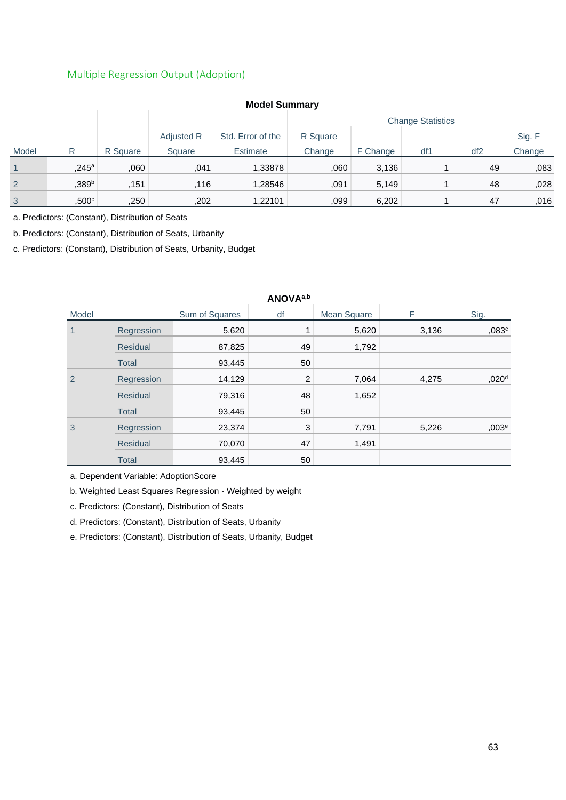### <span id="page-62-0"></span>Multiple Regression Output (Adoption)

| <b>IVIUUTI JUIIIIIIIII</b> |                     |          |            |                   |                          |          |     |     |        |
|----------------------------|---------------------|----------|------------|-------------------|--------------------------|----------|-----|-----|--------|
|                            |                     |          |            |                   | <b>Change Statistics</b> |          |     |     |        |
|                            |                     |          | Adjusted R | Std. Error of the | R Square                 |          |     |     | Sig. F |
| Model                      | R                   | R Square | Square     | Estimate          | Change                   | F Change | df1 | df2 | Change |
|                            | $,245$ <sup>a</sup> | 060      | .041       | 1,33878           | .060                     | 3,136    |     | 49  | ,083   |
| $\overline{2}$             | ,389 <sup>b</sup>   | .151     | ,116       | 1,28546           | .091                     | 5,149    |     | 48  | ,028   |
| $\mathbf{3}$               | $,500^{\circ}$      | ,250     | ,202       | 1,22101           | .099                     | 6,202    |     | 47  | ,016   |

# **Model Summary**

a. Predictors: (Constant), Distribution of Seats

b. Predictors: (Constant), Distribution of Seats, Urbanity

c. Predictors: (Constant), Distribution of Seats, Urbanity, Budget

| ANOVA <sup>a, D</sup> |                 |                |                |                    |       |                   |  |  |
|-----------------------|-----------------|----------------|----------------|--------------------|-------|-------------------|--|--|
| Model                 |                 | Sum of Squares | df             | <b>Mean Square</b> | F     | Sig.              |  |  |
| 1                     | Regression      | 5,620          |                | 5,620              | 3,136 | ,083c             |  |  |
|                       | <b>Residual</b> | 87,825         | 49             | 1,792              |       |                   |  |  |
|                       | <b>Total</b>    | 93,445         | 50             |                    |       |                   |  |  |
| 2                     | Regression      | 14,129         | $\overline{2}$ | 7,064              | 4,275 | ,020 <sup>d</sup> |  |  |
|                       | <b>Residual</b> | 79,316         | 48             | 1,652              |       |                   |  |  |
|                       | <b>Total</b>    | 93,445         | 50             |                    |       |                   |  |  |
| 3                     | Regression      | 23,374         | 3              | 7,791              | 5,226 | ,003 <sup>e</sup> |  |  |
|                       | <b>Residual</b> | 70,070         | 47             | 1,491              |       |                   |  |  |
|                       | <b>Total</b>    | 93,445         | 50             |                    |       |                   |  |  |

# **ANOVAa,b**

a. Dependent Variable: AdoptionScore

b. Weighted Least Squares Regression - Weighted by weight

c. Predictors: (Constant), Distribution of Seats

d. Predictors: (Constant), Distribution of Seats, Urbanity

e. Predictors: (Constant), Distribution of Seats, Urbanity, Budget